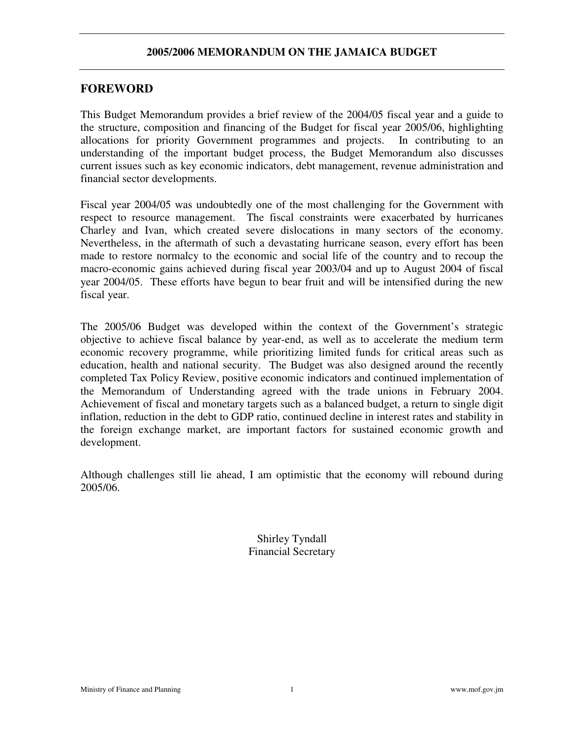# **FOREWORD**

This Budget Memorandum provides a brief review of the 2004/05 fiscal year and a guide to the structure, composition and financing of the Budget for fiscal year 2005/06, highlighting allocations for priority Government programmes and projects. In contributing to an understanding of the important budget process, the Budget Memorandum also discusses current issues such as key economic indicators, debt management, revenue administration and financial sector developments.

Fiscal year 2004/05 was undoubtedly one of the most challenging for the Government with respect to resource management. The fiscal constraints were exacerbated by hurricanes Charley and Ivan, which created severe dislocations in many sectors of the economy. Nevertheless, in the aftermath of such a devastating hurricane season, every effort has been made to restore normalcy to the economic and social life of the country and to recoup the macro-economic gains achieved during fiscal year 2003/04 and up to August 2004 of fiscal year 2004/05. These efforts have begun to bear fruit and will be intensified during the new fiscal year.

The 2005/06 Budget was developed within the context of the Government's strategic objective to achieve fiscal balance by year-end, as well as to accelerate the medium term economic recovery programme, while prioritizing limited funds for critical areas such as education, health and national security. The Budget was also designed around the recently completed Tax Policy Review, positive economic indicators and continued implementation of the Memorandum of Understanding agreed with the trade unions in February 2004. Achievement of fiscal and monetary targets such as a balanced budget, a return to single digit inflation, reduction in the debt to GDP ratio, continued decline in interest rates and stability in the foreign exchange market, are important factors for sustained economic growth and development.

Although challenges still lie ahead, I am optimistic that the economy will rebound during 2005/06.

> Shirley Tyndall Financial Secretary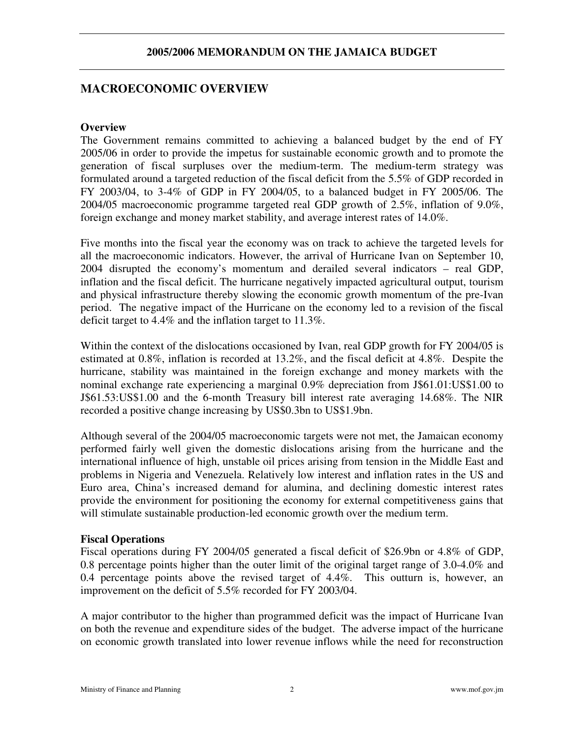# **MACROECONOMIC OVERVIEW**

#### **Overview**

The Government remains committed to achieving a balanced budget by the end of FY 2005/06 in order to provide the impetus for sustainable economic growth and to promote the generation of fiscal surpluses over the medium-term. The medium-term strategy was formulated around a targeted reduction of the fiscal deficit from the 5.5% of GDP recorded in FY 2003/04, to 3-4% of GDP in FY 2004/05, to a balanced budget in FY 2005/06. The 2004/05 macroeconomic programme targeted real GDP growth of 2.5%, inflation of 9.0%, foreign exchange and money market stability, and average interest rates of 14.0%.

Five months into the fiscal year the economy was on track to achieve the targeted levels for all the macroeconomic indicators. However, the arrival of Hurricane Ivan on September 10, 2004 disrupted the economy's momentum and derailed several indicators – real GDP, inflation and the fiscal deficit. The hurricane negatively impacted agricultural output, tourism and physical infrastructure thereby slowing the economic growth momentum of the pre-Ivan period. The negative impact of the Hurricane on the economy led to a revision of the fiscal deficit target to 4.4% and the inflation target to 11.3%.

Within the context of the dislocations occasioned by Ivan, real GDP growth for FY 2004/05 is estimated at 0.8%, inflation is recorded at 13.2%, and the fiscal deficit at 4.8%. Despite the hurricane, stability was maintained in the foreign exchange and money markets with the nominal exchange rate experiencing a marginal 0.9% depreciation from J\$61.01:US\$1.00 to J\$61.53:US\$1.00 and the 6-month Treasury bill interest rate averaging 14.68%. The NIR recorded a positive change increasing by US\$0.3bn to US\$1.9bn.

Although several of the 2004/05 macroeconomic targets were not met, the Jamaican economy performed fairly well given the domestic dislocations arising from the hurricane and the international influence of high, unstable oil prices arising from tension in the Middle East and problems in Nigeria and Venezuela. Relatively low interest and inflation rates in the US and Euro area, China's increased demand for alumina, and declining domestic interest rates provide the environment for positioning the economy for external competitiveness gains that will stimulate sustainable production-led economic growth over the medium term.

#### **Fiscal Operations**

Fiscal operations during FY 2004/05 generated a fiscal deficit of \$26.9bn or 4.8% of GDP, 0.8 percentage points higher than the outer limit of the original target range of 3.0-4.0% and 0.4 percentage points above the revised target of 4.4%. This outturn is, however, an improvement on the deficit of 5.5% recorded for FY 2003/04.

A major contributor to the higher than programmed deficit was the impact of Hurricane Ivan on both the revenue and expenditure sides of the budget. The adverse impact of the hurricane on economic growth translated into lower revenue inflows while the need for reconstruction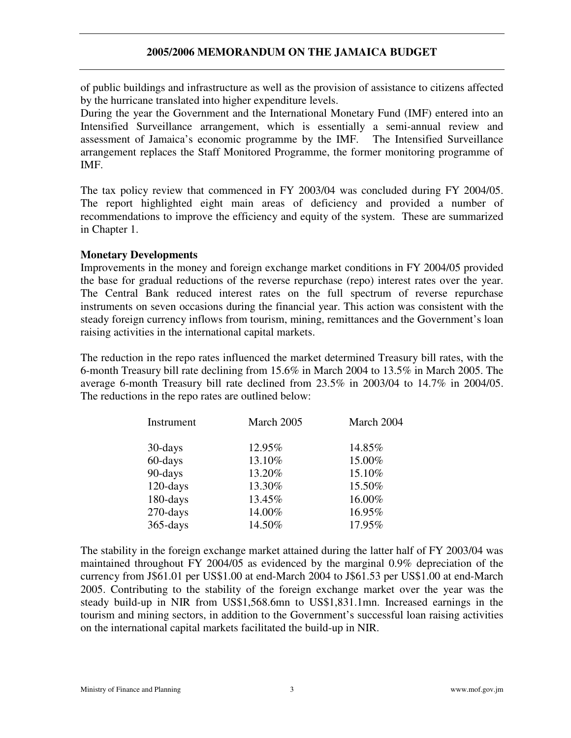of public buildings and infrastructure as well as the provision of assistance to citizens affected by the hurricane translated into higher expenditure levels.

During the year the Government and the International Monetary Fund (IMF) entered into an Intensified Surveillance arrangement, which is essentially a semi-annual review and assessment of Jamaica's economic programme by the IMF. The Intensified Surveillance arrangement replaces the Staff Monitored Programme, the former monitoring programme of IMF.

The tax policy review that commenced in FY 2003/04 was concluded during FY 2004/05. The report highlighted eight main areas of deficiency and provided a number of recommendations to improve the efficiency and equity of the system. These are summarized in Chapter 1.

### **Monetary Developments**

Improvements in the money and foreign exchange market conditions in FY 2004/05 provided the base for gradual reductions of the reverse repurchase (repo) interest rates over the year. The Central Bank reduced interest rates on the full spectrum of reverse repurchase instruments on seven occasions during the financial year. This action was consistent with the steady foreign currency inflows from tourism, mining, remittances and the Government's loan raising activities in the international capital markets.

The reduction in the repo rates influenced the market determined Treasury bill rates, with the 6-month Treasury bill rate declining from 15.6% in March 2004 to 13.5% in March 2005. The average 6-month Treasury bill rate declined from 23.5% in 2003/04 to 14.7% in 2004/05. The reductions in the repo rates are outlined below:

| Instrument  | March 2005 | March 2004 |  |  |
|-------------|------------|------------|--|--|
| 30-days     | 12.95%     | 14.85%     |  |  |
| 60-days     | 13.10%     | 15.00%     |  |  |
| 90-days     | 13.20%     | 15.10%     |  |  |
| $120$ -days | 13.30%     | 15.50%     |  |  |
| 180-days    | 13.45%     | 16.00%     |  |  |
| $270$ -days | 14.00%     | 16.95%     |  |  |
| $365$ -days | 14.50%     | 17.95%     |  |  |

The stability in the foreign exchange market attained during the latter half of FY 2003/04 was maintained throughout FY 2004/05 as evidenced by the marginal 0.9% depreciation of the currency from J\$61.01 per US\$1.00 at end-March 2004 to J\$61.53 per US\$1.00 at end-March 2005. Contributing to the stability of the foreign exchange market over the year was the steady build-up in NIR from US\$1,568.6mn to US\$1,831.1mn. Increased earnings in the tourism and mining sectors, in addition to the Government's successful loan raising activities on the international capital markets facilitated the build-up in NIR.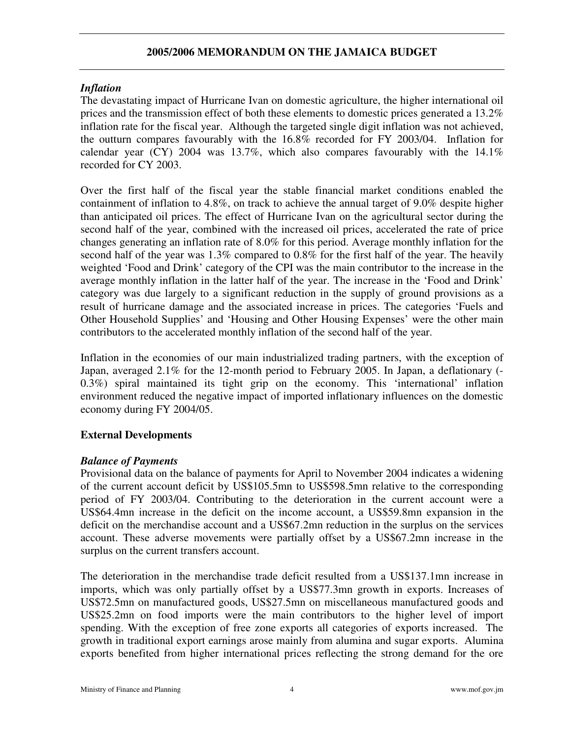## *Inflation*

The devastating impact of Hurricane Ivan on domestic agriculture, the higher international oil prices and the transmission effect of both these elements to domestic prices generated a 13.2% inflation rate for the fiscal year. Although the targeted single digit inflation was not achieved, the outturn compares favourably with the 16.8% recorded for FY 2003/04. Inflation for calendar year (CY) 2004 was  $13.7\%$ , which also compares favourably with the  $14.1\%$ recorded for CY 2003.

Over the first half of the fiscal year the stable financial market conditions enabled the containment of inflation to 4.8%, on track to achieve the annual target of 9.0% despite higher than anticipated oil prices. The effect of Hurricane Ivan on the agricultural sector during the second half of the year, combined with the increased oil prices, accelerated the rate of price changes generating an inflation rate of 8.0% for this period. Average monthly inflation for the second half of the year was 1.3% compared to 0.8% for the first half of the year. The heavily weighted 'Food and Drink' category of the CPI was the main contributor to the increase in the average monthly inflation in the latter half of the year. The increase in the 'Food and Drink' category was due largely to a significant reduction in the supply of ground provisions as a result of hurricane damage and the associated increase in prices. The categories 'Fuels and Other Household Supplies' and 'Housing and Other Housing Expenses' were the other main contributors to the accelerated monthly inflation of the second half of the year.

Inflation in the economies of our main industrialized trading partners, with the exception of Japan, averaged 2.1% for the 12-month period to February 2005. In Japan, a deflationary (- 0.3%) spiral maintained its tight grip on the economy. This 'international' inflation environment reduced the negative impact of imported inflationary influences on the domestic economy during FY 2004/05.

# **External Developments**

# *Balance of Payments*

Provisional data on the balance of payments for April to November 2004 indicates a widening of the current account deficit by US\$105.5mn to US\$598.5mn relative to the corresponding period of FY 2003/04. Contributing to the deterioration in the current account were a US\$64.4mn increase in the deficit on the income account, a US\$59.8mn expansion in the deficit on the merchandise account and a US\$67.2mn reduction in the surplus on the services account. These adverse movements were partially offset by a US\$67.2mn increase in the surplus on the current transfers account.

The deterioration in the merchandise trade deficit resulted from a US\$137.1mn increase in imports, which was only partially offset by a US\$77.3mn growth in exports. Increases of US\$72.5mn on manufactured goods, US\$27.5mn on miscellaneous manufactured goods and US\$25.2mn on food imports were the main contributors to the higher level of import spending. With the exception of free zone exports all categories of exports increased. The growth in traditional export earnings arose mainly from alumina and sugar exports. Alumina exports benefited from higher international prices reflecting the strong demand for the ore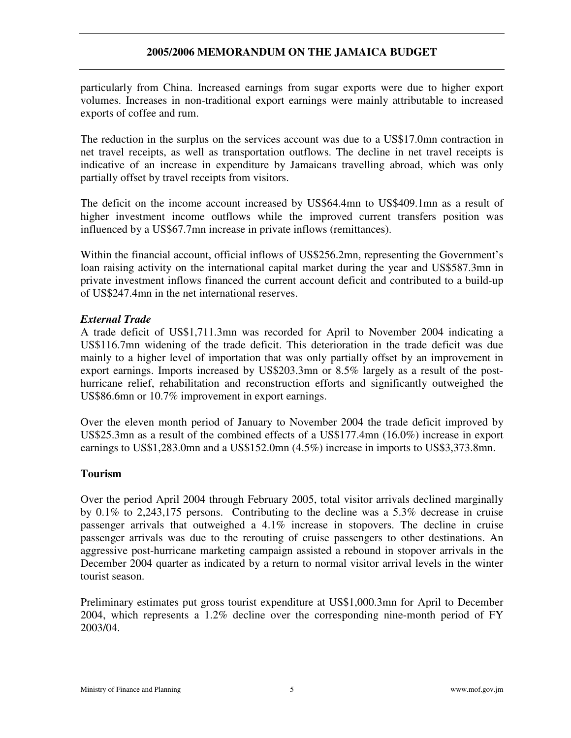particularly from China. Increased earnings from sugar exports were due to higher export volumes. Increases in non-traditional export earnings were mainly attributable to increased exports of coffee and rum.

The reduction in the surplus on the services account was due to a US\$17.0mn contraction in net travel receipts, as well as transportation outflows. The decline in net travel receipts is indicative of an increase in expenditure by Jamaicans travelling abroad, which was only partially offset by travel receipts from visitors.

The deficit on the income account increased by US\$64.4mn to US\$409.1mn as a result of higher investment income outflows while the improved current transfers position was influenced by a US\$67.7mn increase in private inflows (remittances).

Within the financial account, official inflows of US\$256.2mn, representing the Government's loan raising activity on the international capital market during the year and US\$587.3mn in private investment inflows financed the current account deficit and contributed to a build-up of US\$247.4mn in the net international reserves.

### *External Trade*

A trade deficit of US\$1,711.3mn was recorded for April to November 2004 indicating a US\$116.7mn widening of the trade deficit. This deterioration in the trade deficit was due mainly to a higher level of importation that was only partially offset by an improvement in export earnings. Imports increased by US\$203.3mn or 8.5% largely as a result of the posthurricane relief, rehabilitation and reconstruction efforts and significantly outweighed the US\$86.6mn or 10.7% improvement in export earnings.

Over the eleven month period of January to November 2004 the trade deficit improved by US\$25.3mn as a result of the combined effects of a US\$177.4mn (16.0%) increase in export earnings to US\$1,283.0mn and a US\$152.0mn (4.5%) increase in imports to US\$3,373.8mn.

### **Tourism**

Over the period April 2004 through February 2005, total visitor arrivals declined marginally by 0.1% to 2,243,175 persons. Contributing to the decline was a 5.3% decrease in cruise passenger arrivals that outweighed a 4.1% increase in stopovers. The decline in cruise passenger arrivals was due to the rerouting of cruise passengers to other destinations. An aggressive post-hurricane marketing campaign assisted a rebound in stopover arrivals in the December 2004 quarter as indicated by a return to normal visitor arrival levels in the winter tourist season.

Preliminary estimates put gross tourist expenditure at US\$1,000.3mn for April to December 2004, which represents a 1.2% decline over the corresponding nine-month period of FY 2003/04.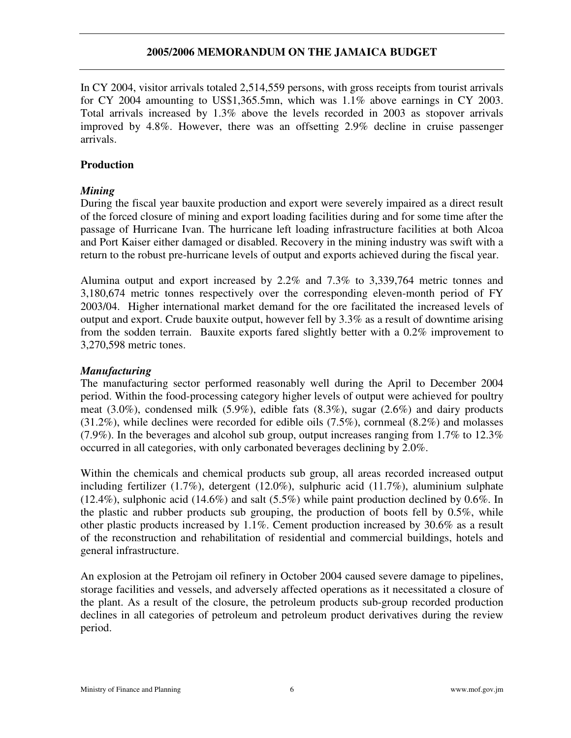In CY 2004, visitor arrivals totaled 2,514,559 persons, with gross receipts from tourist arrivals for CY 2004 amounting to US\$1,365.5mn, which was 1.1% above earnings in CY 2003. Total arrivals increased by 1.3% above the levels recorded in 2003 as stopover arrivals improved by 4.8%. However, there was an offsetting 2.9% decline in cruise passenger arrivals.

### **Production**

#### *Mining*

During the fiscal year bauxite production and export were severely impaired as a direct result of the forced closure of mining and export loading facilities during and for some time after the passage of Hurricane Ivan. The hurricane left loading infrastructure facilities at both Alcoa and Port Kaiser either damaged or disabled. Recovery in the mining industry was swift with a return to the robust pre-hurricane levels of output and exports achieved during the fiscal year.

Alumina output and export increased by 2.2% and 7.3% to 3,339,764 metric tonnes and 3,180,674 metric tonnes respectively over the corresponding eleven-month period of FY 2003/04. Higher international market demand for the ore facilitated the increased levels of output and export. Crude bauxite output, however fell by 3.3% as a result of downtime arising from the sodden terrain. Bauxite exports fared slightly better with a 0.2% improvement to 3,270,598 metric tones.

#### *Manufacturing*

The manufacturing sector performed reasonably well during the April to December 2004 period. Within the food-processing category higher levels of output were achieved for poultry meat (3.0%), condensed milk (5.9%), edible fats (8.3%), sugar (2.6%) and dairy products  $(31.2\%)$ , while declines were recorded for edible oils  $(7.5\%)$ , cornmeal  $(8.2\%)$  and molasses (7.9%). In the beverages and alcohol sub group, output increases ranging from 1.7% to 12.3% occurred in all categories, with only carbonated beverages declining by 2.0%.

Within the chemicals and chemical products sub group, all areas recorded increased output including fertilizer (1.7%), detergent (12.0%), sulphuric acid (11.7%), aluminium sulphate (12.4%), sulphonic acid (14.6%) and salt (5.5%) while paint production declined by 0.6%. In the plastic and rubber products sub grouping, the production of boots fell by 0.5%, while other plastic products increased by 1.1%. Cement production increased by 30.6% as a result of the reconstruction and rehabilitation of residential and commercial buildings, hotels and general infrastructure.

An explosion at the Petrojam oil refinery in October 2004 caused severe damage to pipelines, storage facilities and vessels, and adversely affected operations as it necessitated a closure of the plant. As a result of the closure, the petroleum products sub-group recorded production declines in all categories of petroleum and petroleum product derivatives during the review period.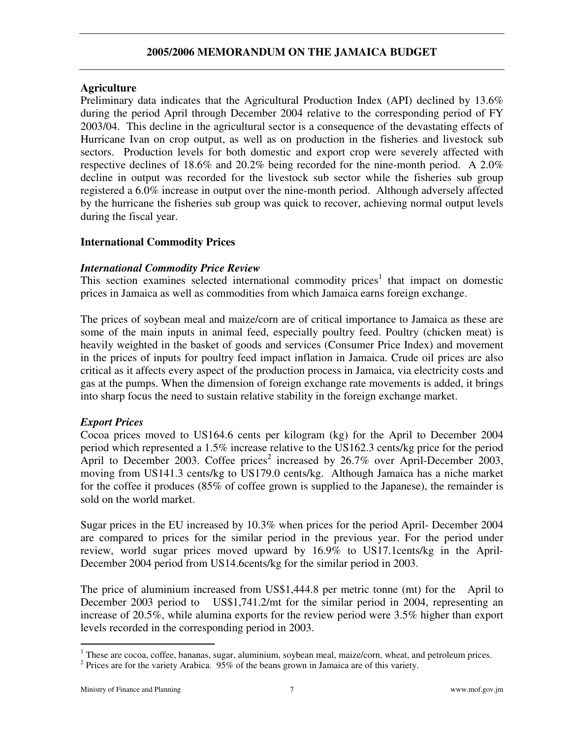#### **Agriculture**

Preliminary data indicates that the Agricultural Production Index (API) declined by 13.6% during the period April through December 2004 relative to the corresponding period of FY 2003/04. This decline in the agricultural sector is a consequence of the devastating effects of Hurricane Ivan on crop output, as well as on production in the fisheries and livestock sub sectors. Production levels for both domestic and export crop were severely affected with respective declines of 18.6% and 20.2% being recorded for the nine-month period. A 2.0% decline in output was recorded for the livestock sub sector while the fisheries sub group registered a 6.0% increase in output over the nine-month period. Although adversely affected by the hurricane the fisheries sub group was quick to recover, achieving normal output levels during the fiscal year.

### **International Commodity Prices**

#### *International Commodity Price Review*

This section examines selected international commodity prices<sup>1</sup> that impact on domestic prices in Jamaica as well as commodities from which Jamaica earns foreign exchange.

The prices of soybean meal and maize/corn are of critical importance to Jamaica as these are some of the main inputs in animal feed, especially poultry feed. Poultry (chicken meat) is heavily weighted in the basket of goods and services (Consumer Price Index) and movement in the prices of inputs for poultry feed impact inflation in Jamaica. Crude oil prices are also critical as it affects every aspect of the production process in Jamaica, via electricity costs and gas at the pumps. When the dimension of foreign exchange rate movements is added, it brings into sharp focus the need to sustain relative stability in the foreign exchange market.

### *Export Prices*

Cocoa prices moved to US164.6 cents per kilogram (kg) for the April to December 2004 period which represented a 1.5% increase relative to the US162.3 cents/kg price for the period April to December 2003. Coffee prices<sup>2</sup> increased by 26.7% over April-December 2003, moving from US141.3 cents/kg to US179.0 cents/kg. Although Jamaica has a niche market for the coffee it produces (85% of coffee grown is supplied to the Japanese), the remainder is sold on the world market.

Sugar prices in the EU increased by 10.3% when prices for the period April- December 2004 are compared to prices for the similar period in the previous year. For the period under review, world sugar prices moved upward by 16.9% to US17.1cents/kg in the April-December 2004 period from US14.6cents/kg for the similar period in 2003.

The price of aluminium increased from US\$1,444.8 per metric tonne (mt) for the April to December 2003 period to US\$1,741.2/mt for the similar period in 2004, representing an increase of 20.5%, while alumina exports for the review period were 3.5% higher than export levels recorded in the corresponding period in 2003.

 $1$  These are cocoa, coffee, bananas, sugar, aluminium, soybean meal, maize/corn, wheat, and petroleum prices.

<sup>&</sup>lt;sup>2</sup> Prices are for the variety Arabica.  $95\%$  of the beans grown in Jamaica are of this variety.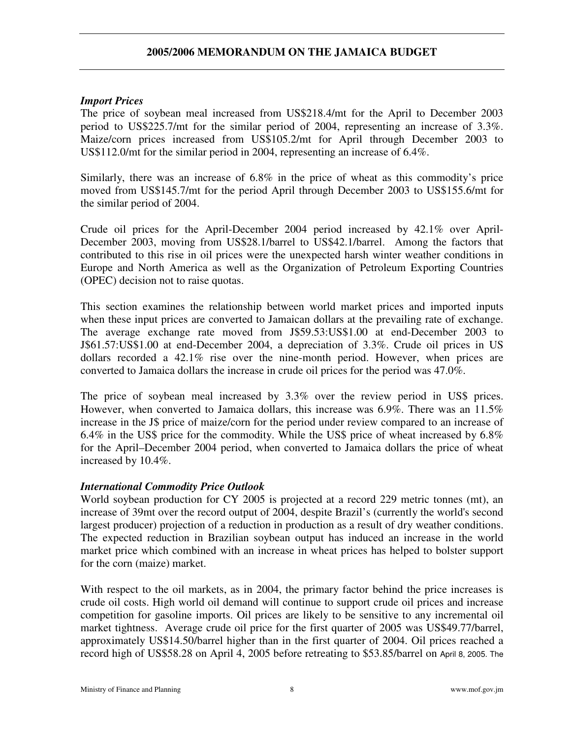#### *Import Prices*

The price of soybean meal increased from US\$218.4/mt for the April to December 2003 period to US\$225.7/mt for the similar period of 2004, representing an increase of 3.3%. Maize/corn prices increased from US\$105.2/mt for April through December 2003 to US\$112.0/mt for the similar period in 2004, representing an increase of 6.4%.

Similarly, there was an increase of 6.8% in the price of wheat as this commodity's price moved from US\$145.7/mt for the period April through December 2003 to US\$155.6/mt for the similar period of 2004.

Crude oil prices for the April-December 2004 period increased by 42.1% over April-December 2003, moving from US\$28.1/barrel to US\$42.1/barrel. Among the factors that contributed to this rise in oil prices were the unexpected harsh winter weather conditions in Europe and North America as well as the Organization of Petroleum Exporting Countries (OPEC) decision not to raise quotas.

This section examines the relationship between world market prices and imported inputs when these input prices are converted to Jamaican dollars at the prevailing rate of exchange. The average exchange rate moved from J\$59.53:US\$1.00 at end-December 2003 to J\$61.57:US\$1.00 at end-December 2004, a depreciation of 3.3%. Crude oil prices in US dollars recorded a 42.1% rise over the nine-month period. However, when prices are converted to Jamaica dollars the increase in crude oil prices for the period was 47.0%.

The price of soybean meal increased by 3.3% over the review period in US\$ prices. However, when converted to Jamaica dollars, this increase was 6.9%. There was an 11.5% increase in the J\$ price of maize/corn for the period under review compared to an increase of 6.4% in the US\$ price for the commodity. While the US\$ price of wheat increased by 6.8% for the April–December 2004 period, when converted to Jamaica dollars the price of wheat increased by 10.4%.

### *International Commodity Price Outlook*

World soybean production for CY 2005 is projected at a record 229 metric tonnes (mt), an increase of 39mt over the record output of 2004, despite Brazil's (currently the world's second largest producer) projection of a reduction in production as a result of dry weather conditions. The expected reduction in Brazilian soybean output has induced an increase in the world market price which combined with an increase in wheat prices has helped to bolster support for the corn (maize) market.

With respect to the oil markets, as in 2004, the primary factor behind the price increases is crude oil costs. High world oil demand will continue to support crude oil prices and increase competition for gasoline imports. Oil prices are likely to be sensitive to any incremental oil market tightness. Average crude oil price for the first quarter of 2005 was US\$49.77/barrel, approximately US\$14.50/barrel higher than in the first quarter of 2004. Oil prices reached a record high of US\$58.28 on April 4, 2005 before retreating to \$53.85/barrel on April 8, 2005. The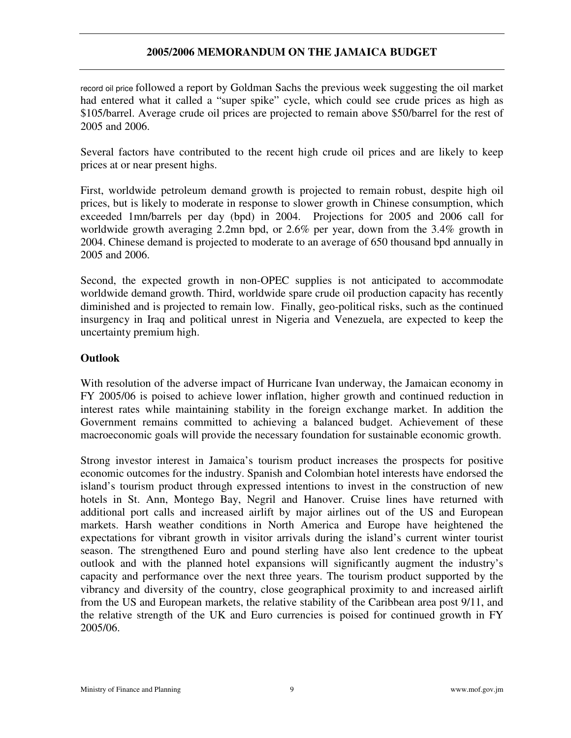record oil price followed a report by Goldman Sachs the previous week suggesting the oil market had entered what it called a "super spike" cycle, which could see crude prices as high as \$105/barrel. Average crude oil prices are projected to remain above \$50/barrel for the rest of 2005 and 2006.

Several factors have contributed to the recent high crude oil prices and are likely to keep prices at or near present highs.

First, worldwide petroleum demand growth is projected to remain robust, despite high oil prices, but is likely to moderate in response to slower growth in Chinese consumption, which exceeded 1mn/barrels per day (bpd) in 2004. Projections for 2005 and 2006 call for worldwide growth averaging 2.2mn bpd, or 2.6% per year, down from the 3.4% growth in 2004. Chinese demand is projected to moderate to an average of 650 thousand bpd annually in 2005 and 2006.

Second, the expected growth in non-OPEC supplies is not anticipated to accommodate worldwide demand growth. Third, worldwide spare crude oil production capacity has recently diminished and is projected to remain low. Finally, geo-political risks, such as the continued insurgency in Iraq and political unrest in Nigeria and Venezuela, are expected to keep the uncertainty premium high.

### **Outlook**

With resolution of the adverse impact of Hurricane Ivan underway, the Jamaican economy in FY 2005/06 is poised to achieve lower inflation, higher growth and continued reduction in interest rates while maintaining stability in the foreign exchange market. In addition the Government remains committed to achieving a balanced budget. Achievement of these macroeconomic goals will provide the necessary foundation for sustainable economic growth.

Strong investor interest in Jamaica's tourism product increases the prospects for positive economic outcomes for the industry. Spanish and Colombian hotel interests have endorsed the island's tourism product through expressed intentions to invest in the construction of new hotels in St. Ann, Montego Bay, Negril and Hanover. Cruise lines have returned with additional port calls and increased airlift by major airlines out of the US and European markets. Harsh weather conditions in North America and Europe have heightened the expectations for vibrant growth in visitor arrivals during the island's current winter tourist season. The strengthened Euro and pound sterling have also lent credence to the upbeat outlook and with the planned hotel expansions will significantly augment the industry's capacity and performance over the next three years. The tourism product supported by the vibrancy and diversity of the country, close geographical proximity to and increased airlift from the US and European markets, the relative stability of the Caribbean area post 9/11, and the relative strength of the UK and Euro currencies is poised for continued growth in FY 2005/06.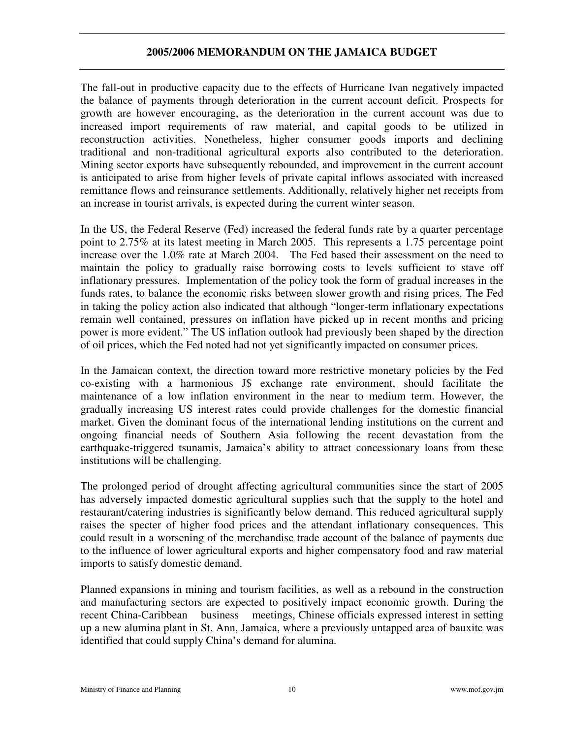The fall-out in productive capacity due to the effects of Hurricane Ivan negatively impacted the balance of payments through deterioration in the current account deficit. Prospects for growth are however encouraging, as the deterioration in the current account was due to increased import requirements of raw material, and capital goods to be utilized in reconstruction activities. Nonetheless, higher consumer goods imports and declining traditional and non-traditional agricultural exports also contributed to the deterioration. Mining sector exports have subsequently rebounded, and improvement in the current account is anticipated to arise from higher levels of private capital inflows associated with increased remittance flows and reinsurance settlements. Additionally, relatively higher net receipts from an increase in tourist arrivals, is expected during the current winter season.

In the US, the Federal Reserve (Fed) increased the federal funds rate by a quarter percentage point to 2.75% at its latest meeting in March 2005. This represents a 1.75 percentage point increase over the 1.0% rate at March 2004. The Fed based their assessment on the need to maintain the policy to gradually raise borrowing costs to levels sufficient to stave off inflationary pressures. Implementation of the policy took the form of gradual increases in the funds rates, to balance the economic risks between slower growth and rising prices. The Fed in taking the policy action also indicated that although "longer-term inflationary expectations remain well contained, pressures on inflation have picked up in recent months and pricing power is more evident." The US inflation outlook had previously been shaped by the direction of oil prices, which the Fed noted had not yet significantly impacted on consumer prices.

In the Jamaican context, the direction toward more restrictive monetary policies by the Fed co-existing with a harmonious J\$ exchange rate environment, should facilitate the maintenance of a low inflation environment in the near to medium term. However, the gradually increasing US interest rates could provide challenges for the domestic financial market. Given the dominant focus of the international lending institutions on the current and ongoing financial needs of Southern Asia following the recent devastation from the earthquake-triggered tsunamis, Jamaica's ability to attract concessionary loans from these institutions will be challenging.

The prolonged period of drought affecting agricultural communities since the start of 2005 has adversely impacted domestic agricultural supplies such that the supply to the hotel and restaurant/catering industries is significantly below demand. This reduced agricultural supply raises the specter of higher food prices and the attendant inflationary consequences. This could result in a worsening of the merchandise trade account of the balance of payments due to the influence of lower agricultural exports and higher compensatory food and raw material imports to satisfy domestic demand.

Planned expansions in mining and tourism facilities, as well as a rebound in the construction and manufacturing sectors are expected to positively impact economic growth. During the recent China-Caribbean business meetings, Chinese officials expressed interest in setting up a new alumina plant in St. Ann, Jamaica, where a previously untapped area of bauxite was identified that could supply China's demand for alumina.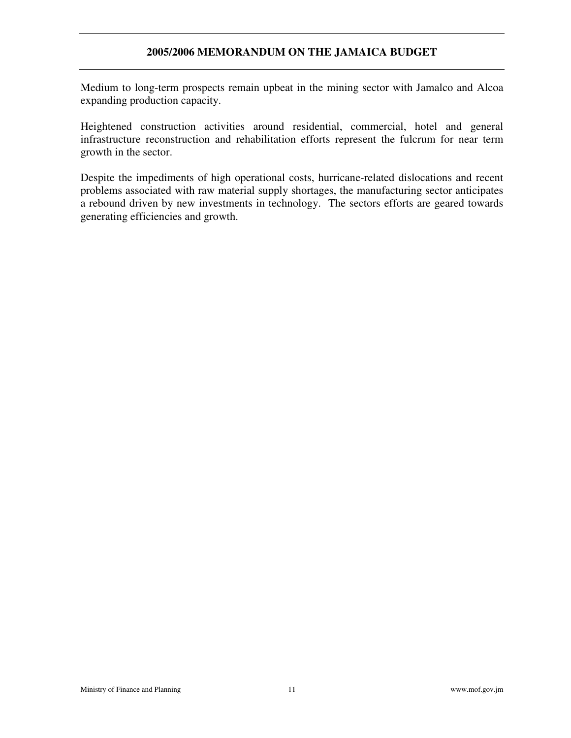Medium to long-term prospects remain upbeat in the mining sector with Jamalco and Alcoa expanding production capacity.

Heightened construction activities around residential, commercial, hotel and general infrastructure reconstruction and rehabilitation efforts represent the fulcrum for near term growth in the sector.

Despite the impediments of high operational costs, hurricane-related dislocations and recent problems associated with raw material supply shortages, the manufacturing sector anticipates a rebound driven by new investments in technology. The sectors efforts are geared towards generating efficiencies and growth.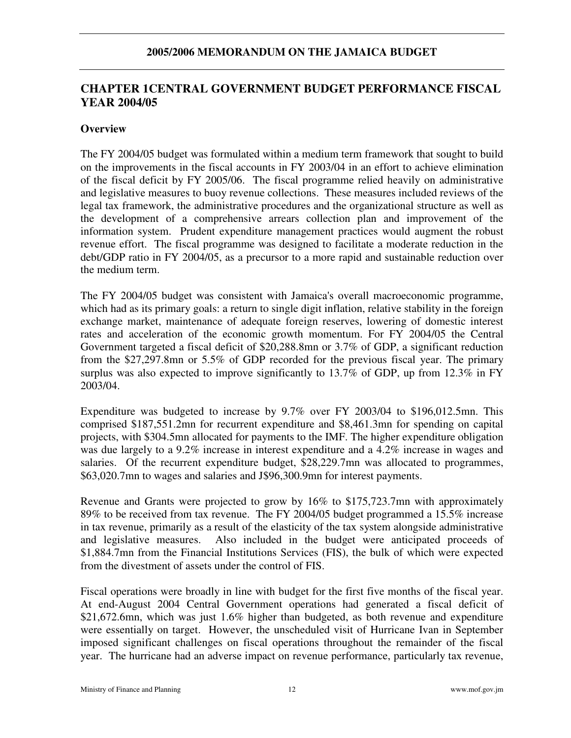# **CHAPTER 1CENTRAL GOVERNMENT BUDGET PERFORMANCE FISCAL YEAR 2004/05**

#### **Overview**

The FY 2004/05 budget was formulated within a medium term framework that sought to build on the improvements in the fiscal accounts in FY 2003/04 in an effort to achieve elimination of the fiscal deficit by FY 2005/06. The fiscal programme relied heavily on administrative and legislative measures to buoy revenue collections. These measures included reviews of the legal tax framework, the administrative procedures and the organizational structure as well as the development of a comprehensive arrears collection plan and improvement of the information system. Prudent expenditure management practices would augment the robust revenue effort. The fiscal programme was designed to facilitate a moderate reduction in the debt/GDP ratio in FY 2004/05, as a precursor to a more rapid and sustainable reduction over the medium term.

The FY 2004/05 budget was consistent with Jamaica's overall macroeconomic programme, which had as its primary goals: a return to single digit inflation, relative stability in the foreign exchange market, maintenance of adequate foreign reserves, lowering of domestic interest rates and acceleration of the economic growth momentum. For FY 2004/05 the Central Government targeted a fiscal deficit of \$20,288.8mn or 3.7% of GDP, a significant reduction from the \$27,297.8mn or 5.5% of GDP recorded for the previous fiscal year. The primary surplus was also expected to improve significantly to 13.7% of GDP, up from 12.3% in FY 2003/04.

Expenditure was budgeted to increase by 9.7% over FY 2003/04 to \$196,012.5mn. This comprised \$187,551.2mn for recurrent expenditure and \$8,461.3mn for spending on capital projects, with \$304.5mn allocated for payments to the IMF. The higher expenditure obligation was due largely to a 9.2% increase in interest expenditure and a 4.2% increase in wages and salaries. Of the recurrent expenditure budget, \$28,229.7mn was allocated to programmes, \$63,020.7mn to wages and salaries and J\$96,300.9mn for interest payments.

Revenue and Grants were projected to grow by 16% to \$175,723.7mn with approximately 89% to be received from tax revenue. The FY 2004/05 budget programmed a 15.5% increase in tax revenue, primarily as a result of the elasticity of the tax system alongside administrative and legislative measures. Also included in the budget were anticipated proceeds of \$1,884.7mn from the Financial Institutions Services (FIS), the bulk of which were expected from the divestment of assets under the control of FIS.

Fiscal operations were broadly in line with budget for the first five months of the fiscal year. At end-August 2004 Central Government operations had generated a fiscal deficit of \$21,672.6mn, which was just 1.6% higher than budgeted, as both revenue and expenditure were essentially on target. However, the unscheduled visit of Hurricane Ivan in September imposed significant challenges on fiscal operations throughout the remainder of the fiscal year. The hurricane had an adverse impact on revenue performance, particularly tax revenue,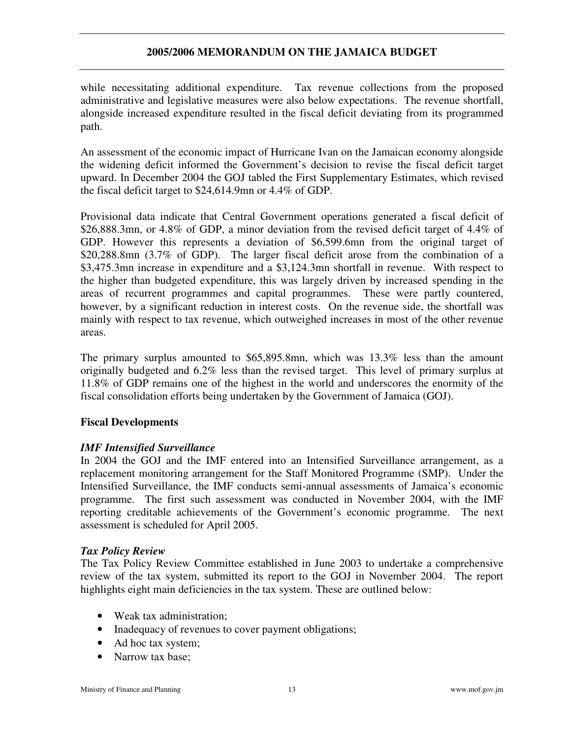while necessitating additional expenditure. Tax revenue collections from the proposed administrative and legislative measures were also below expectations. The revenue shortfall, alongside increased expenditure resulted in the fiscal deficit deviating from its programmed path.

An assessment of the economic impact of Hurricane Ivan on the Jamaican economy alongside the widening deficit informed the Government's decision to revise the fiscal deficit target upward. In December 2004 the GOJ tabled the First Supplementary Estimates, which revised the fiscal deficit target to \$24,614.9mn or 4.4% of GDP.

Provisional data indicate that Central Government operations generated a fiscal deficit of \$26,888.3mn, or 4.8% of GDP, a minor deviation from the revised deficit target of 4.4% of GDP. However this represents a deviation of \$6,599.6mn from the original target of \$20,288.8mn (3.7% of GDP). The larger fiscal deficit arose from the combination of a \$3,475.3mn increase in expenditure and a \$3,124.3mn shortfall in revenue. With respect to the higher than budgeted expenditure, this was largely driven by increased spending in the areas of recurrent programmes and capital programmes. These were partly countered, however, by a significant reduction in interest costs. On the revenue side, the shortfall was mainly with respect to tax revenue, which outweighed increases in most of the other revenue areas.

The primary surplus amounted to \$65,895.8mn, which was 13.3% less than the amount originally budgeted and 6.2% less than the revised target. This level of primary surplus at 11.8% of GDP remains one of the highest in the world and underscores the enormity of the fiscal consolidation efforts being undertaken by the Government of Jamaica (GOJ).

### **Fiscal Developments**

### *IMF Intensified Surveillance*

In 2004 the GOJ and the IMF entered into an Intensified Surveillance arrangement, as a replacement monitoring arrangement for the Staff Monitored Programme (SMP). Under the Intensified Surveillance, the IMF conducts semi-annual assessments of Jamaica's economic programme. The first such assessment was conducted in November 2004, with the IMF reporting creditable achievements of the Government's economic programme. The next assessment is scheduled for April 2005.

### *Tax Policy Review*

The Tax Policy Review Committee established in June 2003 to undertake a comprehensive review of the tax system, submitted its report to the GOJ in November 2004. The report highlights eight main deficiencies in the tax system. These are outlined below:

- Weak tax administration;
- Inadequacy of revenues to cover payment obligations;
- Ad hoc tax system;
- Narrow tax base: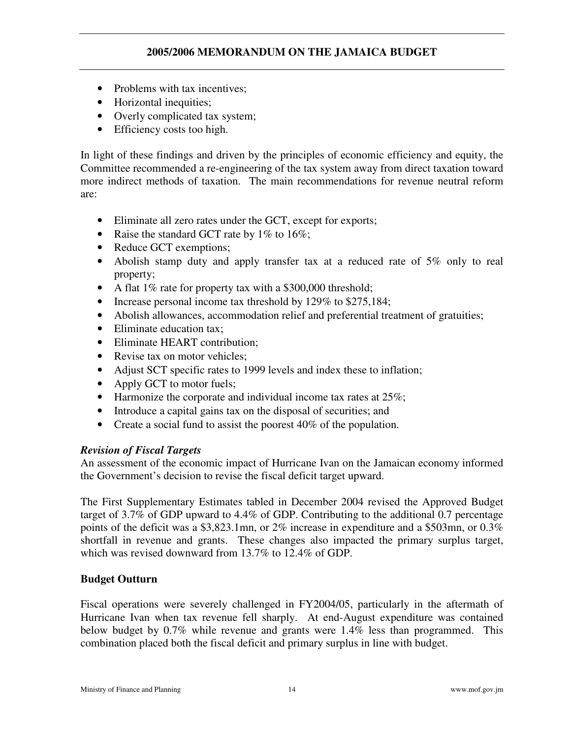- Problems with tax incentives;
- Horizontal inequities;
- Overly complicated tax system;
- Efficiency costs too high.

In light of these findings and driven by the principles of economic efficiency and equity, the Committee recommended a re-engineering of the tax system away from direct taxation toward more indirect methods of taxation. The main recommendations for revenue neutral reform are:

- Eliminate all zero rates under the GCT, except for exports;
- Raise the standard GCT rate by  $1\%$  to  $16\%;$
- Reduce GCT exemptions;
- Abolish stamp duty and apply transfer tax at a reduced rate of 5% only to real property;
- A flat 1\% rate for property tax with a \$300,000 threshold;
- Increase personal income tax threshold by 129% to \$275,184;
- Abolish allowances, accommodation relief and preferential treatment of gratuities;
- Eliminate education tax:
- Eliminate HEART contribution:
- Revise tax on motor vehicles:
- Adjust SCT specific rates to 1999 levels and index these to inflation;
- Apply GCT to motor fuels;
- Harmonize the corporate and individual income tax rates at  $25\%$ ;
- Introduce a capital gains tax on the disposal of securities; and
- Create a social fund to assist the poorest 40% of the population.

### *Revision of Fiscal Targets*

An assessment of the economic impact of Hurricane Ivan on the Jamaican economy informed the Government's decision to revise the fiscal deficit target upward.

The First Supplementary Estimates tabled in December 2004 revised the Approved Budget target of 3.7% of GDP upward to 4.4% of GDP. Contributing to the additional 0.7 percentage points of the deficit was a \$3,823.1mn, or 2% increase in expenditure and a \$503mn, or 0.3% shortfall in revenue and grants. These changes also impacted the primary surplus target, which was revised downward from 13.7% to 12.4% of GDP.

### **Budget Outturn**

Fiscal operations were severely challenged in FY2004/05, particularly in the aftermath of Hurricane Ivan when tax revenue fell sharply. At end-August expenditure was contained below budget by 0.7% while revenue and grants were 1.4% less than programmed. This combination placed both the fiscal deficit and primary surplus in line with budget.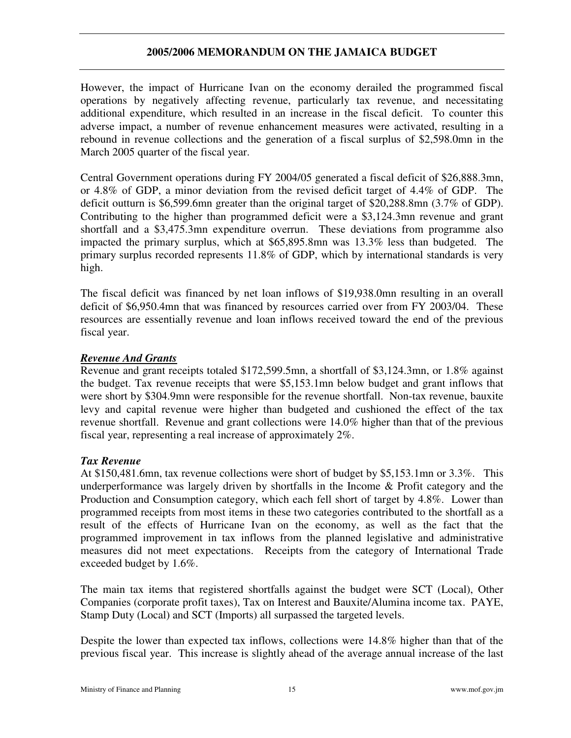However, the impact of Hurricane Ivan on the economy derailed the programmed fiscal operations by negatively affecting revenue, particularly tax revenue, and necessitating additional expenditure, which resulted in an increase in the fiscal deficit. To counter this adverse impact, a number of revenue enhancement measures were activated, resulting in a rebound in revenue collections and the generation of a fiscal surplus of \$2,598.0mn in the March 2005 quarter of the fiscal year.

Central Government operations during FY 2004/05 generated a fiscal deficit of \$26,888.3mn, or 4.8% of GDP, a minor deviation from the revised deficit target of 4.4% of GDP. The deficit outturn is \$6,599.6mn greater than the original target of \$20,288.8mn (3.7% of GDP). Contributing to the higher than programmed deficit were a \$3,124.3mn revenue and grant shortfall and a \$3,475.3mn expenditure overrun. These deviations from programme also impacted the primary surplus, which at \$65,895.8mn was 13.3% less than budgeted. The primary surplus recorded represents 11.8% of GDP, which by international standards is very high.

The fiscal deficit was financed by net loan inflows of \$19,938.0mn resulting in an overall deficit of \$6,950.4mn that was financed by resources carried over from FY 2003/04. These resources are essentially revenue and loan inflows received toward the end of the previous fiscal year.

### *Revenue And Grants*

Revenue and grant receipts totaled \$172,599.5mn, a shortfall of \$3,124.3mn, or 1.8% against the budget. Tax revenue receipts that were \$5,153.1mn below budget and grant inflows that were short by \$304.9mn were responsible for the revenue shortfall. Non-tax revenue, bauxite levy and capital revenue were higher than budgeted and cushioned the effect of the tax revenue shortfall. Revenue and grant collections were 14.0% higher than that of the previous fiscal year, representing a real increase of approximately 2%.

# *Tax Revenue*

At \$150,481.6mn, tax revenue collections were short of budget by \$5,153.1mn or 3.3%. This underperformance was largely driven by shortfalls in the Income  $\&$  Profit category and the Production and Consumption category, which each fell short of target by 4.8%. Lower than programmed receipts from most items in these two categories contributed to the shortfall as a result of the effects of Hurricane Ivan on the economy, as well as the fact that the programmed improvement in tax inflows from the planned legislative and administrative measures did not meet expectations. Receipts from the category of International Trade exceeded budget by 1.6%.

The main tax items that registered shortfalls against the budget were SCT (Local), Other Companies (corporate profit taxes), Tax on Interest and Bauxite/Alumina income tax. PAYE, Stamp Duty (Local) and SCT (Imports) all surpassed the targeted levels.

Despite the lower than expected tax inflows, collections were 14.8% higher than that of the previous fiscal year. This increase is slightly ahead of the average annual increase of the last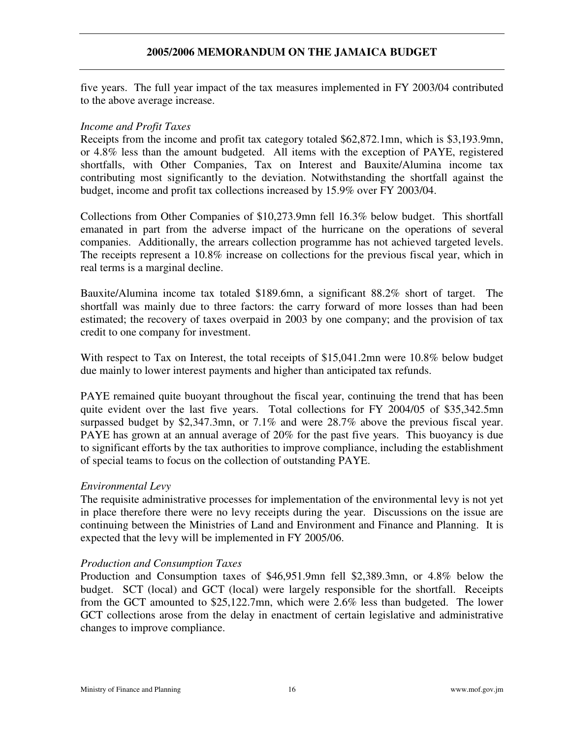five years. The full year impact of the tax measures implemented in FY 2003/04 contributed to the above average increase.

#### *Income and Profit Taxes*

Receipts from the income and profit tax category totaled \$62,872.1mn, which is \$3,193.9mn, or 4.8% less than the amount budgeted. All items with the exception of PAYE, registered shortfalls, with Other Companies, Tax on Interest and Bauxite/Alumina income tax contributing most significantly to the deviation. Notwithstanding the shortfall against the budget, income and profit tax collections increased by 15.9% over FY 2003/04.

Collections from Other Companies of \$10,273.9mn fell 16.3% below budget. This shortfall emanated in part from the adverse impact of the hurricane on the operations of several companies. Additionally, the arrears collection programme has not achieved targeted levels. The receipts represent a 10.8% increase on collections for the previous fiscal year, which in real terms is a marginal decline.

Bauxite/Alumina income tax totaled \$189.6mn, a significant 88.2% short of target. The shortfall was mainly due to three factors: the carry forward of more losses than had been estimated; the recovery of taxes overpaid in 2003 by one company; and the provision of tax credit to one company for investment.

With respect to Tax on Interest, the total receipts of \$15,041.2mn were 10.8% below budget due mainly to lower interest payments and higher than anticipated tax refunds.

PAYE remained quite buoyant throughout the fiscal year, continuing the trend that has been quite evident over the last five years. Total collections for FY 2004/05 of \$35,342.5mn surpassed budget by \$2,347.3mn, or 7.1% and were 28.7% above the previous fiscal year. PAYE has grown at an annual average of 20% for the past five years. This buoyancy is due to significant efforts by the tax authorities to improve compliance, including the establishment of special teams to focus on the collection of outstanding PAYE.

#### *Environmental Levy*

The requisite administrative processes for implementation of the environmental levy is not yet in place therefore there were no levy receipts during the year. Discussions on the issue are continuing between the Ministries of Land and Environment and Finance and Planning. It is expected that the levy will be implemented in FY 2005/06.

### *Production and Consumption Taxes*

Production and Consumption taxes of \$46,951.9mn fell \$2,389.3mn, or 4.8% below the budget. SCT (local) and GCT (local) were largely responsible for the shortfall. Receipts from the GCT amounted to \$25,122.7mn, which were 2.6% less than budgeted. The lower GCT collections arose from the delay in enactment of certain legislative and administrative changes to improve compliance.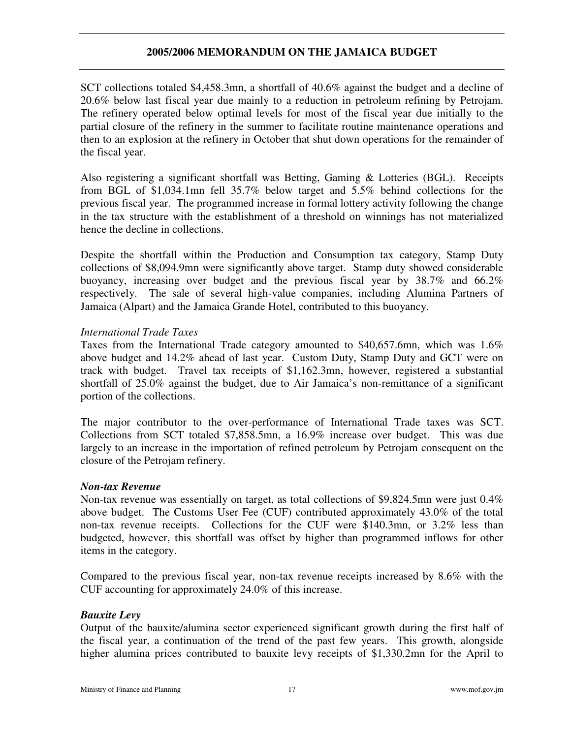SCT collections totaled \$4,458.3mn, a shortfall of 40.6% against the budget and a decline of 20.6% below last fiscal year due mainly to a reduction in petroleum refining by Petrojam. The refinery operated below optimal levels for most of the fiscal year due initially to the partial closure of the refinery in the summer to facilitate routine maintenance operations and then to an explosion at the refinery in October that shut down operations for the remainder of the fiscal year.

Also registering a significant shortfall was Betting, Gaming & Lotteries (BGL). Receipts from BGL of \$1,034.1mn fell 35.7% below target and 5.5% behind collections for the previous fiscal year. The programmed increase in formal lottery activity following the change in the tax structure with the establishment of a threshold on winnings has not materialized hence the decline in collections.

Despite the shortfall within the Production and Consumption tax category, Stamp Duty collections of \$8,094.9mn were significantly above target. Stamp duty showed considerable buoyancy, increasing over budget and the previous fiscal year by 38.7% and 66.2% respectively. The sale of several high-value companies, including Alumina Partners of Jamaica (Alpart) and the Jamaica Grande Hotel, contributed to this buoyancy.

### *International Trade Taxes*

Taxes from the International Trade category amounted to \$40,657.6mn, which was 1.6% above budget and 14.2% ahead of last year. Custom Duty, Stamp Duty and GCT were on track with budget. Travel tax receipts of \$1,162.3mn, however, registered a substantial shortfall of 25.0% against the budget, due to Air Jamaica's non-remittance of a significant portion of the collections.

The major contributor to the over-performance of International Trade taxes was SCT. Collections from SCT totaled \$7,858.5mn, a 16.9% increase over budget. This was due largely to an increase in the importation of refined petroleum by Petrojam consequent on the closure of the Petrojam refinery.

### *Non-tax Revenue*

Non-tax revenue was essentially on target, as total collections of \$9,824.5mn were just 0.4% above budget. The Customs User Fee (CUF) contributed approximately 43.0% of the total non-tax revenue receipts. Collections for the CUF were \$140.3mn, or 3.2% less than budgeted, however, this shortfall was offset by higher than programmed inflows for other items in the category.

Compared to the previous fiscal year, non-tax revenue receipts increased by 8.6% with the CUF accounting for approximately 24.0% of this increase.

### *Bauxite Levy*

Output of the bauxite/alumina sector experienced significant growth during the first half of the fiscal year, a continuation of the trend of the past few years. This growth, alongside higher alumina prices contributed to bauxite levy receipts of \$1,330.2mn for the April to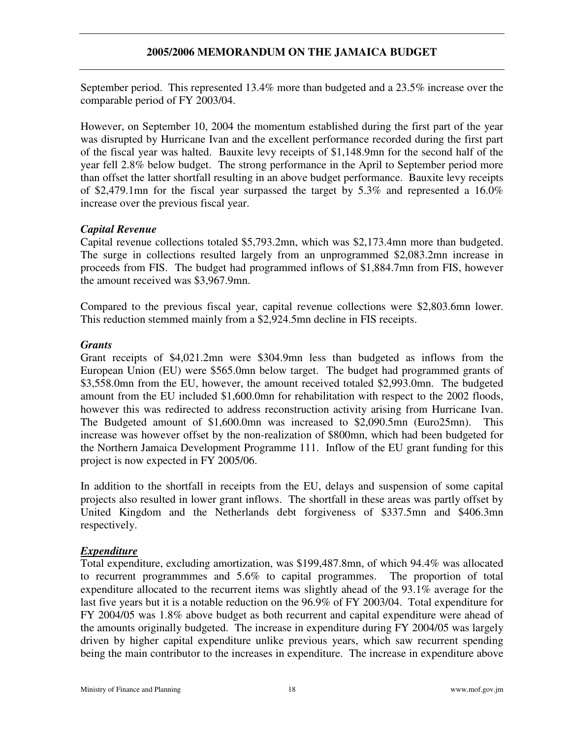September period. This represented 13.4% more than budgeted and a 23.5% increase over the comparable period of FY 2003/04.

However, on September 10, 2004 the momentum established during the first part of the year was disrupted by Hurricane Ivan and the excellent performance recorded during the first part of the fiscal year was halted. Bauxite levy receipts of \$1,148.9mn for the second half of the year fell 2.8% below budget. The strong performance in the April to September period more than offset the latter shortfall resulting in an above budget performance. Bauxite levy receipts of \$2,479.1mn for the fiscal year surpassed the target by 5.3% and represented a 16.0% increase over the previous fiscal year.

# *Capital Revenue*

Capital revenue collections totaled \$5,793.2mn, which was \$2,173.4mn more than budgeted. The surge in collections resulted largely from an unprogrammed \$2,083.2mn increase in proceeds from FIS. The budget had programmed inflows of \$1,884.7mn from FIS, however the amount received was \$3,967.9mn.

Compared to the previous fiscal year, capital revenue collections were \$2,803.6mn lower. This reduction stemmed mainly from a \$2,924.5mn decline in FIS receipts.

### *Grants*

Grant receipts of \$4,021.2mn were \$304.9mn less than budgeted as inflows from the European Union (EU) were \$565.0mn below target. The budget had programmed grants of \$3,558.0mn from the EU, however, the amount received totaled \$2,993.0mn. The budgeted amount from the EU included \$1,600.0mn for rehabilitation with respect to the 2002 floods, however this was redirected to address reconstruction activity arising from Hurricane Ivan. The Budgeted amount of \$1,600.0mn was increased to \$2,090.5mn (Euro25mn). This increase was however offset by the non-realization of \$800mn, which had been budgeted for the Northern Jamaica Development Programme 111. Inflow of the EU grant funding for this project is now expected in FY 2005/06.

In addition to the shortfall in receipts from the EU, delays and suspension of some capital projects also resulted in lower grant inflows. The shortfall in these areas was partly offset by United Kingdom and the Netherlands debt forgiveness of \$337.5mn and \$406.3mn respectively.

### *Expenditure*

Total expenditure, excluding amortization, was \$199,487.8mn, of which 94.4% was allocated to recurrent programmmes and 5.6% to capital programmes. The proportion of total expenditure allocated to the recurrent items was slightly ahead of the 93.1% average for the last five years but it is a notable reduction on the 96.9% of FY 2003/04. Total expenditure for FY 2004/05 was 1.8% above budget as both recurrent and capital expenditure were ahead of the amounts originally budgeted. The increase in expenditure during FY 2004/05 was largely driven by higher capital expenditure unlike previous years, which saw recurrent spending being the main contributor to the increases in expenditure. The increase in expenditure above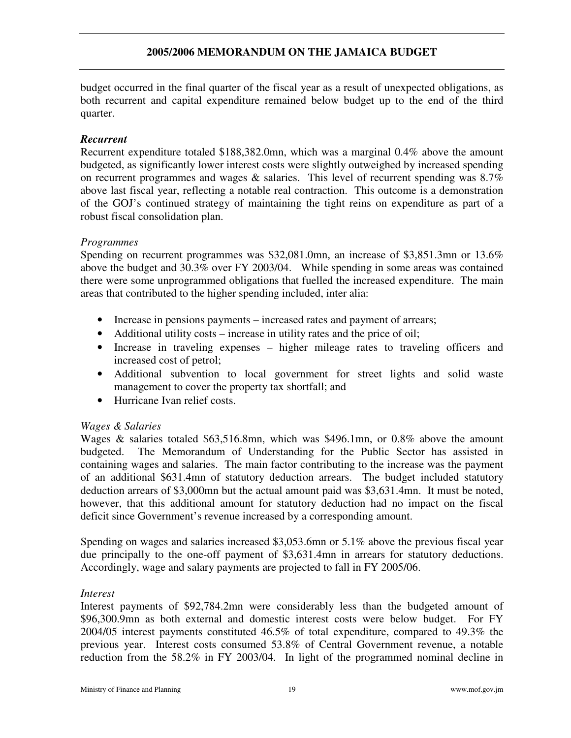budget occurred in the final quarter of the fiscal year as a result of unexpected obligations, as both recurrent and capital expenditure remained below budget up to the end of the third quarter.

### *Recurrent*

Recurrent expenditure totaled \$188,382.0mn, which was a marginal 0.4% above the amount budgeted, as significantly lower interest costs were slightly outweighed by increased spending on recurrent programmes and wages  $\&$  salaries. This level of recurrent spending was 8.7% above last fiscal year, reflecting a notable real contraction. This outcome is a demonstration of the GOJ's continued strategy of maintaining the tight reins on expenditure as part of a robust fiscal consolidation plan.

### *Programmes*

Spending on recurrent programmes was \$32,081.0mn, an increase of \$3,851.3mn or 13.6% above the budget and 30.3% over FY 2003/04. While spending in some areas was contained there were some unprogrammed obligations that fuelled the increased expenditure. The main areas that contributed to the higher spending included, inter alia:

- Increase in pensions payments increased rates and payment of arrears;
- Additional utility costs increase in utility rates and the price of oil;
- Increase in traveling expenses higher mileage rates to traveling officers and increased cost of petrol;
- Additional subvention to local government for street lights and solid waste management to cover the property tax shortfall; and
- Hurricane Ivan relief costs.

### *Wages & Salaries*

Wages & salaries totaled \$63,516.8mn, which was \$496.1mn, or 0.8% above the amount budgeted. The Memorandum of Understanding for the Public Sector has assisted in containing wages and salaries. The main factor contributing to the increase was the payment of an additional \$631.4mn of statutory deduction arrears. The budget included statutory deduction arrears of \$3,000mn but the actual amount paid was \$3,631.4mn. It must be noted, however, that this additional amount for statutory deduction had no impact on the fiscal deficit since Government's revenue increased by a corresponding amount.

Spending on wages and salaries increased \$3,053.6mn or 5.1% above the previous fiscal year due principally to the one-off payment of \$3,631.4mn in arrears for statutory deductions. Accordingly, wage and salary payments are projected to fall in FY 2005/06.

### *Interest*

Interest payments of \$92,784.2mn were considerably less than the budgeted amount of \$96,300.9mn as both external and domestic interest costs were below budget. For FY 2004/05 interest payments constituted 46.5% of total expenditure, compared to 49.3% the previous year. Interest costs consumed 53.8% of Central Government revenue, a notable reduction from the 58.2% in FY 2003/04. In light of the programmed nominal decline in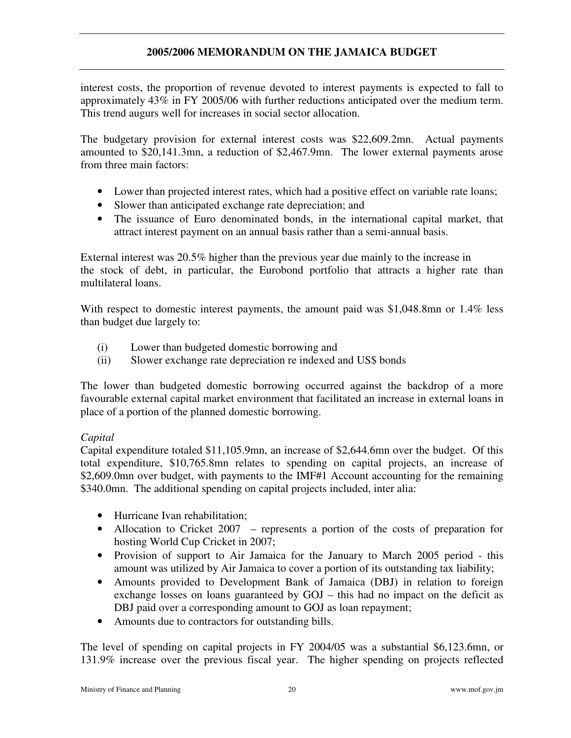interest costs, the proportion of revenue devoted to interest payments is expected to fall to approximately 43% in FY 2005/06 with further reductions anticipated over the medium term. This trend augurs well for increases in social sector allocation.

The budgetary provision for external interest costs was \$22,609.2mn. Actual payments amounted to \$20,141.3mn, a reduction of \$2,467.9mn. The lower external payments arose from three main factors:

- Lower than projected interest rates, which had a positive effect on variable rate loans;
- Slower than anticipated exchange rate depreciation; and
- The issuance of Euro denominated bonds, in the international capital market, that attract interest payment on an annual basis rather than a semi-annual basis.

External interest was 20.5% higher than the previous year due mainly to the increase in the stock of debt, in particular, the Eurobond portfolio that attracts a higher rate than multilateral loans.

With respect to domestic interest payments, the amount paid was \$1,048.8mn or 1.4% less than budget due largely to:

- (i) Lower than budgeted domestic borrowing and
- (ii) Slower exchange rate depreciation re indexed and US\$ bonds

The lower than budgeted domestic borrowing occurred against the backdrop of a more favourable external capital market environment that facilitated an increase in external loans in place of a portion of the planned domestic borrowing.

### *Capital*

Capital expenditure totaled \$11,105.9mn, an increase of \$2,644.6mn over the budget. Of this total expenditure, \$10,765.8mn relates to spending on capital projects, an increase of \$2,609.0mn over budget, with payments to the IMF#1 Account accounting for the remaining \$340.0mn. The additional spending on capital projects included, inter alia:

- Hurricane Ivan rehabilitation;
- Allocation to Cricket 2007 represents a portion of the costs of preparation for hosting World Cup Cricket in 2007;
- Provision of support to Air Jamaica for the January to March 2005 period this amount was utilized by Air Jamaica to cover a portion of its outstanding tax liability;
- Amounts provided to Development Bank of Jamaica (DBJ) in relation to foreign exchange losses on loans guaranteed by GOJ – this had no impact on the deficit as DBJ paid over a corresponding amount to GOJ as loan repayment;
- Amounts due to contractors for outstanding bills.

The level of spending on capital projects in FY 2004/05 was a substantial \$6,123.6mn, or 131.9% increase over the previous fiscal year. The higher spending on projects reflected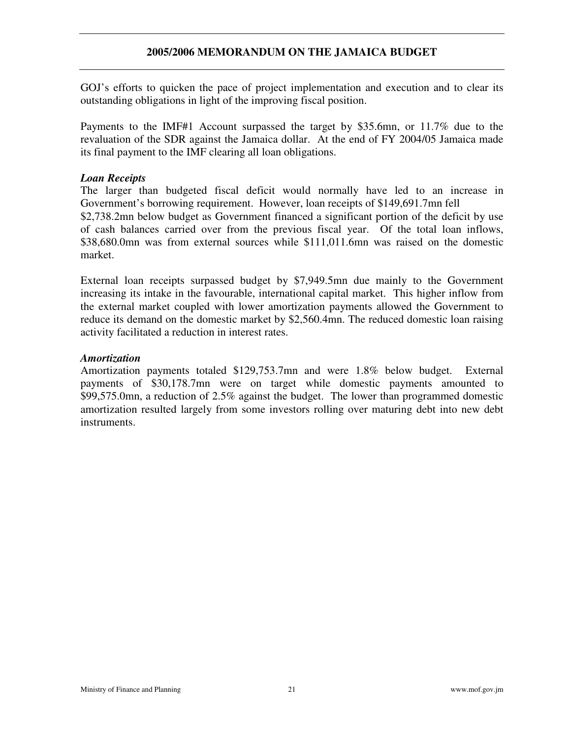GOJ's efforts to quicken the pace of project implementation and execution and to clear its outstanding obligations in light of the improving fiscal position.

Payments to the IMF#1 Account surpassed the target by \$35.6mn, or 11.7% due to the revaluation of the SDR against the Jamaica dollar. At the end of FY 2004/05 Jamaica made its final payment to the IMF clearing all loan obligations.

### *Loan Receipts*

The larger than budgeted fiscal deficit would normally have led to an increase in Government's borrowing requirement. However, loan receipts of \$149,691.7mn fell \$2,738.2mn below budget as Government financed a significant portion of the deficit by use of cash balances carried over from the previous fiscal year. Of the total loan inflows, \$38,680.0mn was from external sources while \$111,011.6mn was raised on the domestic market.

External loan receipts surpassed budget by \$7,949.5mn due mainly to the Government increasing its intake in the favourable, international capital market. This higher inflow from the external market coupled with lower amortization payments allowed the Government to reduce its demand on the domestic market by \$2,560.4mn. The reduced domestic loan raising activity facilitated a reduction in interest rates.

#### *Amortization*

Amortization payments totaled \$129,753.7mn and were 1.8% below budget. External payments of \$30,178.7mn were on target while domestic payments amounted to \$99,575.0mn, a reduction of 2.5% against the budget. The lower than programmed domestic amortization resulted largely from some investors rolling over maturing debt into new debt instruments.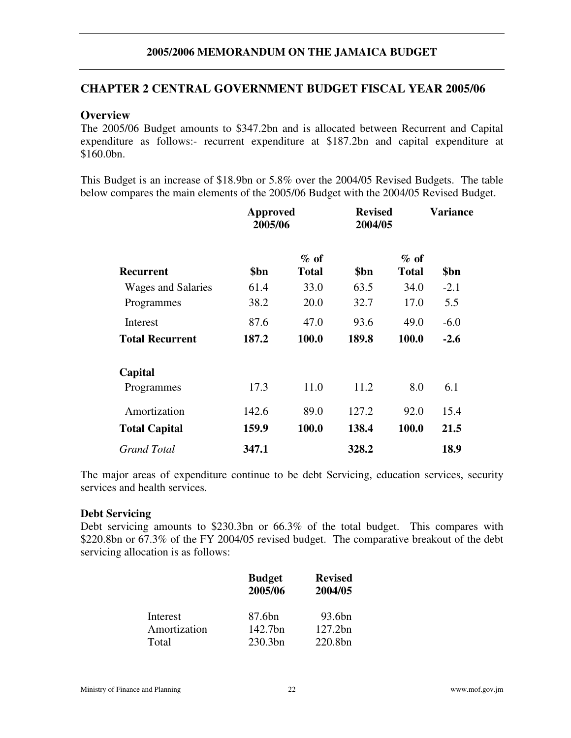# **CHAPTER 2 CENTRAL GOVERNMENT BUDGET FISCAL YEAR 2005/06**

### **Overview**

The 2005/06 Budget amounts to \$347.2bn and is allocated between Recurrent and Capital expenditure as follows:- recurrent expenditure at \$187.2bn and capital expenditure at \$160.0bn.

This Budget is an increase of \$18.9bn or 5.8% over the 2004/05 Revised Budgets. The table below compares the main elements of the 2005/06 Budget with the 2004/05 Revised Budget.

|                           | Approved<br>2005/06 |                        | <b>Revised</b><br>2004/05 |                        | Variance |
|---------------------------|---------------------|------------------------|---------------------------|------------------------|----------|
| Recurrent                 | \$bn                | $%$ of<br><b>Total</b> | \$bn                      | $%$ of<br><b>Total</b> | \$bn     |
| <b>Wages and Salaries</b> | 61.4                | 33.0                   | 63.5                      | 34.0                   | $-2.1$   |
| Programmes                | 38.2                | 20.0                   | 32.7                      | 17.0                   | 5.5      |
| Interest                  | 87.6                | 47.0                   | 93.6                      | 49.0                   | $-6.0$   |
| <b>Total Recurrent</b>    | 187.2               | 100.0                  | 189.8                     | 100.0                  | $-2.6$   |
| Capital                   |                     |                        |                           |                        |          |
| Programmes                | 17.3                | 11.0                   | 11.2                      | 8.0                    | 6.1      |
| Amortization              | 142.6               | 89.0                   | 127.2                     | 92.0                   | 15.4     |
| <b>Total Capital</b>      | 159.9               | 100.0                  | 138.4                     | 100.0                  | 21.5     |
| <b>Grand Total</b>        | 347.1               |                        | 328.2                     |                        | 18.9     |

The major areas of expenditure continue to be debt Servicing, education services, security services and health services.

### **Debt Servicing**

Debt servicing amounts to \$230.3bn or 66.3% of the total budget. This compares with \$220.8bn or 67.3% of the FY 2004/05 revised budget. The comparative breakout of the debt servicing allocation is as follows:

|              | <b>Budget</b><br>2005/06 | <b>Revised</b><br>2004/05 |  |
|--------------|--------------------------|---------------------------|--|
| Interest     | 87.6bn                   | 93.6bn                    |  |
| Amortization | 142.7bn                  | 127.2bn                   |  |
| Total        | 230.3bn                  | 220.8bn                   |  |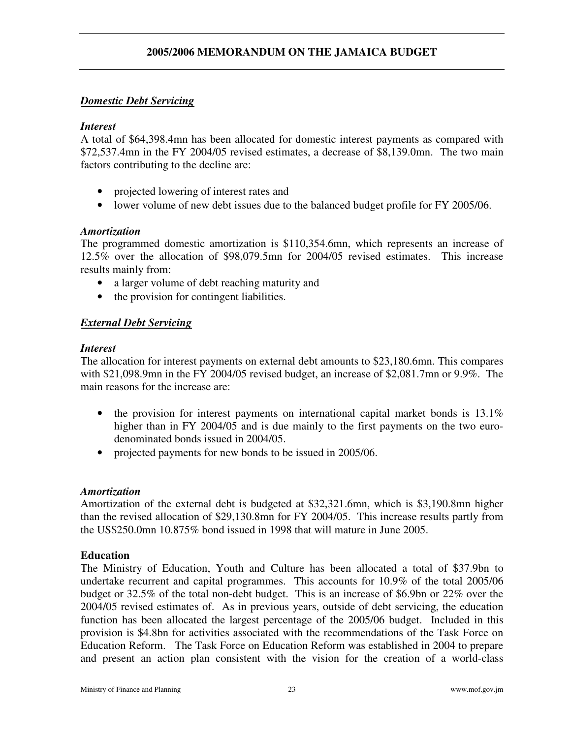# *Domestic Debt Servicing*

# *Interest*

A total of \$64,398.4mn has been allocated for domestic interest payments as compared with \$72,537.4mn in the FY 2004/05 revised estimates, a decrease of \$8,139.0mn. The two main factors contributing to the decline are:

- projected lowering of interest rates and
- lower volume of new debt issues due to the balanced budget profile for FY 2005/06.

# *Amortization*

The programmed domestic amortization is \$110,354.6mn, which represents an increase of 12.5% over the allocation of \$98,079.5mn for 2004/05 revised estimates. This increase results mainly from:

- a larger volume of debt reaching maturity and
- the provision for contingent liabilities.

# *External Debt Servicing*

### *Interest*

The allocation for interest payments on external debt amounts to \$23,180.6mn. This compares with \$21,098.9mn in the FY 2004/05 revised budget, an increase of \$2,081.7mn or 9.9%. The main reasons for the increase are:

- the provision for interest payments on international capital market bonds is 13.1% higher than in FY 2004/05 and is due mainly to the first payments on the two eurodenominated bonds issued in 2004/05.
- projected payments for new bonds to be issued in 2005/06.

### *Amortization*

Amortization of the external debt is budgeted at \$32,321.6mn, which is \$3,190.8mn higher than the revised allocation of \$29,130.8mn for FY 2004/05. This increase results partly from the US\$250.0mn 10.875% bond issued in 1998 that will mature in June 2005.

### **Education**

The Ministry of Education, Youth and Culture has been allocated a total of \$37.9bn to undertake recurrent and capital programmes. This accounts for 10.9% of the total 2005/06 budget or 32.5% of the total non-debt budget. This is an increase of \$6.9bn or 22% over the 2004/05 revised estimates of. As in previous years, outside of debt servicing, the education function has been allocated the largest percentage of the 2005/06 budget. Included in this provision is \$4.8bn for activities associated with the recommendations of the Task Force on Education Reform. The Task Force on Education Reform was established in 2004 to prepare and present an action plan consistent with the vision for the creation of a world-class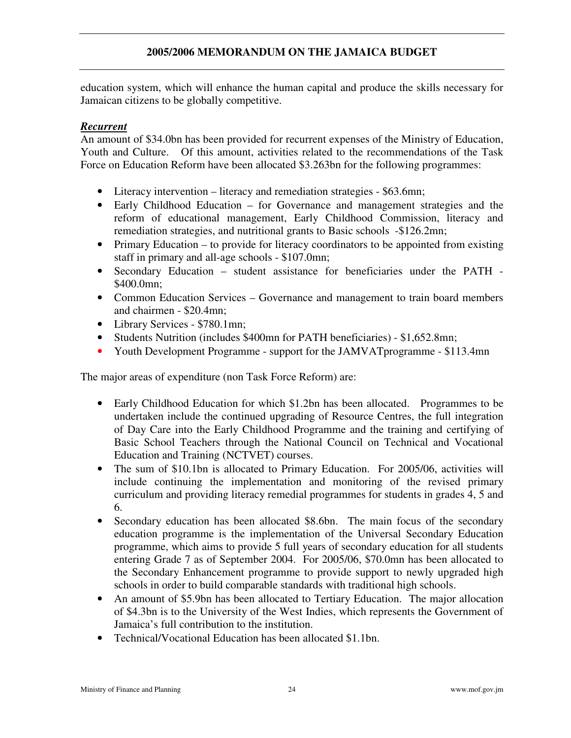education system, which will enhance the human capital and produce the skills necessary for Jamaican citizens to be globally competitive.

# *Recurrent*

An amount of \$34.0bn has been provided for recurrent expenses of the Ministry of Education, Youth and Culture. Of this amount, activities related to the recommendations of the Task Force on Education Reform have been allocated \$3.263bn for the following programmes:

- Literacy intervention literacy and remediation strategies \$63.6mn;
- Early Childhood Education for Governance and management strategies and the reform of educational management, Early Childhood Commission, literacy and remediation strategies, and nutritional grants to Basic schools -\$126.2mn;
- Primary Education to provide for literacy coordinators to be appointed from existing staff in primary and all-age schools - \$107.0mn;
- Secondary Education student assistance for beneficiaries under the PATH \$400.0mn;
- Common Education Services Governance and management to train board members and chairmen - \$20.4mn;
- Library Services \$780.1mn;
- Students Nutrition (includes \$400mn for PATH beneficiaries) \$1,652.8mn;
- Youth Development Programme support for the JAMVAT programme \$113.4 mm

The major areas of expenditure (non Task Force Reform) are:

- Early Childhood Education for which \$1.2bn has been allocated. Programmes to be undertaken include the continued upgrading of Resource Centres, the full integration of Day Care into the Early Childhood Programme and the training and certifying of Basic School Teachers through the National Council on Technical and Vocational Education and Training (NCTVET) courses.
- The sum of \$10.1bn is allocated to Primary Education. For 2005/06, activities will include continuing the implementation and monitoring of the revised primary curriculum and providing literacy remedial programmes for students in grades 4, 5 and 6.
- Secondary education has been allocated \$8.6bn. The main focus of the secondary education programme is the implementation of the Universal Secondary Education programme, which aims to provide 5 full years of secondary education for all students entering Grade 7 as of September 2004. For 2005/06, \$70.0mn has been allocated to the Secondary Enhancement programme to provide support to newly upgraded high schools in order to build comparable standards with traditional high schools.
- An amount of \$5.9bn has been allocated to Tertiary Education. The major allocation of \$4.3bn is to the University of the West Indies, which represents the Government of Jamaica's full contribution to the institution.
- Technical/Vocational Education has been allocated \$1.1bn.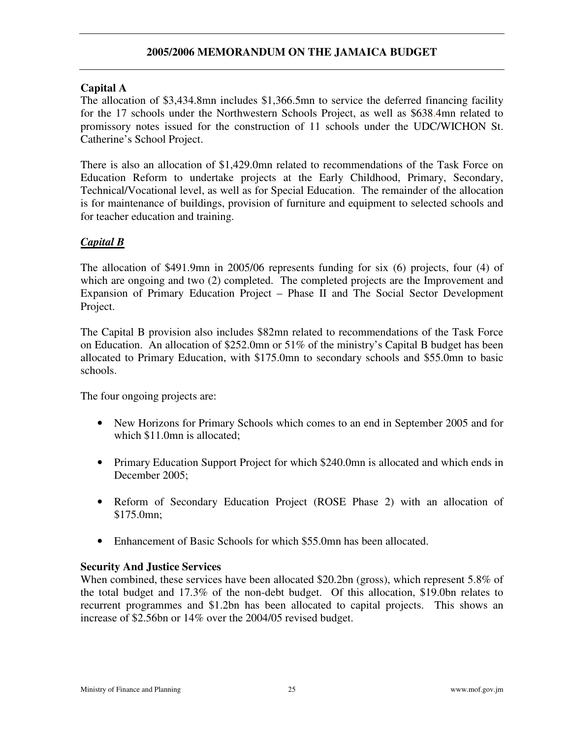# **Capital A**

The allocation of \$3,434.8mn includes \$1,366.5mn to service the deferred financing facility for the 17 schools under the Northwestern Schools Project, as well as \$638.4mn related to promissory notes issued for the construction of 11 schools under the UDC/WICHON St. Catherine's School Project.

There is also an allocation of \$1,429.0mn related to recommendations of the Task Force on Education Reform to undertake projects at the Early Childhood, Primary, Secondary, Technical/Vocational level, as well as for Special Education. The remainder of the allocation is for maintenance of buildings, provision of furniture and equipment to selected schools and for teacher education and training.

# *Capital B*

The allocation of \$491.9mn in 2005/06 represents funding for six (6) projects, four (4) of which are ongoing and two  $(2)$  completed. The completed projects are the Improvement and Expansion of Primary Education Project – Phase II and The Social Sector Development Project.

The Capital B provision also includes \$82mn related to recommendations of the Task Force on Education. An allocation of \$252.0mn or 51% of the ministry's Capital B budget has been allocated to Primary Education, with \$175.0mn to secondary schools and \$55.0mn to basic schools.

The four ongoing projects are:

- New Horizons for Primary Schools which comes to an end in September 2005 and for which \$11.0mn is allocated;
- Primary Education Support Project for which \$240.0mn is allocated and which ends in December 2005;
- Reform of Secondary Education Project (ROSE Phase 2) with an allocation of \$175.0mn;
- Enhancement of Basic Schools for which \$55.0mn has been allocated.

# **Security And Justice Services**

When combined, these services have been allocated \$20.2bn (gross), which represent 5.8% of the total budget and 17.3% of the non-debt budget. Of this allocation, \$19.0bn relates to recurrent programmes and \$1.2bn has been allocated to capital projects. This shows an increase of \$2.56bn or 14% over the 2004/05 revised budget.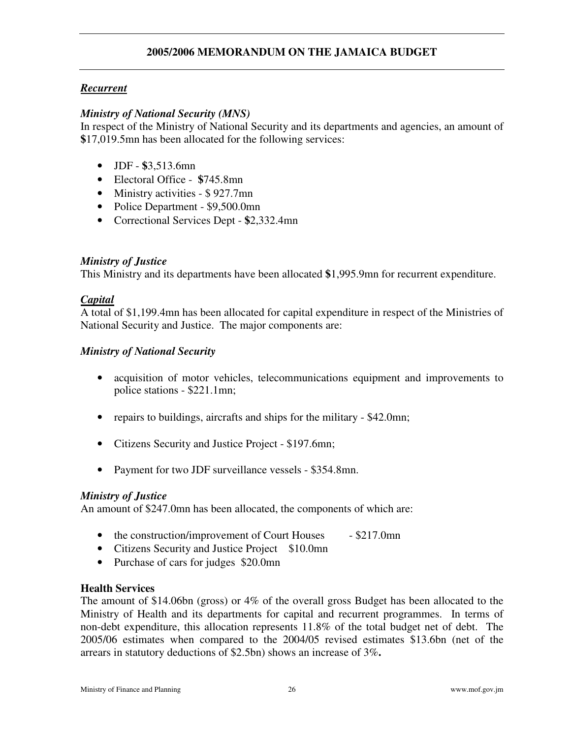# *Recurrent*

### *Ministry of National Security (MNS)*

In respect of the Ministry of National Security and its departments and agencies, an amount of **\$**17,019.5mn has been allocated for the following services:

- JDF **\$**3,513.6mn
- Electoral Office **\$**745.8mn
- Ministry activities \$927.7mn
- Police Department \$9,500.0mn
- Correctional Services Dept **\$**2,332.4mn

### *Ministry of Justice*

This Ministry and its departments have been allocated **\$**1,995.9mn for recurrent expenditure.

#### *Capital*

A total of \$1,199.4mn has been allocated for capital expenditure in respect of the Ministries of National Security and Justice. The major components are:

#### *Ministry of National Security*

- acquisition of motor vehicles, telecommunications equipment and improvements to police stations - \$221.1mn;
- repairs to buildings, aircrafts and ships for the military \$42.0mn;
- Citizens Security and Justice Project \$197.6mn;
- Payment for two JDF surveillance vessels \$354.8mn.

### *Ministry of Justice*

An amount of \$247.0mn has been allocated, the components of which are:

- the construction/improvement of Court Houses \$217.0mn
- Citizens Security and Justice Project \$10.0mn
- Purchase of cars for judges \$20.0mn

#### **Health Services**

The amount of \$14.06bn (gross) or 4% of the overall gross Budget has been allocated to the Ministry of Health and its departments for capital and recurrent programmes. In terms of non-debt expenditure, this allocation represents 11.8% of the total budget net of debt. The 2005/06 estimates when compared to the 2004/05 revised estimates \$13.6bn (net of the arrears in statutory deductions of \$2.5bn) shows an increase of 3%**.**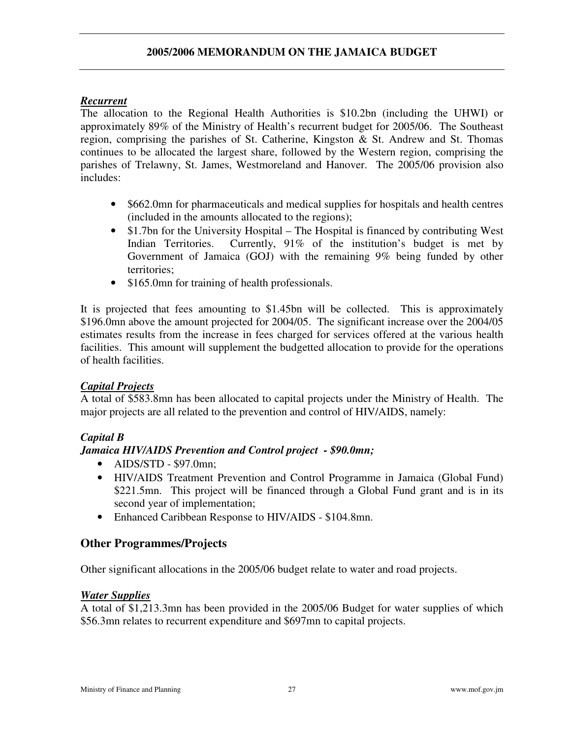# *Recurrent*

The allocation to the Regional Health Authorities is \$10.2bn (including the UHWI) or approximately 89% of the Ministry of Health's recurrent budget for 2005/06. The Southeast region, comprising the parishes of St. Catherine, Kingston & St. Andrew and St. Thomas continues to be allocated the largest share, followed by the Western region, comprising the parishes of Trelawny, St. James, Westmoreland and Hanover. The 2005/06 provision also includes:

- \$662.0mn for pharmaceuticals and medical supplies for hospitals and health centres (included in the amounts allocated to the regions);
- \$1.7bn for the University Hospital The Hospital is financed by contributing West Indian Territories. Currently, 91% of the institution's budget is met by Government of Jamaica (GOJ) with the remaining 9% being funded by other territories;
- \$165.0mn for training of health professionals.

It is projected that fees amounting to \$1.45bn will be collected. This is approximately \$196.0mn above the amount projected for 2004/05. The significant increase over the 2004/05 estimates results from the increase in fees charged for services offered at the various health facilities. This amount will supplement the budgetted allocation to provide for the operations of health facilities.

# *Capital Projects*

A total of \$583.8mn has been allocated to capital projects under the Ministry of Health. The major projects are all related to the prevention and control of HIV/AIDS, namely:

# *Capital B*

# *Jamaica HIV/AIDS Prevention and Control project - \$90.0mn;*

- AIDS/STD \$97.0mn;
- HIV/AIDS Treatment Prevention and Control Programme in Jamaica (Global Fund) \$221.5mn. This project will be financed through a Global Fund grant and is in its second year of implementation;
- Enhanced Caribbean Response to HIV/AIDS \$104.8mn.

# **Other Programmes/Projects**

Other significant allocations in the 2005/06 budget relate to water and road projects.

### *Water Supplies*

A total of \$1,213.3mn has been provided in the 2005/06 Budget for water supplies of which \$56.3mn relates to recurrent expenditure and \$697mn to capital projects.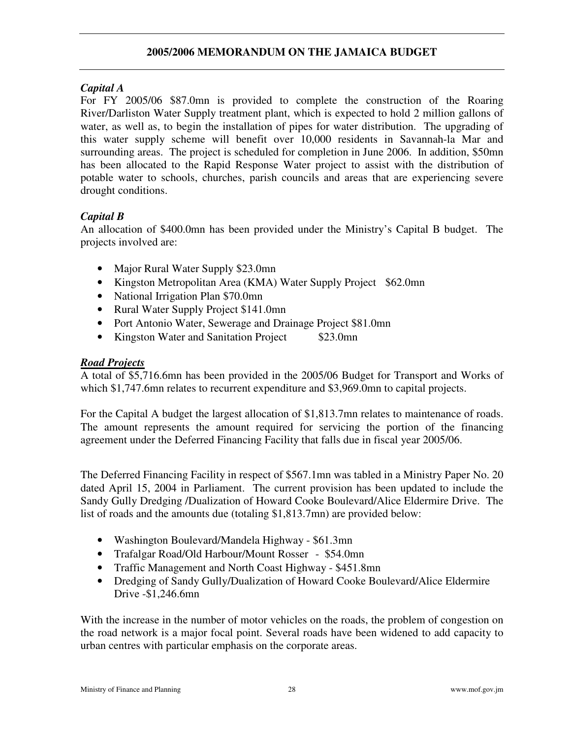### *Capital A*

For FY 2005/06 \$87.0mn is provided to complete the construction of the Roaring River/Darliston Water Supply treatment plant, which is expected to hold 2 million gallons of water, as well as, to begin the installation of pipes for water distribution. The upgrading of this water supply scheme will benefit over 10,000 residents in Savannah-la Mar and surrounding areas. The project is scheduled for completion in June 2006. In addition, \$50mn has been allocated to the Rapid Response Water project to assist with the distribution of potable water to schools, churches, parish councils and areas that are experiencing severe drought conditions.

# *Capital B*

An allocation of \$400.0mn has been provided under the Ministry's Capital B budget. The projects involved are:

- Major Rural Water Supply \$23.0mn
- Kingston Metropolitan Area (KMA) Water Supply Project \$62.0mn
- National Irrigation Plan \$70.0mn
- Rural Water Supply Project \$141.0mn
- Port Antonio Water, Sewerage and Drainage Project \$81.0mn
- Kingston Water and Sanitation Project \$23.0mn

# *Road Projects*

A total of \$5,716.6mn has been provided in the 2005/06 Budget for Transport and Works of which \$1,747.6mn relates to recurrent expenditure and \$3,969.0mn to capital projects.

For the Capital A budget the largest allocation of \$1,813.7mn relates to maintenance of roads. The amount represents the amount required for servicing the portion of the financing agreement under the Deferred Financing Facility that falls due in fiscal year 2005/06.

The Deferred Financing Facility in respect of \$567.1mn was tabled in a Ministry Paper No. 20 dated April 15, 2004 in Parliament. The current provision has been updated to include the Sandy Gully Dredging /Dualization of Howard Cooke Boulevard/Alice Eldermire Drive. The list of roads and the amounts due (totaling \$1,813.7mn) are provided below:

- Washington Boulevard/Mandela Highway \$61.3mn
- Trafalgar Road/Old Harbour/Mount Rosser \$54.0mn
- Traffic Management and North Coast Highway \$451.8mn
- Dredging of Sandy Gully/Dualization of Howard Cooke Boulevard/Alice Eldermire Drive -\$1,246.6mn

With the increase in the number of motor vehicles on the roads, the problem of congestion on the road network is a major focal point. Several roads have been widened to add capacity to urban centres with particular emphasis on the corporate areas.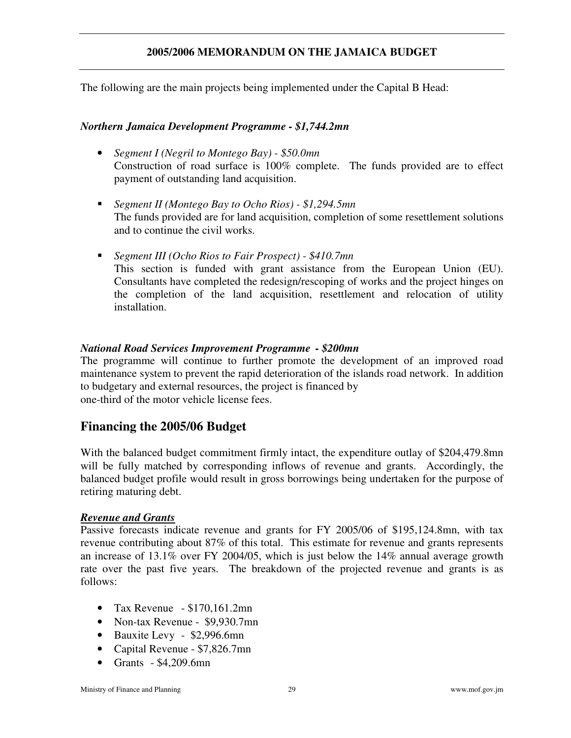The following are the main projects being implemented under the Capital B Head:

#### *Northern Jamaica Development Programme - \$1,744.2mn*

- *Segment I (Negril to Montego Bay) - \$50.0mn* Construction of road surface is 100% complete. The funds provided are to effect payment of outstanding land acquisition.
- *Segment II (Montego Bay to Ocho Rios) - \$1,294.5mn* The funds provided are for land acquisition, completion of some resettlement solutions and to continue the civil works.
- *Segment III (Ocho Rios to Fair Prospect) - \$410.7mn* This section is funded with grant assistance from the European Union (EU). Consultants have completed the redesign/rescoping of works and the project hinges on the completion of the land acquisition, resettlement and relocation of utility installation.

### *National Road Services Improvement Programme - \$200mn*

The programme will continue to further promote the development of an improved road maintenance system to prevent the rapid deterioration of the islands road network. In addition to budgetary and external resources, the project is financed by one-third of the motor vehicle license fees.

# **Financing the 2005/06 Budget**

With the balanced budget commitment firmly intact, the expenditure outlay of \$204,479.8mn will be fully matched by corresponding inflows of revenue and grants. Accordingly, the balanced budget profile would result in gross borrowings being undertaken for the purpose of retiring maturing debt.

### *Revenue and Grants*

Passive forecasts indicate revenue and grants for FY 2005/06 of \$195,124.8mn, with tax revenue contributing about 87% of this total. This estimate for revenue and grants represents an increase of 13.1% over FY 2004/05, which is just below the 14% annual average growth rate over the past five years. The breakdown of the projected revenue and grants is as follows:

- Tax Revenue  $$170,161.2$ mn
- Non-tax Revenue \$9,930.7mn
- Bauxite Levy \$2,996.6mn
- Capital Revenue \$7,826.7mn
- Grants \$4,209.6mn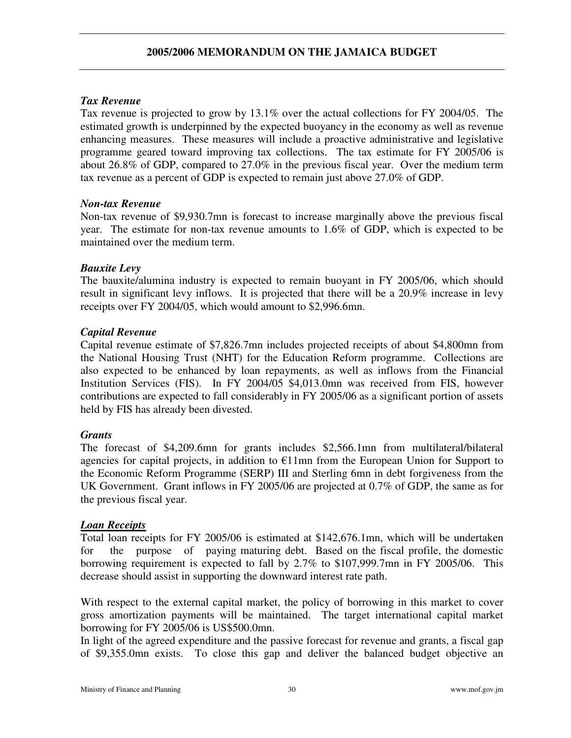# *Tax Revenue*

Tax revenue is projected to grow by 13.1% over the actual collections for FY 2004/05. The estimated growth is underpinned by the expected buoyancy in the economy as well as revenue enhancing measures. These measures will include a proactive administrative and legislative programme geared toward improving tax collections. The tax estimate for FY 2005/06 is about 26.8% of GDP, compared to 27.0% in the previous fiscal year. Over the medium term tax revenue as a percent of GDP is expected to remain just above 27.0% of GDP.

# *Non-tax Revenue*

Non-tax revenue of \$9,930.7mn is forecast to increase marginally above the previous fiscal year. The estimate for non-tax revenue amounts to 1.6% of GDP, which is expected to be maintained over the medium term.

# *Bauxite Levy*

The bauxite/alumina industry is expected to remain buoyant in FY 2005/06, which should result in significant levy inflows. It is projected that there will be a 20.9% increase in levy receipts over FY 2004/05, which would amount to \$2,996.6mn.

# *Capital Revenue*

Capital revenue estimate of \$7,826.7mn includes projected receipts of about \$4,800mn from the National Housing Trust (NHT) for the Education Reform programme. Collections are also expected to be enhanced by loan repayments, as well as inflows from the Financial Institution Services (FIS). In FY 2004/05 \$4,013.0mn was received from FIS, however contributions are expected to fall considerably in FY 2005/06 as a significant portion of assets held by FIS has already been divested.

# *Grants*

The forecast of \$4,209.6mn for grants includes \$2,566.1mn from multilateral/bilateral agencies for capital projects, in addition to  $E11$ mn from the European Union for Support to the Economic Reform Programme (SERP) III and Sterling 6mn in debt forgiveness from the UK Government. Grant inflows in FY 2005/06 are projected at 0.7% of GDP, the same as for the previous fiscal year.

# *Loan Receipts*

Total loan receipts for FY 2005/06 is estimated at \$142,676.1mn, which will be undertaken for the purpose of paying maturing debt. Based on the fiscal profile, the domestic borrowing requirement is expected to fall by 2.7% to \$107,999.7mn in FY 2005/06. This decrease should assist in supporting the downward interest rate path.

With respect to the external capital market, the policy of borrowing in this market to cover gross amortization payments will be maintained. The target international capital market borrowing for FY 2005/06 is US\$500.0mn.

In light of the agreed expenditure and the passive forecast for revenue and grants, a fiscal gap of \$9,355.0mn exists. To close this gap and deliver the balanced budget objective an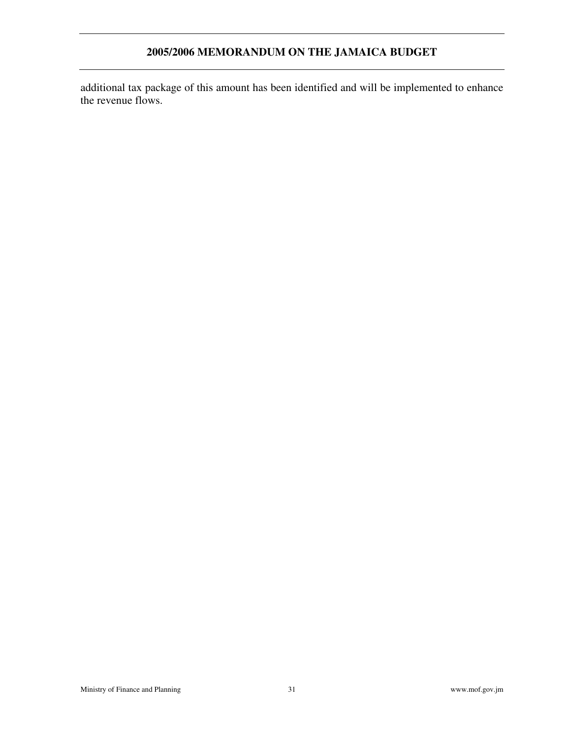additional tax package of this amount has been identified and will be implemented to enhance the revenue flows.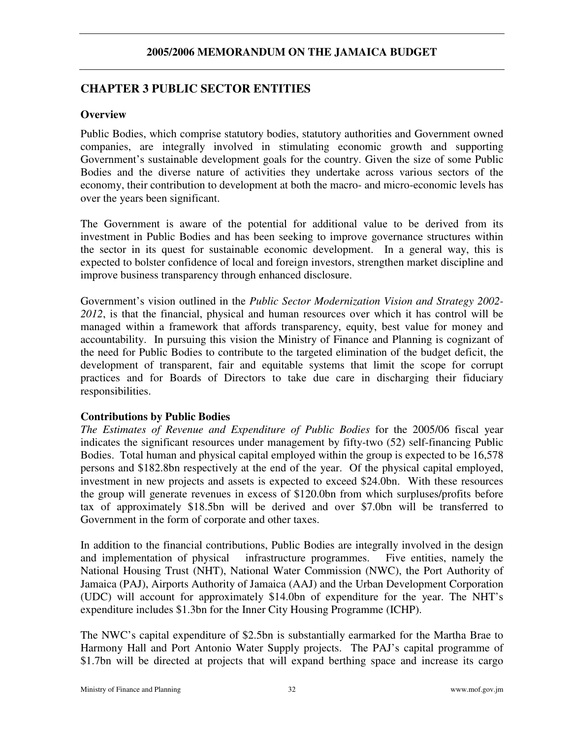# **CHAPTER 3 PUBLIC SECTOR ENTITIES**

### **Overview**

Public Bodies, which comprise statutory bodies, statutory authorities and Government owned companies, are integrally involved in stimulating economic growth and supporting Government's sustainable development goals for the country. Given the size of some Public Bodies and the diverse nature of activities they undertake across various sectors of the economy, their contribution to development at both the macro- and micro-economic levels has over the years been significant.

The Government is aware of the potential for additional value to be derived from its investment in Public Bodies and has been seeking to improve governance structures within the sector in its quest for sustainable economic development. In a general way, this is expected to bolster confidence of local and foreign investors, strengthen market discipline and improve business transparency through enhanced disclosure.

Government's vision outlined in the *Public Sector Modernization Vision and Strategy 2002- 2012*, is that the financial, physical and human resources over which it has control will be managed within a framework that affords transparency, equity, best value for money and accountability. In pursuing this vision the Ministry of Finance and Planning is cognizant of the need for Public Bodies to contribute to the targeted elimination of the budget deficit, the development of transparent, fair and equitable systems that limit the scope for corrupt practices and for Boards of Directors to take due care in discharging their fiduciary responsibilities.

### **Contributions by Public Bodies**

*The Estimates of Revenue and Expenditure of Public Bodies* for the 2005/06 fiscal year indicates the significant resources under management by fifty-two (52) self-financing Public Bodies. Total human and physical capital employed within the group is expected to be 16,578 persons and \$182.8bn respectively at the end of the year. Of the physical capital employed, investment in new projects and assets is expected to exceed \$24.0bn. With these resources the group will generate revenues in excess of \$120.0bn from which surpluses/profits before tax of approximately \$18.5bn will be derived and over \$7.0bn will be transferred to Government in the form of corporate and other taxes.

In addition to the financial contributions, Public Bodies are integrally involved in the design and implementation of physical infrastructure programmes. Five entities, namely the National Housing Trust (NHT), National Water Commission (NWC), the Port Authority of Jamaica (PAJ), Airports Authority of Jamaica (AAJ) and the Urban Development Corporation (UDC) will account for approximately \$14.0bn of expenditure for the year. The NHT's expenditure includes \$1.3bn for the Inner City Housing Programme (ICHP).

The NWC's capital expenditure of \$2.5bn is substantially earmarked for the Martha Brae to Harmony Hall and Port Antonio Water Supply projects. The PAJ's capital programme of \$1.7bn will be directed at projects that will expand berthing space and increase its cargo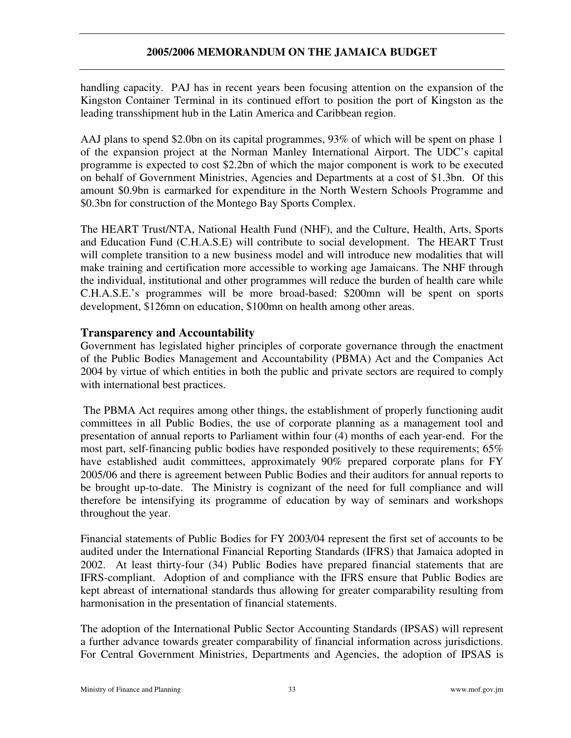handling capacity. PAJ has in recent years been focusing attention on the expansion of the Kingston Container Terminal in its continued effort to position the port of Kingston as the leading transshipment hub in the Latin America and Caribbean region.

AAJ plans to spend \$2.0bn on its capital programmes, 93% of which will be spent on phase 1 of the expansion project at the Norman Manley International Airport. The UDC's capital programme is expected to cost \$2.2bn of which the major component is work to be executed on behalf of Government Ministries, Agencies and Departments at a cost of \$1.3bn. Of this amount \$0.9bn is earmarked for expenditure in the North Western Schools Programme and \$0.3bn for construction of the Montego Bay Sports Complex.

The HEART Trust/NTA, National Health Fund (NHF), and the Culture, Health, Arts, Sports and Education Fund (C.H.A.S.E) will contribute to social development. The HEART Trust will complete transition to a new business model and will introduce new modalities that will make training and certification more accessible to working age Jamaicans. The NHF through the individual, institutional and other programmes will reduce the burden of health care while C.H.A.S.E.'s programmes will be more broad-based: \$200mn will be spent on sports development, \$126mn on education, \$100mn on health among other areas.

# **Transparency and Accountability**

Government has legislated higher principles of corporate governance through the enactment of the Public Bodies Management and Accountability (PBMA) Act and the Companies Act 2004 by virtue of which entities in both the public and private sectors are required to comply with international best practices.

The PBMA Act requires among other things, the establishment of properly functioning audit committees in all Public Bodies, the use of corporate planning as a management tool and presentation of annual reports to Parliament within four (4) months of each year-end. For the most part, self-financing public bodies have responded positively to these requirements; 65% have established audit committees, approximately 90% prepared corporate plans for FY 2005/06 and there is agreement between Public Bodies and their auditors for annual reports to be brought up-to-date. The Ministry is cognizant of the need for full compliance and will therefore be intensifying its programme of education by way of seminars and workshops throughout the year.

Financial statements of Public Bodies for FY 2003/04 represent the first set of accounts to be audited under the International Financial Reporting Standards (IFRS) that Jamaica adopted in 2002. At least thirty-four (34) Public Bodies have prepared financial statements that are IFRS-compliant. Adoption of and compliance with the IFRS ensure that Public Bodies are kept abreast of international standards thus allowing for greater comparability resulting from harmonisation in the presentation of financial statements.

The adoption of the International Public Sector Accounting Standards (IPSAS) will represent a further advance towards greater comparability of financial information across jurisdictions. For Central Government Ministries, Departments and Agencies, the adoption of IPSAS is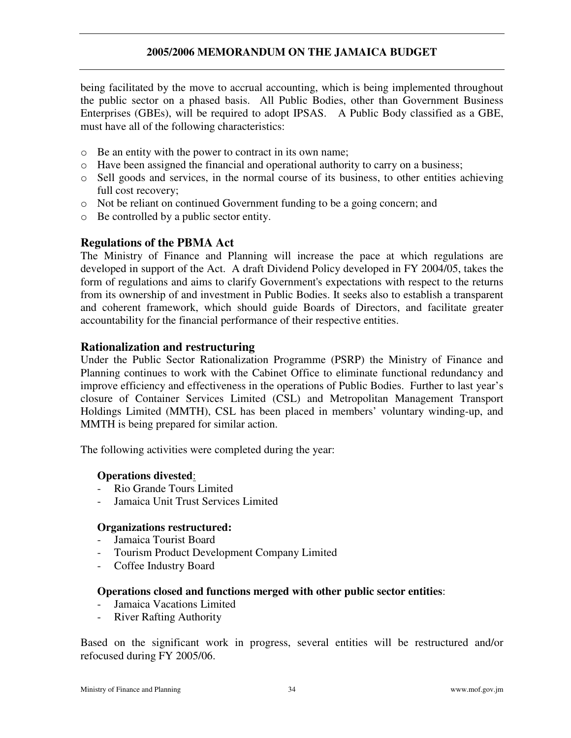being facilitated by the move to accrual accounting, which is being implemented throughout the public sector on a phased basis. All Public Bodies, other than Government Business Enterprises (GBEs), will be required to adopt IPSAS. A Public Body classified as a GBE, must have all of the following characteristics:

- o Be an entity with the power to contract in its own name;
- o Have been assigned the financial and operational authority to carry on a business;
- o Sell goods and services, in the normal course of its business, to other entities achieving full cost recovery;
- o Not be reliant on continued Government funding to be a going concern; and
- o Be controlled by a public sector entity.

# **Regulations of the PBMA Act**

The Ministry of Finance and Planning will increase the pace at which regulations are developed in support of the Act. A draft Dividend Policy developed in FY 2004/05, takes the form of regulations and aims to clarify Government's expectations with respect to the returns from its ownership of and investment in Public Bodies. It seeks also to establish a transparent and coherent framework, which should guide Boards of Directors, and facilitate greater accountability for the financial performance of their respective entities.

### **Rationalization and restructuring**

Under the Public Sector Rationalization Programme (PSRP) the Ministry of Finance and Planning continues to work with the Cabinet Office to eliminate functional redundancy and improve efficiency and effectiveness in the operations of Public Bodies. Further to last year's closure of Container Services Limited (CSL) and Metropolitan Management Transport Holdings Limited (MMTH), CSL has been placed in members' voluntary winding-up, and MMTH is being prepared for similar action.

The following activities were completed during the year:

#### **Operations divested**:

- Rio Grande Tours Limited
- Jamaica Unit Trust Services Limited

#### **Organizations restructured:**

- Jamaica Tourist Board
- Tourism Product Development Company Limited
- Coffee Industry Board

#### **Operations closed and functions merged with other public sector entities**:

- Jamaica Vacations Limited
- **River Rafting Authority**

Based on the significant work in progress, several entities will be restructured and/or refocused during FY 2005/06.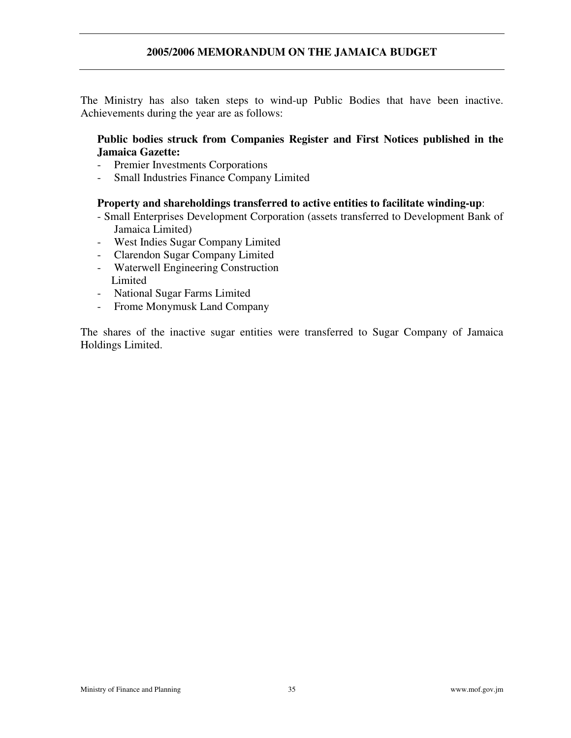The Ministry has also taken steps to wind-up Public Bodies that have been inactive. Achievements during the year are as follows:

### **Public bodies struck from Companies Register and First Notices published in the Jamaica Gazette:**

- Premier Investments Corporations
- Small Industries Finance Company Limited

#### **Property and shareholdings transferred to active entities to facilitate winding-up**:

- Small Enterprises Development Corporation (assets transferred to Development Bank of Jamaica Limited)
- West Indies Sugar Company Limited
- Clarendon Sugar Company Limited
- Waterwell Engineering Construction Limited
- National Sugar Farms Limited
- Frome Monymusk Land Company

The shares of the inactive sugar entities were transferred to Sugar Company of Jamaica Holdings Limited.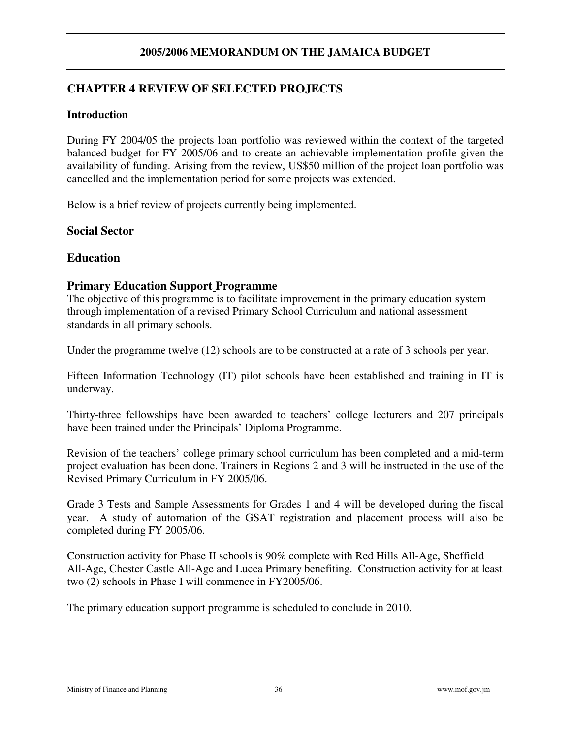# **CHAPTER 4 REVIEW OF SELECTED PROJECTS**

### **Introduction**

During FY 2004/05 the projects loan portfolio was reviewed within the context of the targeted balanced budget for FY 2005/06 and to create an achievable implementation profile given the availability of funding. Arising from the review, US\$50 million of the project loan portfolio was cancelled and the implementation period for some projects was extended.

Below is a brief review of projects currently being implemented.

### **Social Sector**

### **Education**

# **Primary Education Support Programme**

The objective of this programme is to facilitate improvement in the primary education system through implementation of a revised Primary School Curriculum and national assessment standards in all primary schools.

Under the programme twelve (12) schools are to be constructed at a rate of 3 schools per year.

Fifteen Information Technology (IT) pilot schools have been established and training in IT is underway.

Thirty-three fellowships have been awarded to teachers' college lecturers and 207 principals have been trained under the Principals' Diploma Programme.

Revision of the teachers' college primary school curriculum has been completed and a mid-term project evaluation has been done. Trainers in Regions 2 and 3 will be instructed in the use of the Revised Primary Curriculum in FY 2005/06.

Grade 3 Tests and Sample Assessments for Grades 1 and 4 will be developed during the fiscal year. A study of automation of the GSAT registration and placement process will also be completed during FY 2005/06.

Construction activity for Phase II schools is 90% complete with Red Hills All-Age, Sheffield All-Age, Chester Castle All-Age and Lucea Primary benefiting. Construction activity for at least two (2) schools in Phase I will commence in FY2005/06.

The primary education support programme is scheduled to conclude in 2010.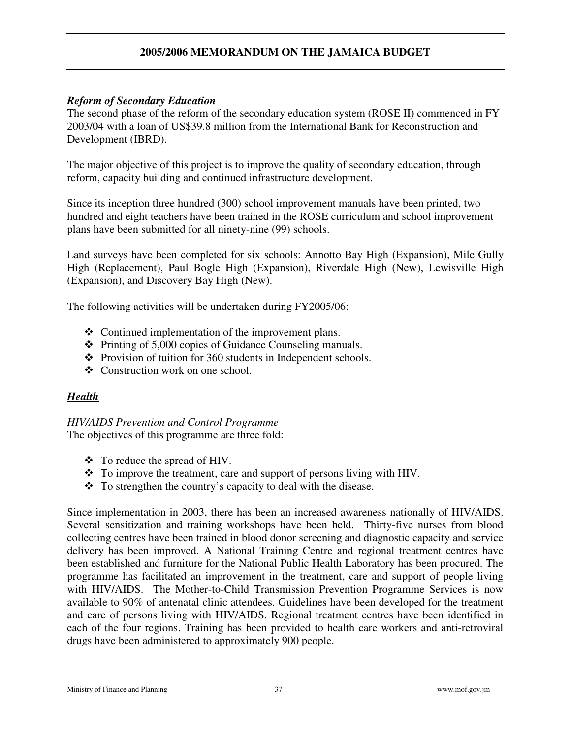### *Reform of Secondary Education*

The second phase of the reform of the secondary education system (ROSE II) commenced in FY 2003/04 with a loan of US\$39.8 million from the International Bank for Reconstruction and Development (IBRD).

The major objective of this project is to improve the quality of secondary education, through reform, capacity building and continued infrastructure development.

Since its inception three hundred (300) school improvement manuals have been printed, two hundred and eight teachers have been trained in the ROSE curriculum and school improvement plans have been submitted for all ninety-nine (99) schools.

Land surveys have been completed for six schools: Annotto Bay High (Expansion), Mile Gully High (Replacement), Paul Bogle High (Expansion), Riverdale High (New), Lewisville High (Expansion), and Discovery Bay High (New).

The following activities will be undertaken during FY2005/06:

- Continued implementation of the improvement plans.
- $\div$  Printing of 5,000 copies of Guidance Counseling manuals.
- $\div$  Provision of tuition for 360 students in Independent schools.
- Construction work on one school.

## *Health*

#### *HIV/AIDS Prevention and Control Programme*

The objectives of this programme are three fold:

- To reduce the spread of HIV.
- \* To improve the treatment, care and support of persons living with HIV.
- To strengthen the country's capacity to deal with the disease.

Since implementation in 2003, there has been an increased awareness nationally of HIV/AIDS. Several sensitization and training workshops have been held. Thirty-five nurses from blood collecting centres have been trained in blood donor screening and diagnostic capacity and service delivery has been improved. A National Training Centre and regional treatment centres have been established and furniture for the National Public Health Laboratory has been procured. The programme has facilitated an improvement in the treatment, care and support of people living with HIV/AIDS. The Mother-to-Child Transmission Prevention Programme Services is now available to 90% of antenatal clinic attendees. Guidelines have been developed for the treatment and care of persons living with HIV/AIDS. Regional treatment centres have been identified in each of the four regions. Training has been provided to health care workers and anti-retroviral drugs have been administered to approximately 900 people.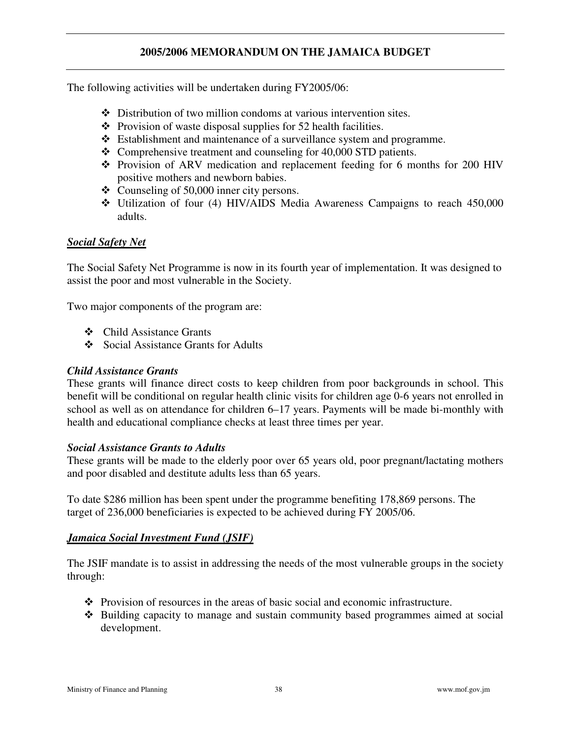The following activities will be undertaken during FY2005/06:

- Distribution of two million condoms at various intervention sites.
- $\triangle$  Provision of waste disposal supplies for 52 health facilities.
- Establishment and maintenance of a surveillance system and programme.
- $\triangle$  Comprehensive treatment and counseling for 40,000 STD patients.
- Provision of ARV medication and replacement feeding for 6 months for 200 HIV positive mothers and newborn babies.
- Counseling of 50,000 inner city persons.
- $\div$  Utilization of four (4) HIV/AIDS Media Awareness Campaigns to reach 450,000 adults.

### *Social Safety Net*

The Social Safety Net Programme is now in its fourth year of implementation. It was designed to assist the poor and most vulnerable in the Society.

Two major components of the program are:

- Child Assistance Grants
- Social Assistance Grants for Adults

#### *Child Assistance Grants*

These grants will finance direct costs to keep children from poor backgrounds in school. This benefit will be conditional on regular health clinic visits for children age 0-6 years not enrolled in school as well as on attendance for children 6–17 years. Payments will be made bi-monthly with health and educational compliance checks at least three times per year.

#### *Social Assistance Grants to Adults*

These grants will be made to the elderly poor over 65 years old, poor pregnant/lactating mothers and poor disabled and destitute adults less than 65 years.

To date \$286 million has been spent under the programme benefiting 178,869 persons. The target of 236,000 beneficiaries is expected to be achieved during FY 2005/06.

#### *Jamaica Social Investment Fund (JSIF)*

The JSIF mandate is to assist in addressing the needs of the most vulnerable groups in the society through:

- $\bullet$  Provision of resources in the areas of basic social and economic infrastructure.
- Building capacity to manage and sustain community based programmes aimed at social development.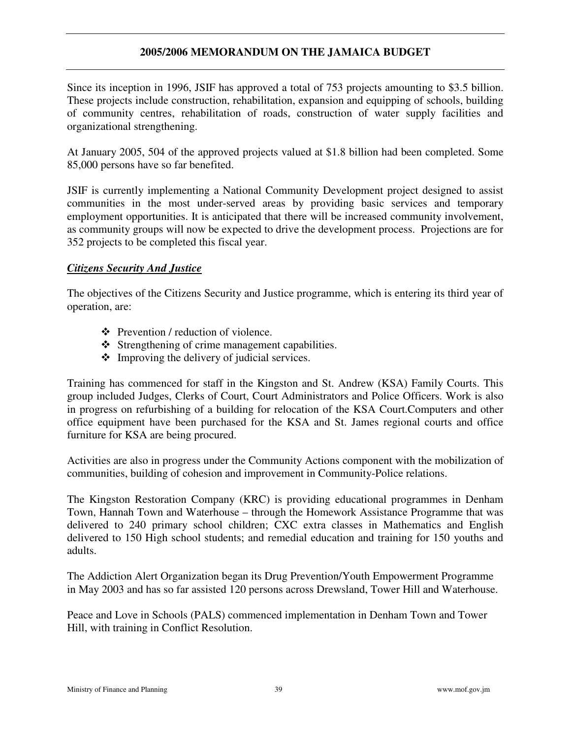Since its inception in 1996, JSIF has approved a total of 753 projects amounting to \$3.5 billion. These projects include construction, rehabilitation, expansion and equipping of schools, building of community centres, rehabilitation of roads, construction of water supply facilities and organizational strengthening.

At January 2005, 504 of the approved projects valued at \$1.8 billion had been completed. Some 85,000 persons have so far benefited.

JSIF is currently implementing a National Community Development project designed to assist communities in the most under-served areas by providing basic services and temporary employment opportunities. It is anticipated that there will be increased community involvement, as community groups will now be expected to drive the development process. Projections are for 352 projects to be completed this fiscal year.

#### *Citizens Security And Justice*

The objectives of the Citizens Security and Justice programme, which is entering its third year of operation, are:

- Prevention / reduction of violence.
- $\div$  Strengthening of crime management capabilities.
- Improving the delivery of judicial services.

Training has commenced for staff in the Kingston and St. Andrew (KSA) Family Courts. This group included Judges, Clerks of Court, Court Administrators and Police Officers. Work is also in progress on refurbishing of a building for relocation of the KSA Court.Computers and other office equipment have been purchased for the KSA and St. James regional courts and office furniture for KSA are being procured.

Activities are also in progress under the Community Actions component with the mobilization of communities, building of cohesion and improvement in Community-Police relations.

The Kingston Restoration Company (KRC) is providing educational programmes in Denham Town, Hannah Town and Waterhouse – through the Homework Assistance Programme that was delivered to 240 primary school children; CXC extra classes in Mathematics and English delivered to 150 High school students; and remedial education and training for 150 youths and adults.

The Addiction Alert Organization began its Drug Prevention/Youth Empowerment Programme in May 2003 and has so far assisted 120 persons across Drewsland, Tower Hill and Waterhouse.

Peace and Love in Schools (PALS) commenced implementation in Denham Town and Tower Hill, with training in Conflict Resolution.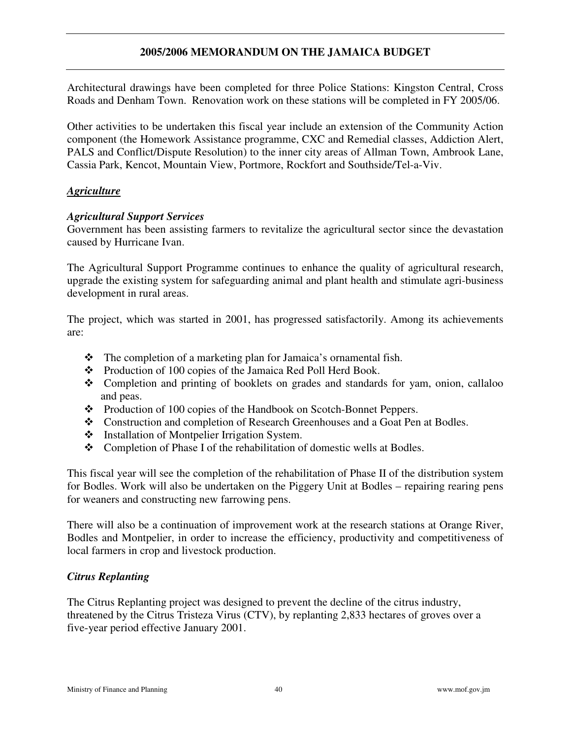Architectural drawings have been completed for three Police Stations: Kingston Central, Cross Roads and Denham Town. Renovation work on these stations will be completed in FY 2005/06.

Other activities to be undertaken this fiscal year include an extension of the Community Action component (the Homework Assistance programme, CXC and Remedial classes, Addiction Alert, PALS and Conflict/Dispute Resolution) to the inner city areas of Allman Town, Ambrook Lane, Cassia Park, Kencot, Mountain View, Portmore, Rockfort and Southside/Tel-a-Viv.

#### *Agriculture*

#### *Agricultural Support Services*

Government has been assisting farmers to revitalize the agricultural sector since the devastation caused by Hurricane Ivan.

The Agricultural Support Programme continues to enhance the quality of agricultural research, upgrade the existing system for safeguarding animal and plant health and stimulate agri-business development in rural areas.

The project, which was started in 2001, has progressed satisfactorily. Among its achievements are:

- The completion of a marketing plan for Jamaica's ornamental fish.
- \* Production of 100 copies of the Jamaica Red Poll Herd Book.
- Completion and printing of booklets on grades and standards for yam, onion, callaloo and peas.
- \* Production of 100 copies of the Handbook on Scotch-Bonnet Peppers.
- Construction and completion of Research Greenhouses and a Goat Pen at Bodles.
- ❖ Installation of Montpelier Irrigation System.
- Completion of Phase I of the rehabilitation of domestic wells at Bodles.

This fiscal year will see the completion of the rehabilitation of Phase II of the distribution system for Bodles. Work will also be undertaken on the Piggery Unit at Bodles – repairing rearing pens for weaners and constructing new farrowing pens.

There will also be a continuation of improvement work at the research stations at Orange River, Bodles and Montpelier, in order to increase the efficiency, productivity and competitiveness of local farmers in crop and livestock production.

#### *Citrus Replanting*

The Citrus Replanting project was designed to prevent the decline of the citrus industry, threatened by the Citrus Tristeza Virus (CTV), by replanting 2,833 hectares of groves over a five-year period effective January 2001.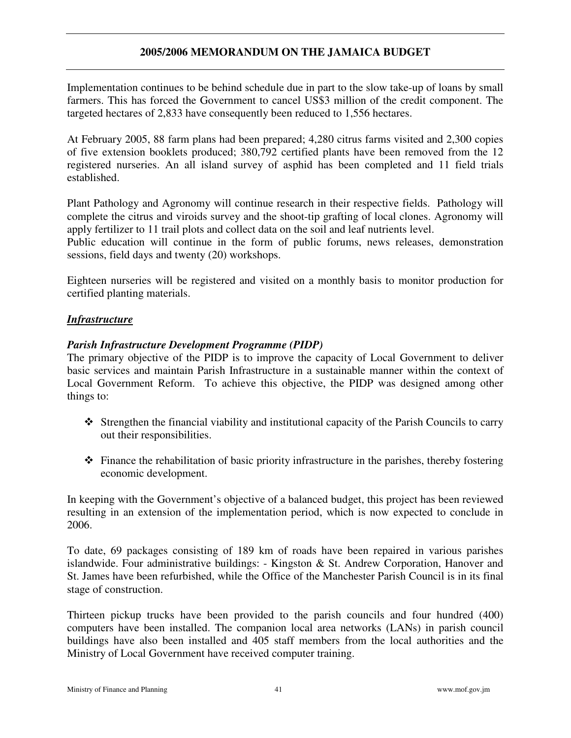Implementation continues to be behind schedule due in part to the slow take-up of loans by small farmers. This has forced the Government to cancel US\$3 million of the credit component. The targeted hectares of 2,833 have consequently been reduced to 1,556 hectares.

At February 2005, 88 farm plans had been prepared; 4,280 citrus farms visited and 2,300 copies of five extension booklets produced; 380,792 certified plants have been removed from the 12 registered nurseries. An all island survey of asphid has been completed and 11 field trials established.

Plant Pathology and Agronomy will continue research in their respective fields. Pathology will complete the citrus and viroids survey and the shoot-tip grafting of local clones. Agronomy will apply fertilizer to 11 trail plots and collect data on the soil and leaf nutrients level.

Public education will continue in the form of public forums, news releases, demonstration sessions, field days and twenty (20) workshops.

Eighteen nurseries will be registered and visited on a monthly basis to monitor production for certified planting materials.

#### *Infrastructure*

#### *Parish Infrastructure Development Programme (PIDP)*

The primary objective of the PIDP is to improve the capacity of Local Government to deliver basic services and maintain Parish Infrastructure in a sustainable manner within the context of Local Government Reform. To achieve this objective, the PIDP was designed among other things to:

- Strengthen the financial viability and institutional capacity of the Parish Councils to carry out their responsibilities.
- $\hat{\mathbf{\cdot}}$  Finance the rehabilitation of basic priority infrastructure in the parishes, thereby fostering economic development.

In keeping with the Government's objective of a balanced budget, this project has been reviewed resulting in an extension of the implementation period, which is now expected to conclude in 2006.

To date, 69 packages consisting of 189 km of roads have been repaired in various parishes islandwide. Four administrative buildings: - Kingston & St. Andrew Corporation, Hanover and St. James have been refurbished, while the Office of the Manchester Parish Council is in its final stage of construction.

Thirteen pickup trucks have been provided to the parish councils and four hundred (400) computers have been installed. The companion local area networks (LANs) in parish council buildings have also been installed and 405 staff members from the local authorities and the Ministry of Local Government have received computer training.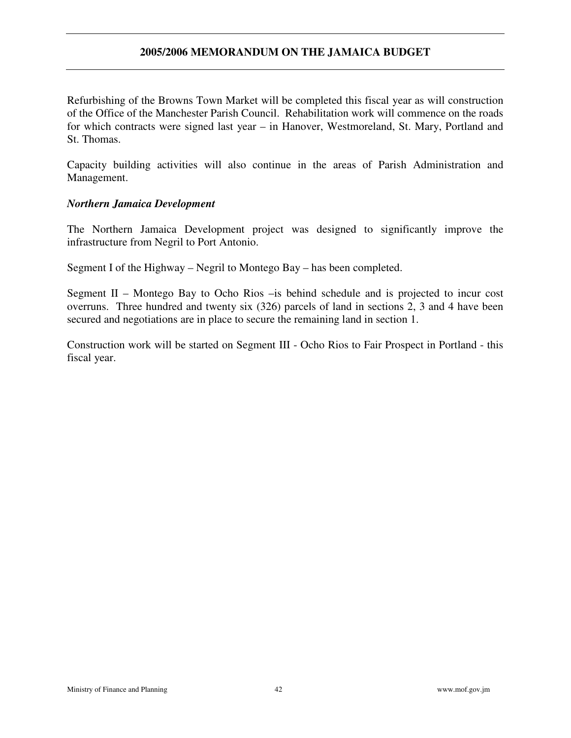Refurbishing of the Browns Town Market will be completed this fiscal year as will construction of the Office of the Manchester Parish Council. Rehabilitation work will commence on the roads for which contracts were signed last year – in Hanover, Westmoreland, St. Mary, Portland and St. Thomas.

Capacity building activities will also continue in the areas of Parish Administration and Management.

#### *Northern Jamaica Development*

The Northern Jamaica Development project was designed to significantly improve the infrastructure from Negril to Port Antonio.

Segment I of the Highway – Negril to Montego Bay – has been completed.

Segment II – Montego Bay to Ocho Rios –is behind schedule and is projected to incur cost overruns. Three hundred and twenty six (326) parcels of land in sections 2, 3 and 4 have been secured and negotiations are in place to secure the remaining land in section 1.

Construction work will be started on Segment III - Ocho Rios to Fair Prospect in Portland - this fiscal year.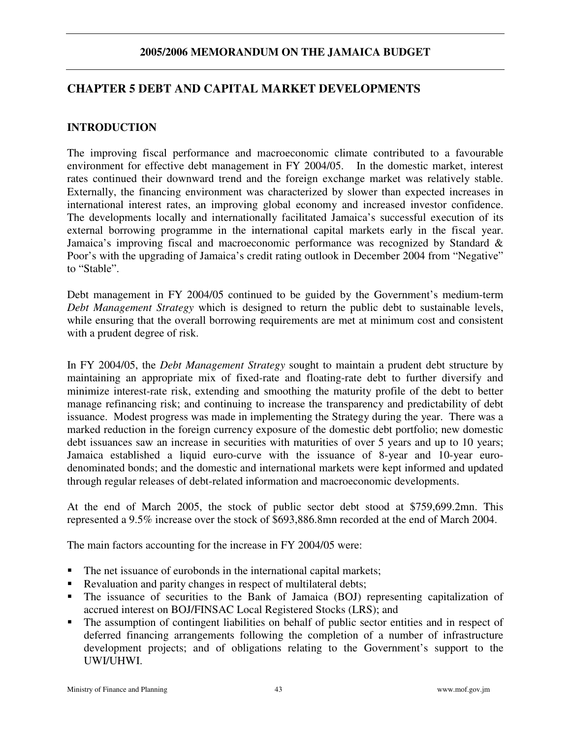## **CHAPTER 5 DEBT AND CAPITAL MARKET DEVELOPMENTS**

## **INTRODUCTION**

The improving fiscal performance and macroeconomic climate contributed to a favourable environment for effective debt management in FY 2004/05. In the domestic market, interest rates continued their downward trend and the foreign exchange market was relatively stable. Externally, the financing environment was characterized by slower than expected increases in international interest rates, an improving global economy and increased investor confidence. The developments locally and internationally facilitated Jamaica's successful execution of its external borrowing programme in the international capital markets early in the fiscal year. Jamaica's improving fiscal and macroeconomic performance was recognized by Standard & Poor's with the upgrading of Jamaica's credit rating outlook in December 2004 from "Negative" to "Stable".

Debt management in FY 2004/05 continued to be guided by the Government's medium-term *Debt Management Strategy* which is designed to return the public debt to sustainable levels, while ensuring that the overall borrowing requirements are met at minimum cost and consistent with a prudent degree of risk.

In FY 2004/05, the *Debt Management Strategy* sought to maintain a prudent debt structure by maintaining an appropriate mix of fixed-rate and floating-rate debt to further diversify and minimize interest-rate risk, extending and smoothing the maturity profile of the debt to better manage refinancing risk; and continuing to increase the transparency and predictability of debt issuance. Modest progress was made in implementing the Strategy during the year. There was a marked reduction in the foreign currency exposure of the domestic debt portfolio; new domestic debt issuances saw an increase in securities with maturities of over 5 years and up to 10 years; Jamaica established a liquid euro-curve with the issuance of 8-year and 10-year eurodenominated bonds; and the domestic and international markets were kept informed and updated through regular releases of debt-related information and macroeconomic developments.

At the end of March 2005, the stock of public sector debt stood at \$759,699.2mn. This represented a 9.5% increase over the stock of \$693,886.8mn recorded at the end of March 2004.

The main factors accounting for the increase in FY 2004/05 were:

- The net issuance of eurobonds in the international capital markets;
- Revaluation and parity changes in respect of multilateral debts;
- The issuance of securities to the Bank of Jamaica (BOJ) representing capitalization of accrued interest on BOJ/FINSAC Local Registered Stocks (LRS); and
- The assumption of contingent liabilities on behalf of public sector entities and in respect of deferred financing arrangements following the completion of a number of infrastructure development projects; and of obligations relating to the Government's support to the UWI/UHWI.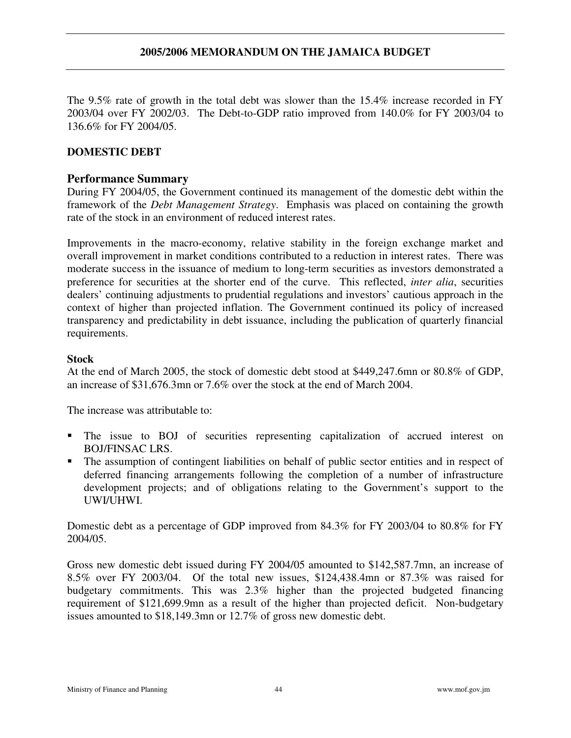The 9.5% rate of growth in the total debt was slower than the 15.4% increase recorded in FY 2003/04 over FY 2002/03. The Debt-to-GDP ratio improved from 140.0% for FY 2003/04 to 136.6% for FY 2004/05.

### **DOMESTIC DEBT**

### **Performance Summary**

During FY 2004/05, the Government continued its management of the domestic debt within the framework of the *Debt Management Strategy*. Emphasis was placed on containing the growth rate of the stock in an environment of reduced interest rates.

Improvements in the macro-economy, relative stability in the foreign exchange market and overall improvement in market conditions contributed to a reduction in interest rates. There was moderate success in the issuance of medium to long-term securities as investors demonstrated a preference for securities at the shorter end of the curve. This reflected, *inter alia*, securities dealers' continuing adjustments to prudential regulations and investors' cautious approach in the context of higher than projected inflation. The Government continued its policy of increased transparency and predictability in debt issuance, including the publication of quarterly financial requirements.

#### **Stock**

At the end of March 2005, the stock of domestic debt stood at \$449,247.6mn or 80.8% of GDP, an increase of \$31,676.3mn or 7.6% over the stock at the end of March 2004.

The increase was attributable to:

- The issue to BOJ of securities representing capitalization of accrued interest on BOJ/FINSAC LRS.
- The assumption of contingent liabilities on behalf of public sector entities and in respect of deferred financing arrangements following the completion of a number of infrastructure development projects; and of obligations relating to the Government's support to the UWI/UHWI.

Domestic debt as a percentage of GDP improved from 84.3% for FY 2003/04 to 80.8% for FY 2004/05.

Gross new domestic debt issued during FY 2004/05 amounted to \$142,587.7mn, an increase of 8.5% over FY 2003/04. Of the total new issues, \$124,438.4mn or 87.3% was raised for budgetary commitments. This was 2.3% higher than the projected budgeted financing requirement of \$121,699.9mn as a result of the higher than projected deficit. Non-budgetary issues amounted to \$18,149.3mn or 12.7% of gross new domestic debt.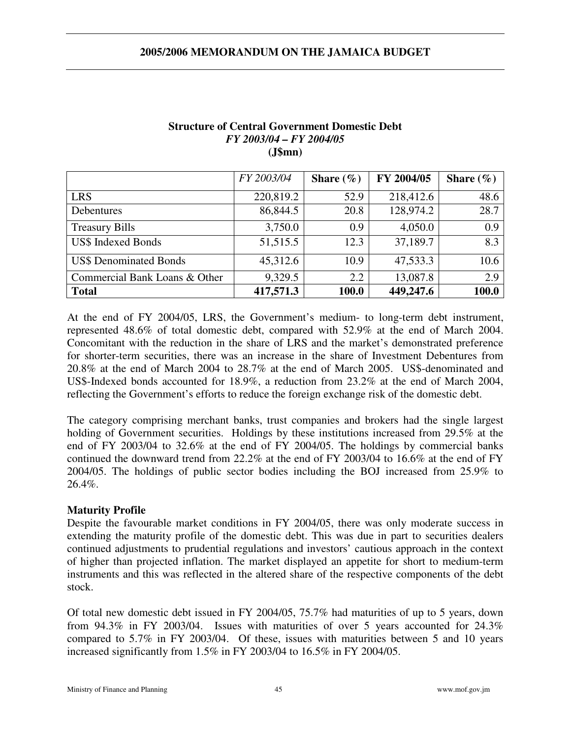|                               | FY 2003/04 | Share $(\% )$ | FY 2004/05 | Share $(\% )$ |
|-------------------------------|------------|---------------|------------|---------------|
| <b>LRS</b>                    | 220,819.2  | 52.9          | 218,412.6  | 48.6          |
| Debentures                    | 86,844.5   | 20.8          | 128,974.2  | 28.7          |
| <b>Treasury Bills</b>         | 3,750.0    | 0.9           | 4,050.0    | 0.9           |
| <b>US\$ Indexed Bonds</b>     | 51,515.5   | 12.3          | 37,189.7   | 8.3           |
| <b>US\$ Denominated Bonds</b> | 45,312.6   | 10.9          | 47,533.3   | 10.6          |
| Commercial Bank Loans & Other | 9,329.5    | 2.2           | 13,087.8   | 2.9           |
| <b>Total</b>                  | 417,571.3  | 100.0         | 449,247.6  | 100.0         |

#### **Structure of Central Government Domestic Debt** *FY 2003/04 – FY 2004/05* **(J\$mn)**

At the end of FY 2004/05, LRS, the Government's medium- to long-term debt instrument, represented 48.6% of total domestic debt, compared with 52.9% at the end of March 2004. Concomitant with the reduction in the share of LRS and the market's demonstrated preference for shorter-term securities, there was an increase in the share of Investment Debentures from 20.8% at the end of March 2004 to 28.7% at the end of March 2005. US\$-denominated and US\$-Indexed bonds accounted for 18.9%, a reduction from 23.2% at the end of March 2004, reflecting the Government's efforts to reduce the foreign exchange risk of the domestic debt.

The category comprising merchant banks, trust companies and brokers had the single largest holding of Government securities. Holdings by these institutions increased from 29.5% at the end of FY 2003/04 to 32.6% at the end of FY 2004/05. The holdings by commercial banks continued the downward trend from 22.2% at the end of FY 2003/04 to 16.6% at the end of FY 2004/05. The holdings of public sector bodies including the BOJ increased from 25.9% to 26.4%.

#### **Maturity Profile**

Despite the favourable market conditions in FY 2004/05, there was only moderate success in extending the maturity profile of the domestic debt. This was due in part to securities dealers continued adjustments to prudential regulations and investors' cautious approach in the context of higher than projected inflation. The market displayed an appetite for short to medium-term instruments and this was reflected in the altered share of the respective components of the debt stock.

Of total new domestic debt issued in FY 2004/05, 75.7% had maturities of up to 5 years, down from 94.3% in FY 2003/04. Issues with maturities of over 5 years accounted for 24.3% compared to 5.7% in FY 2003/04. Of these, issues with maturities between 5 and 10 years increased significantly from 1.5% in FY 2003/04 to 16.5% in FY 2004/05.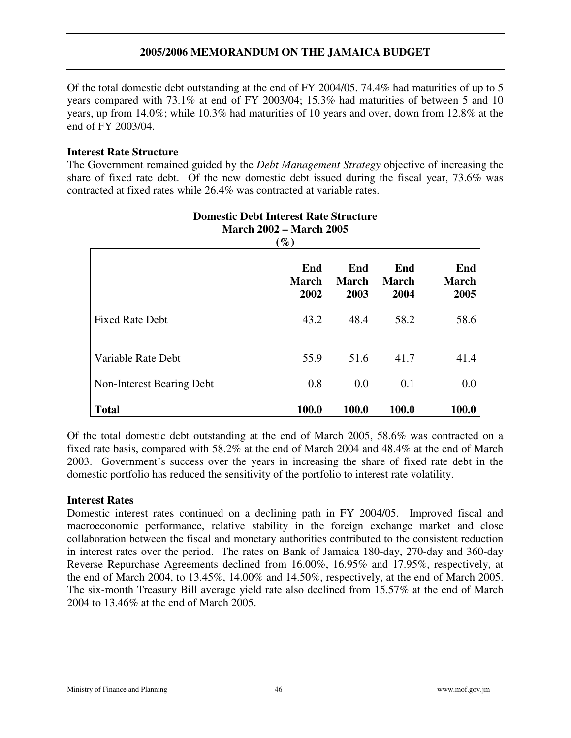Of the total domestic debt outstanding at the end of FY 2004/05, 74.4% had maturities of up to 5 years compared with 73.1% at end of FY 2003/04; 15.3% had maturities of between 5 and 10 years, up from 14.0%; while 10.3% had maturities of 10 years and over, down from 12.8% at the end of FY 2003/04.

#### **Interest Rate Structure**

The Government remained guided by the *Debt Management Strategy* objective of increasing the share of fixed rate debt. Of the new domestic debt issued during the fiscal year, 73.6% was contracted at fixed rates while 26.4% was contracted at variable rates.

| $\mathscr{G}_o$           |                             |                             |                             |                             |  |  |  |
|---------------------------|-----------------------------|-----------------------------|-----------------------------|-----------------------------|--|--|--|
|                           | End<br><b>March</b><br>2002 | End<br><b>March</b><br>2003 | End<br><b>March</b><br>2004 | End<br><b>March</b><br>2005 |  |  |  |
| <b>Fixed Rate Debt</b>    | 43.2                        | 48.4                        | 58.2                        | 58.6                        |  |  |  |
| Variable Rate Debt        | 55.9                        | 51.6                        | 41.7                        | 41.4                        |  |  |  |
| Non-Interest Bearing Debt | 0.8                         | 0.0                         | 0.1                         | 0.0                         |  |  |  |
| <b>Total</b>              | 100.0                       | 100.0                       | 100.0                       | 100.0                       |  |  |  |

### **Domestic Debt Interest Rate Structure March 2002 – March 2005**

Of the total domestic debt outstanding at the end of March 2005, 58.6% was contracted on a fixed rate basis, compared with 58.2% at the end of March 2004 and 48.4% at the end of March 2003. Government's success over the years in increasing the share of fixed rate debt in the domestic portfolio has reduced the sensitivity of the portfolio to interest rate volatility.

#### **Interest Rates**

Domestic interest rates continued on a declining path in FY 2004/05. Improved fiscal and macroeconomic performance, relative stability in the foreign exchange market and close collaboration between the fiscal and monetary authorities contributed to the consistent reduction in interest rates over the period. The rates on Bank of Jamaica 180-day, 270-day and 360-day Reverse Repurchase Agreements declined from 16.00%, 16.95% and 17.95%, respectively, at the end of March 2004, to 13.45%, 14.00% and 14.50%, respectively, at the end of March 2005. The six-month Treasury Bill average yield rate also declined from 15.57% at the end of March 2004 to 13.46% at the end of March 2005.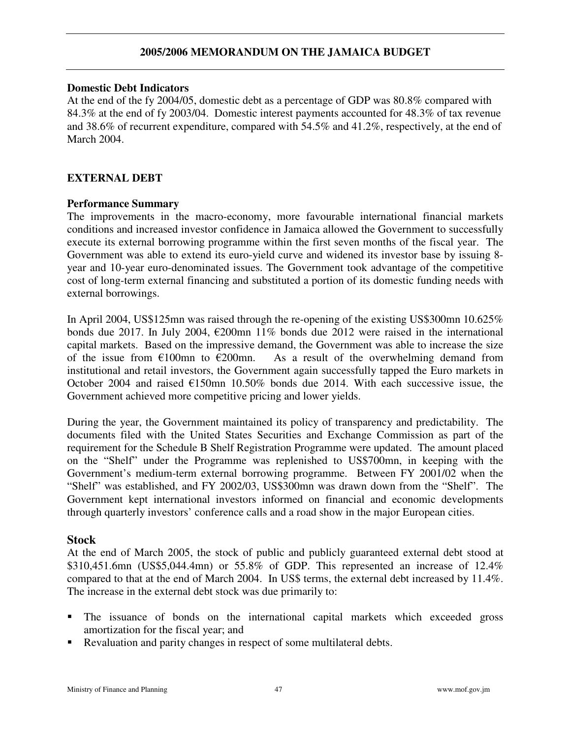#### **Domestic Debt Indicators**

At the end of the fy 2004/05, domestic debt as a percentage of GDP was 80.8% compared with 84.3% at the end of fy 2003/04. Domestic interest payments accounted for 48.3% of tax revenue and 38.6% of recurrent expenditure, compared with 54.5% and 41.2%, respectively, at the end of March 2004.

#### **EXTERNAL DEBT**

#### **Performance Summary**

The improvements in the macro-economy, more favourable international financial markets conditions and increased investor confidence in Jamaica allowed the Government to successfully execute its external borrowing programme within the first seven months of the fiscal year. The Government was able to extend its euro-yield curve and widened its investor base by issuing 8 year and 10-year euro-denominated issues. The Government took advantage of the competitive cost of long-term external financing and substituted a portion of its domestic funding needs with external borrowings.

In April 2004, US\$125mn was raised through the re-opening of the existing US\$300mn 10.625% bonds due 2017. In July 2004,  $\epsilon$ 200mn 11% bonds due 2012 were raised in the international capital markets. Based on the impressive demand, the Government was able to increase the size of the issue from  $\epsilon$ 100mn to  $\epsilon$ 200mn. As a result of the overwhelming demand from institutional and retail investors, the Government again successfully tapped the Euro markets in October 2004 and raised  $E150$ mn 10.50% bonds due 2014. With each successive issue, the Government achieved more competitive pricing and lower yields.

During the year, the Government maintained its policy of transparency and predictability. The documents filed with the United States Securities and Exchange Commission as part of the requirement for the Schedule B Shelf Registration Programme were updated. The amount placed on the "Shelf" under the Programme was replenished to US\$700mn, in keeping with the Government's medium-term external borrowing programme. Between FY 2001/02 when the "Shelf" was established, and FY 2002/03, US\$300mn was drawn down from the "Shelf". The Government kept international investors informed on financial and economic developments through quarterly investors' conference calls and a road show in the major European cities.

#### **Stock**

At the end of March 2005, the stock of public and publicly guaranteed external debt stood at \$310,451.6mn (US\$5,044.4mn) or 55.8% of GDP. This represented an increase of 12.4% compared to that at the end of March 2004. In US\$ terms, the external debt increased by 11.4%. The increase in the external debt stock was due primarily to:

- The issuance of bonds on the international capital markets which exceeded gross amortization for the fiscal year; and
- Revaluation and parity changes in respect of some multilateral debts.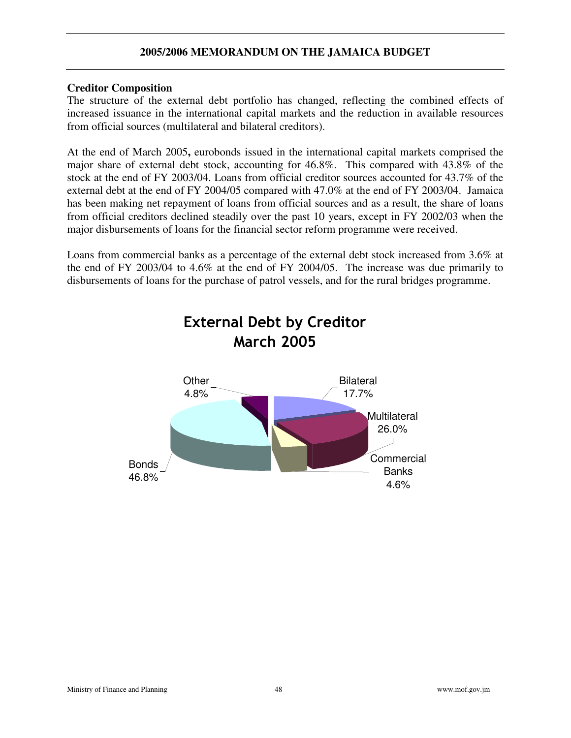#### **Creditor Composition**

The structure of the external debt portfolio has changed, reflecting the combined effects of increased issuance in the international capital markets and the reduction in available resources from official sources (multilateral and bilateral creditors).

At the end of March 2005**,** eurobonds issued in the international capital markets comprised the major share of external debt stock, accounting for 46.8%. This compared with 43.8% of the stock at the end of FY 2003/04. Loans from official creditor sources accounted for 43.7% of the external debt at the end of FY 2004/05 compared with 47.0% at the end of FY 2003/04. Jamaica has been making net repayment of loans from official sources and as a result, the share of loans from official creditors declined steadily over the past 10 years, except in FY 2002/03 when the major disbursements of loans for the financial sector reform programme were received.

Loans from commercial banks as a percentage of the external debt stock increased from 3.6% at the end of FY 2003/04 to 4.6% at the end of FY 2004/05. The increase was due primarily to disbursements of loans for the purchase of patrol vessels, and for the rural bridges programme.

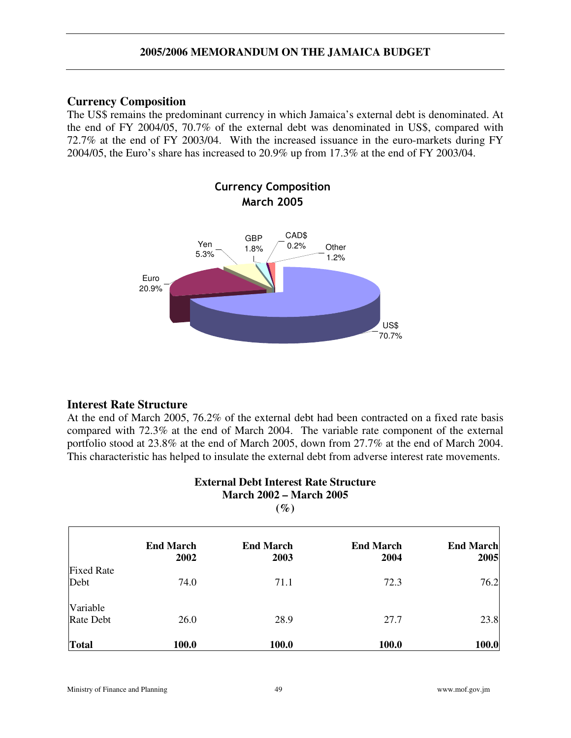#### **Currency Composition**

The US\$ remains the predominant currency in which Jamaica's external debt is denominated. At the end of FY 2004/05, 70.7% of the external debt was denominated in US\$, compared with 72.7% at the end of FY 2003/04. With the increased issuance in the euro-markets during FY 2004/05, the Euro's share has increased to 20.9% up from 17.3% at the end of FY 2003/04.



## **Interest Rate Structure**

At the end of March 2005, 76.2% of the external debt had been contracted on a fixed rate basis compared with 72.3% at the end of March 2004. The variable rate component of the external portfolio stood at 23.8% at the end of March 2005, down from 27.7% at the end of March 2004. This characteristic has helped to insulate the external debt from adverse interest rate movements.

| <b>External Debt Interest Rate Structure</b><br><b>March 2002 – March 2005</b><br>$(\%)$ |                          |                          |                          |                          |  |
|------------------------------------------------------------------------------------------|--------------------------|--------------------------|--------------------------|--------------------------|--|
|                                                                                          | <b>End March</b><br>2002 | <b>End March</b><br>2003 | <b>End March</b><br>2004 | <b>End March</b><br>2005 |  |
| <b>Fixed Rate</b>                                                                        |                          |                          |                          |                          |  |
| Debt                                                                                     | 74.0                     | 71.1                     | 72.3                     | 76.2                     |  |
| Variable                                                                                 |                          |                          |                          |                          |  |
| Rate Debt                                                                                | 26.0                     | 28.9                     | 27.7                     | 23.8                     |  |
| <b>Total</b>                                                                             | 100.0                    | 100.0                    | 100.0                    | 100.0                    |  |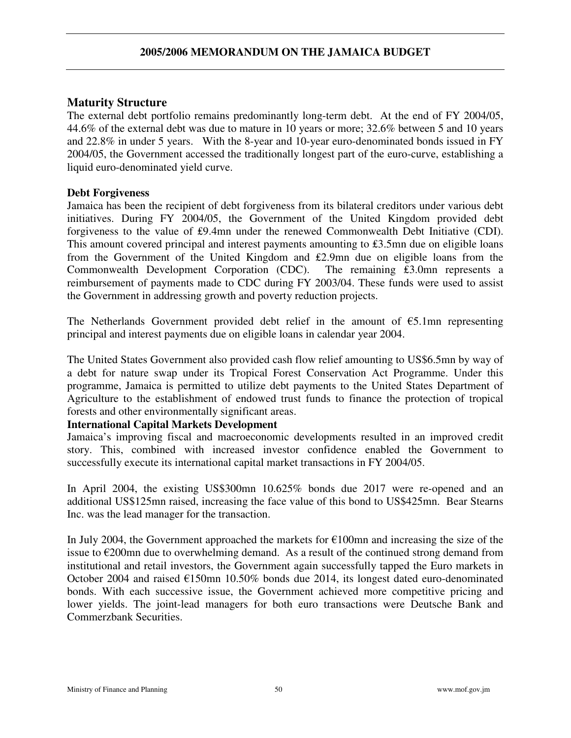## **Maturity Structure**

The external debt portfolio remains predominantly long-term debt. At the end of FY 2004/05, 44.6% of the external debt was due to mature in 10 years or more; 32.6% between 5 and 10 years and 22.8% in under 5 years. With the 8-year and 10-year euro-denominated bonds issued in FY 2004/05, the Government accessed the traditionally longest part of the euro-curve, establishing a liquid euro-denominated yield curve.

## **Debt Forgiveness**

Jamaica has been the recipient of debt forgiveness from its bilateral creditors under various debt initiatives. During FY 2004/05, the Government of the United Kingdom provided debt forgiveness to the value of £9.4mn under the renewed Commonwealth Debt Initiative (CDI). This amount covered principal and interest payments amounting to  $£3.5$ mn due on eligible loans from the Government of the United Kingdom and £2.9mn due on eligible loans from the Commonwealth Development Corporation (CDC). The remaining  $\hat{\epsilon}$ 3.0mn represents a reimbursement of payments made to CDC during FY 2003/04. These funds were used to assist the Government in addressing growth and poverty reduction projects.

The Netherlands Government provided debt relief in the amount of  $\epsilon$ 5.1mn representing principal and interest payments due on eligible loans in calendar year 2004.

The United States Government also provided cash flow relief amounting to US\$6.5mn by way of a debt for nature swap under its Tropical Forest Conservation Act Programme. Under this programme, Jamaica is permitted to utilize debt payments to the United States Department of Agriculture to the establishment of endowed trust funds to finance the protection of tropical forests and other environmentally significant areas.

## **International Capital Markets Development**

Jamaica's improving fiscal and macroeconomic developments resulted in an improved credit story. This, combined with increased investor confidence enabled the Government to successfully execute its international capital market transactions in FY 2004/05.

In April 2004, the existing US\$300mn 10.625% bonds due 2017 were re-opened and an additional US\$125mn raised, increasing the face value of this bond to US\$425mn. Bear Stearns Inc. was the lead manager for the transaction.

In July 2004, the Government approached the markets for  $E100$ mn and increasing the size of the issue to  $\epsilon$ 200mn due to overwhelming demand. As a result of the continued strong demand from institutional and retail investors, the Government again successfully tapped the Euro markets in October 2004 and raised  $E150$ mn 10.50% bonds due 2014, its longest dated euro-denominated bonds. With each successive issue, the Government achieved more competitive pricing and lower yields. The joint-lead managers for both euro transactions were Deutsche Bank and Commerzbank Securities.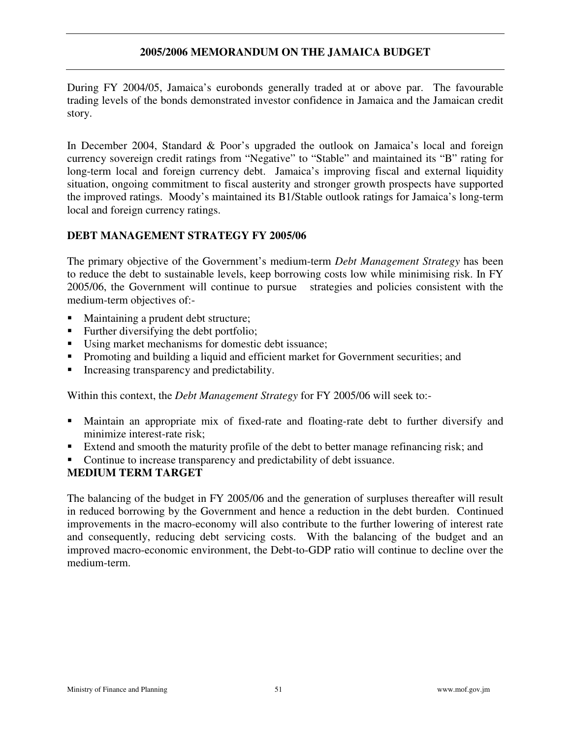During FY 2004/05, Jamaica's eurobonds generally traded at or above par. The favourable trading levels of the bonds demonstrated investor confidence in Jamaica and the Jamaican credit story.

In December 2004, Standard & Poor's upgraded the outlook on Jamaica's local and foreign currency sovereign credit ratings from "Negative" to "Stable" and maintained its "B" rating for long-term local and foreign currency debt. Jamaica's improving fiscal and external liquidity situation, ongoing commitment to fiscal austerity and stronger growth prospects have supported the improved ratings. Moody's maintained its B1/Stable outlook ratings for Jamaica's long-term local and foreign currency ratings.

### **DEBT MANAGEMENT STRATEGY FY 2005/06**

The primary objective of the Government's medium-term *Debt Management Strategy* has been to reduce the debt to sustainable levels, keep borrowing costs low while minimising risk. In FY 2005/06, the Government will continue to pursue strategies and policies consistent with the medium-term objectives of:-

- Maintaining a prudent debt structure;
- Further diversifying the debt portfolio;
- Using market mechanisms for domestic debt issuance;
- Promoting and building a liquid and efficient market for Government securities; and
- Increasing transparency and predictability.

Within this context, the *Debt Management Strategy* for FY 2005/06 will seek to:-

- Maintain an appropriate mix of fixed-rate and floating-rate debt to further diversify and minimize interest-rate risk;
- Extend and smooth the maturity profile of the debt to better manage refinancing risk; and
- Continue to increase transparency and predictability of debt issuance.

#### **MEDIUM TERM TARGET**

The balancing of the budget in FY 2005/06 and the generation of surpluses thereafter will result in reduced borrowing by the Government and hence a reduction in the debt burden. Continued improvements in the macro-economy will also contribute to the further lowering of interest rate and consequently, reducing debt servicing costs. With the balancing of the budget and an improved macro-economic environment, the Debt-to-GDP ratio will continue to decline over the medium-term.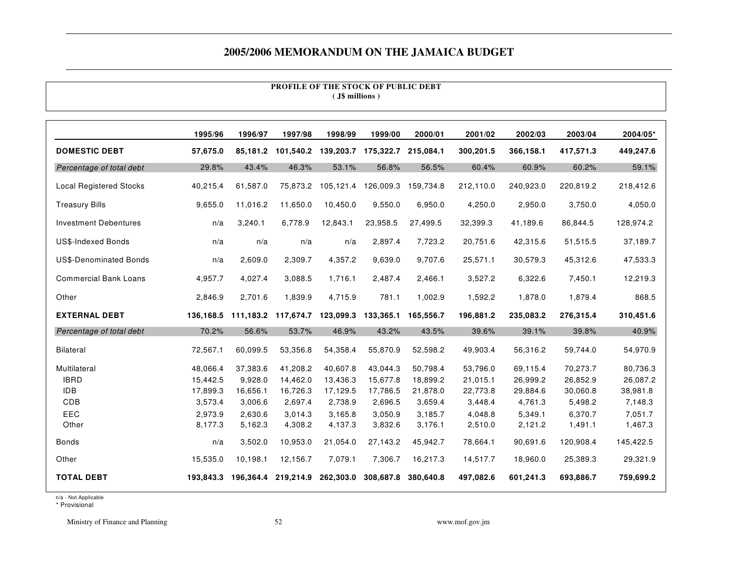#### **PROFILE OF THE STOCK OF PUBLIC DEBT ( J\$ millions )**

|                                | 1995/96   | 1996/97   | 1997/98   | 1998/99   | 1999/00             | 2000/01   | 2001/02   | 2002/03   | 2003/04   | 2004/05*  |
|--------------------------------|-----------|-----------|-----------|-----------|---------------------|-----------|-----------|-----------|-----------|-----------|
| <b>DOMESTIC DEBT</b>           | 57,675.0  | 85,181.2  | 101,540.2 | 139,203.7 | 175,322.7           | 215,084.1 | 300,201.5 | 366,158.1 | 417,571.3 | 449,247.6 |
| Percentage of total debt       | 29.8%     | 43.4%     | 46.3%     | 53.1%     | 56.8%               | 56.5%     | 60.4%     | 60.9%     | 60.2%     | 59.1%     |
| <b>Local Registered Stocks</b> | 40,215.4  | 61,587.0  | 75,873.2  |           | 105,121.4 126,009.3 | 159,734.8 | 212,110.0 | 240,923.0 | 220,819.2 | 218,412.6 |
| <b>Treasury Bills</b>          | 9,655.0   | 11,016.2  | 11,650.0  | 10,450.0  | 9,550.0             | 6,950.0   | 4,250.0   | 2,950.0   | 3,750.0   | 4,050.0   |
| <b>Investment Debentures</b>   | n/a       | 3,240.1   | 6,778.9   | 12,843.1  | 23,958.5            | 27.499.5  | 32,399.3  | 41,189.6  | 86,844.5  | 128,974.2 |
| <b>US\$-Indexed Bonds</b>      | n/a       | n/a       | n/a       | n/a       | 2,897.4             | 7,723.2   | 20,751.6  | 42,315.6  | 51,515.5  | 37,189.7  |
| <b>US\$-Denominated Bonds</b>  | n/a       | 2,609.0   | 2,309.7   | 4,357.2   | 9,639.0             | 9,707.6   | 25,571.1  | 30,579.3  | 45,312.6  | 47,533.3  |
| <b>Commercial Bank Loans</b>   | 4,957.7   | 4,027.4   | 3,088.5   | 1,716.1   | 2,487.4             | 2,466.1   | 3,527.2   | 6,322.6   | 7,450.1   | 12,219.3  |
| Other                          | 2,846.9   | 2,701.6   | 1,839.9   | 4,715.9   | 781.1               | 1,002.9   | 1,592.2   | 1,878.0   | 1,879.4   | 868.5     |
| <b>EXTERNAL DEBT</b>           | 136,168.5 | 111,183.2 | 117,674.7 | 123,099.3 | 133,365.1           | 165,556.7 | 196,881.2 | 235,083.2 | 276,315.4 | 310,451.6 |
| Percentage of total debt       | 70.2%     | 56.6%     | 53.7%     | 46.9%     | 43.2%               | 43.5%     | 39.6%     | 39.1%     | 39.8%     | 40.9%     |
| <b>Bilateral</b>               | 72,567.1  | 60,099.5  | 53,356.8  | 54,358.4  | 55,870.9            | 52,598.2  | 49,903.4  | 56,316.2  | 59,744.0  | 54,970.9  |
| Multilateral                   | 48,066.4  | 37,383.6  | 41,208.2  | 40,607.8  | 43,044.3            | 50,798.4  | 53,796.0  | 69,115.4  | 70,273.7  | 80,736.3  |
| <b>IBRD</b>                    | 15,442.5  | 9,928.0   | 14,462.0  | 13,436.3  | 15,677.8            | 18,899.2  | 21,015.1  | 26,999.2  | 26,852.9  | 26,087.2  |
| <b>IDB</b>                     | 17,899.3  | 16,656.1  | 16,726.3  | 17,129.5  | 17,786.5            | 21,878.0  | 22,773.8  | 29,884.6  | 30,060.8  | 38,981.8  |
| CDB                            | 3,573.4   | 3,006.6   | 2,697.4   | 2,738.9   | 2,696.5             | 3,659.4   | 3,448.4   | 4,761.3   | 5,498.2   | 7,148.3   |
| EEC                            | 2,973.9   | 2,630.6   | 3,014.3   | 3,165.8   | 3,050.9             | 3,185.7   | 4,048.8   | 5,349.1   | 6,370.7   | 7,051.7   |
| Other                          | 8,177.3   | 5,162.3   | 4,308.2   | 4,137.3   | 3,832.6             | 3,176.1   | 2,510.0   | 2,121.2   | 1,491.1   | 1,467.3   |
| <b>Bonds</b>                   | n/a       | 3,502.0   | 10,953.0  | 21,054.0  | 27,143.2            | 45,942.7  | 78,664.1  | 90,691.6  | 120,908.4 | 145,422.5 |
| Other                          | 15,535.0  | 10,198.1  | 12,156.7  | 7,079.1   | 7,306.7             | 16,217.3  | 14,517.7  | 18,960.0  | 25,389.3  | 29,321.9  |
| <b>TOTAL DEBT</b>              | 193.843.3 | 196,364.4 | 219,214.9 | 262,303.0 | 308,687.8           | 380.640.8 | 497,082.6 | 601,241.3 | 693,886.7 | 759,699.2 |

n/a - Not Applicable

\* Provisional

Ministry of Finance and Planning 52 www.mof.gov.jm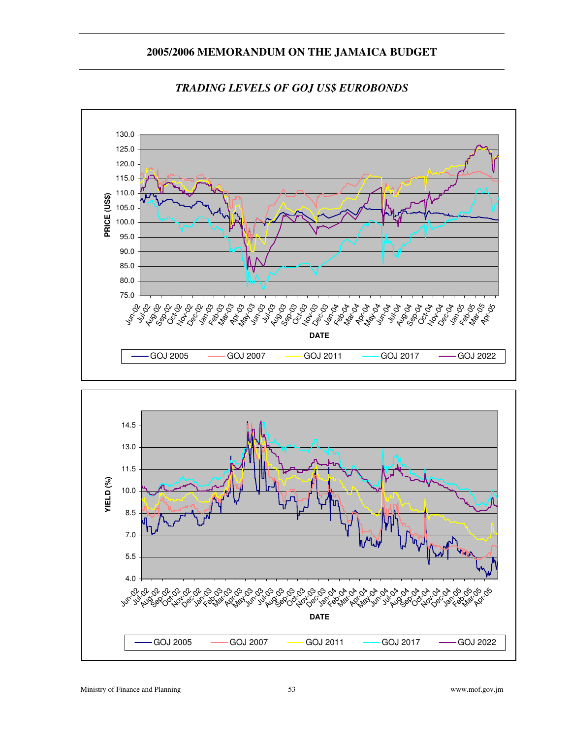

#### *TRADING LEVELS OF GOJ US\$ EUROBONDS*

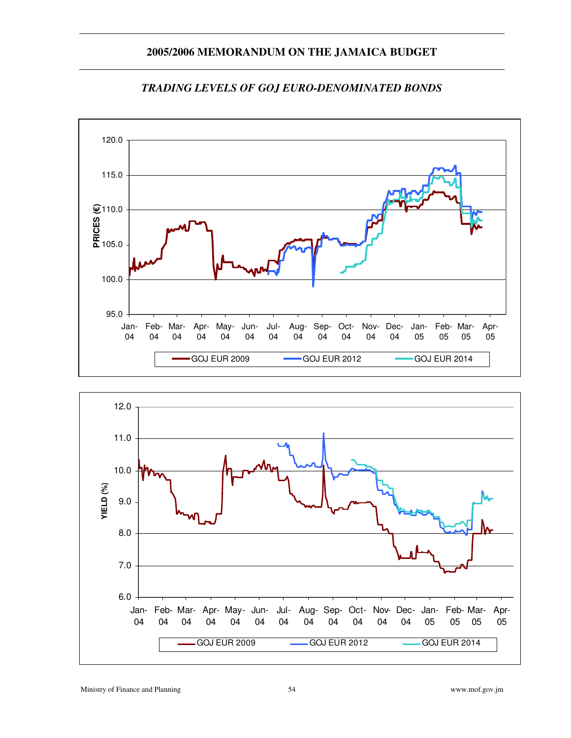

#### *TRADING LEVELS OF GOJ EURO-DENOMINATED BONDS*

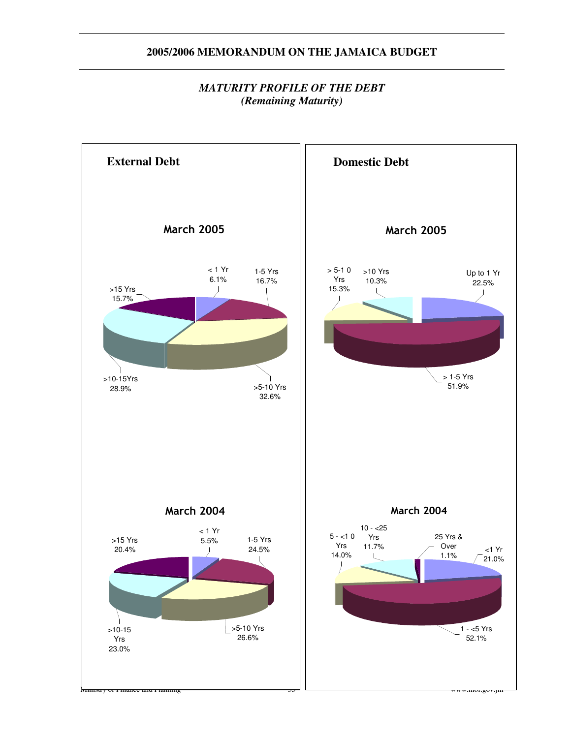### *MATURITY PROFILE OF THE DEBT (Remaining Maturity)*

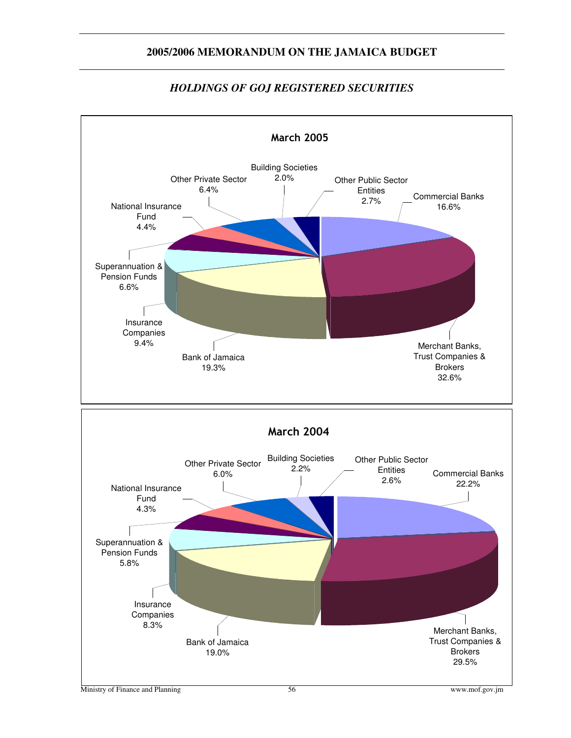

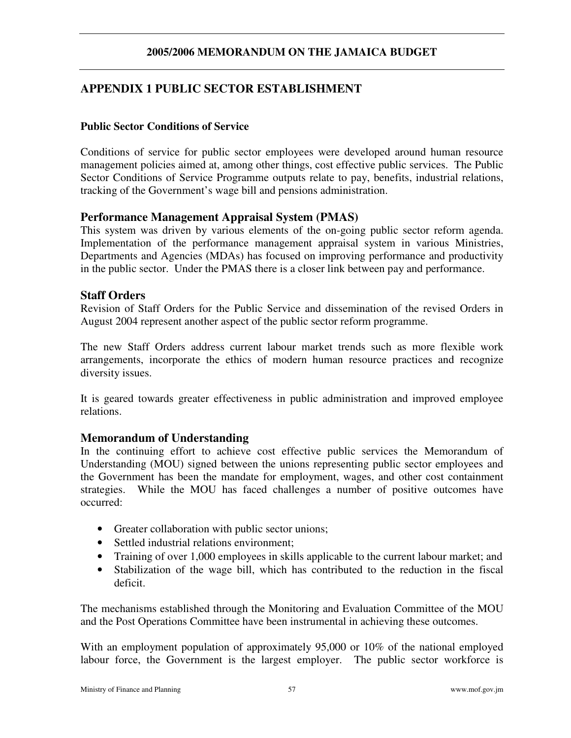## **APPENDIX 1 PUBLIC SECTOR ESTABLISHMENT**

#### **Public Sector Conditions of Service**

Conditions of service for public sector employees were developed around human resource management policies aimed at, among other things, cost effective public services. The Public Sector Conditions of Service Programme outputs relate to pay, benefits, industrial relations, tracking of the Government's wage bill and pensions administration.

### **Performance Management Appraisal System (PMAS)**

This system was driven by various elements of the on-going public sector reform agenda. Implementation of the performance management appraisal system in various Ministries, Departments and Agencies (MDAs) has focused on improving performance and productivity in the public sector. Under the PMAS there is a closer link between pay and performance.

#### **Staff Orders**

Revision of Staff Orders for the Public Service and dissemination of the revised Orders in August 2004 represent another aspect of the public sector reform programme.

The new Staff Orders address current labour market trends such as more flexible work arrangements, incorporate the ethics of modern human resource practices and recognize diversity issues.

It is geared towards greater effectiveness in public administration and improved employee relations.

#### **Memorandum of Understanding**

In the continuing effort to achieve cost effective public services the Memorandum of Understanding (MOU) signed between the unions representing public sector employees and the Government has been the mandate for employment, wages, and other cost containment strategies. While the MOU has faced challenges a number of positive outcomes have occurred:

- Greater collaboration with public sector unions;
- Settled industrial relations environment;
- Training of over 1,000 employees in skills applicable to the current labour market; and
- Stabilization of the wage bill, which has contributed to the reduction in the fiscal deficit.

The mechanisms established through the Monitoring and Evaluation Committee of the MOU and the Post Operations Committee have been instrumental in achieving these outcomes.

With an employment population of approximately 95,000 or 10% of the national employed labour force, the Government is the largest employer. The public sector workforce is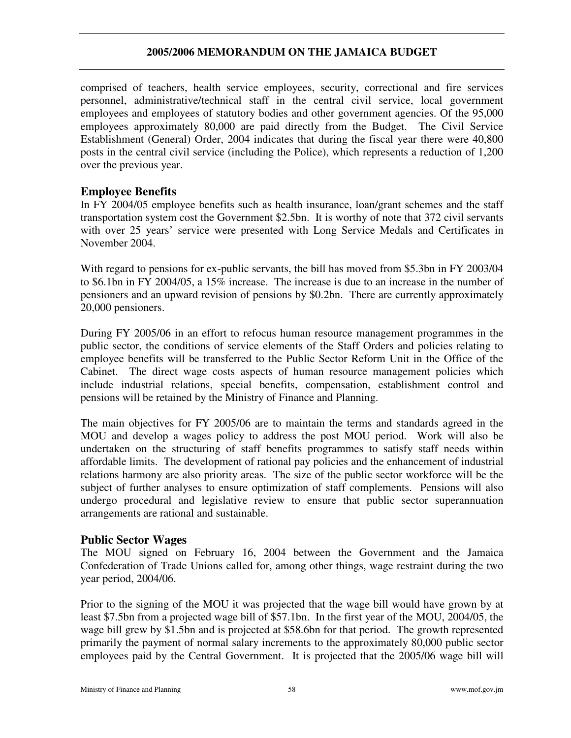comprised of teachers, health service employees, security, correctional and fire services personnel, administrative/technical staff in the central civil service, local government employees and employees of statutory bodies and other government agencies. Of the 95,000 employees approximately 80,000 are paid directly from the Budget. The Civil Service Establishment (General) Order, 2004 indicates that during the fiscal year there were 40,800 posts in the central civil service (including the Police), which represents a reduction of 1,200 over the previous year.

## **Employee Benefits**

In FY 2004/05 employee benefits such as health insurance, loan/grant schemes and the staff transportation system cost the Government \$2.5bn. It is worthy of note that 372 civil servants with over 25 years' service were presented with Long Service Medals and Certificates in November 2004.

With regard to pensions for ex-public servants, the bill has moved from \$5.3bn in FY 2003/04 to \$6.1bn in FY 2004/05, a 15% increase. The increase is due to an increase in the number of pensioners and an upward revision of pensions by \$0.2bn. There are currently approximately 20,000 pensioners.

During FY 2005/06 in an effort to refocus human resource management programmes in the public sector, the conditions of service elements of the Staff Orders and policies relating to employee benefits will be transferred to the Public Sector Reform Unit in the Office of the Cabinet. The direct wage costs aspects of human resource management policies which include industrial relations, special benefits, compensation, establishment control and pensions will be retained by the Ministry of Finance and Planning.

The main objectives for FY 2005/06 are to maintain the terms and standards agreed in the MOU and develop a wages policy to address the post MOU period. Work will also be undertaken on the structuring of staff benefits programmes to satisfy staff needs within affordable limits. The development of rational pay policies and the enhancement of industrial relations harmony are also priority areas. The size of the public sector workforce will be the subject of further analyses to ensure optimization of staff complements. Pensions will also undergo procedural and legislative review to ensure that public sector superannuation arrangements are rational and sustainable.

## **Public Sector Wages**

The MOU signed on February 16, 2004 between the Government and the Jamaica Confederation of Trade Unions called for, among other things, wage restraint during the two year period, 2004/06.

Prior to the signing of the MOU it was projected that the wage bill would have grown by at least \$7.5bn from a projected wage bill of \$57.1bn. In the first year of the MOU, 2004/05, the wage bill grew by \$1.5bn and is projected at \$58.6bn for that period. The growth represented primarily the payment of normal salary increments to the approximately 80,000 public sector employees paid by the Central Government. It is projected that the 2005/06 wage bill will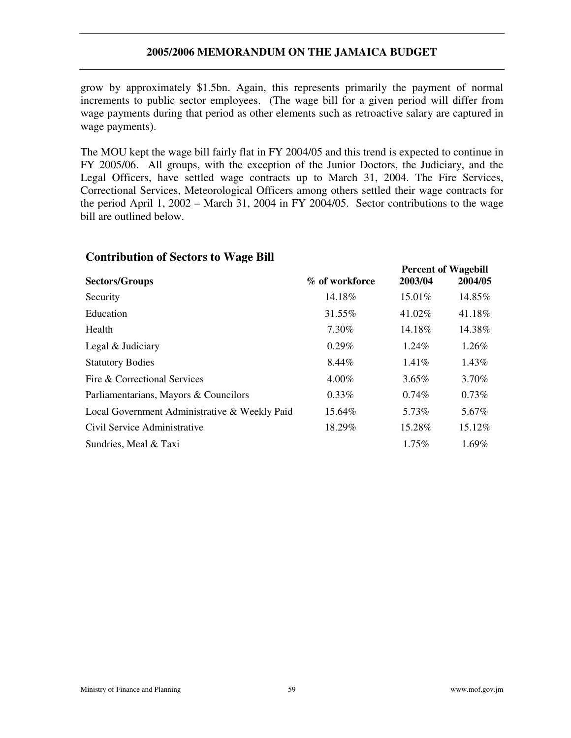grow by approximately \$1.5bn. Again, this represents primarily the payment of normal increments to public sector employees. (The wage bill for a given period will differ from wage payments during that period as other elements such as retroactive salary are captured in wage payments).

The MOU kept the wage bill fairly flat in FY 2004/05 and this trend is expected to continue in FY 2005/06. All groups, with the exception of the Junior Doctors, the Judiciary, and the Legal Officers, have settled wage contracts up to March 31, 2004. The Fire Services, Correctional Services, Meteorological Officers among others settled their wage contracts for the period April 1, 2002 – March 31, 2004 in FY 2004/05. Sector contributions to the wage bill are outlined below.

#### **Contribution of Sectors to Wage Bill**

| <b>Sectors/Groups</b>                         | % of workforce | 2003/04  | rercent or <i>wagebin</i><br>2004/05 |
|-----------------------------------------------|----------------|----------|--------------------------------------|
| Security                                      | 14.18%         | 15.01%   | 14.85%                               |
| Education                                     | 31.55%         | 41.02%   | 41.18%                               |
| Health                                        | 7.30%          | 14.18%   | 14.38%                               |
| Legal & Judiciary                             | $0.29\%$       | 1.24%    | 1.26%                                |
| <b>Statutory Bodies</b>                       | 8.44%          | $1.41\%$ | 1.43%                                |
| Fire & Correctional Services                  | $4.00\%$       | $3.65\%$ | 3.70%                                |
| Parliamentarians, Mayors & Councilors         | $0.33\%$       | 0.74%    | 0.73%                                |
| Local Government Administrative & Weekly Paid | 15.64%         | 5.73%    | 5.67%                                |
| Civil Service Administrative                  | 18.29%         | 15.28%   | 15.12%                               |
| Sundries, Meal & Taxi                         |                | $1.75\%$ | $1.69\%$                             |

**Percent of Wagebill**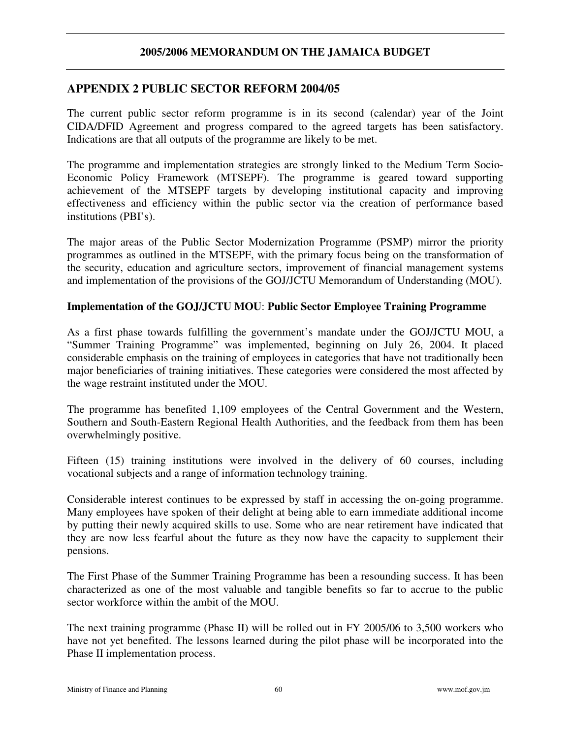## **APPENDIX 2 PUBLIC SECTOR REFORM 2004/05**

The current public sector reform programme is in its second (calendar) year of the Joint CIDA/DFID Agreement and progress compared to the agreed targets has been satisfactory. Indications are that all outputs of the programme are likely to be met.

The programme and implementation strategies are strongly linked to the Medium Term Socio-Economic Policy Framework (MTSEPF). The programme is geared toward supporting achievement of the MTSEPF targets by developing institutional capacity and improving effectiveness and efficiency within the public sector via the creation of performance based institutions (PBI's).

The major areas of the Public Sector Modernization Programme (PSMP) mirror the priority programmes as outlined in the MTSEPF, with the primary focus being on the transformation of the security, education and agriculture sectors, improvement of financial management systems and implementation of the provisions of the GOJ/JCTU Memorandum of Understanding (MOU).

#### **Implementation of the GOJ/JCTU MOU**: **Public Sector Employee Training Programme**

As a first phase towards fulfilling the government's mandate under the GOJ/JCTU MOU, a "Summer Training Programme" was implemented, beginning on July 26, 2004. It placed considerable emphasis on the training of employees in categories that have not traditionally been major beneficiaries of training initiatives. These categories were considered the most affected by the wage restraint instituted under the MOU.

The programme has benefited 1,109 employees of the Central Government and the Western, Southern and South-Eastern Regional Health Authorities, and the feedback from them has been overwhelmingly positive.

Fifteen (15) training institutions were involved in the delivery of 60 courses, including vocational subjects and a range of information technology training.

Considerable interest continues to be expressed by staff in accessing the on-going programme. Many employees have spoken of their delight at being able to earn immediate additional income by putting their newly acquired skills to use. Some who are near retirement have indicated that they are now less fearful about the future as they now have the capacity to supplement their pensions.

The First Phase of the Summer Training Programme has been a resounding success. It has been characterized as one of the most valuable and tangible benefits so far to accrue to the public sector workforce within the ambit of the MOU.

The next training programme (Phase II) will be rolled out in FY 2005/06 to 3,500 workers who have not yet benefited. The lessons learned during the pilot phase will be incorporated into the Phase II implementation process.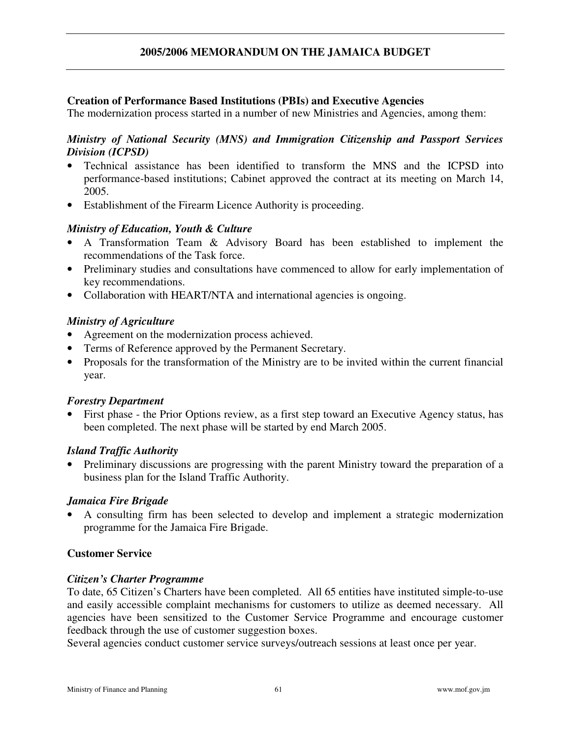#### **Creation of Performance Based Institutions (PBIs) and Executive Agencies**

The modernization process started in a number of new Ministries and Agencies, among them:

#### *Ministry of National Security (MNS) and Immigration Citizenship and Passport Services Division (ICPSD)*

- Technical assistance has been identified to transform the MNS and the ICPSD into performance-based institutions; Cabinet approved the contract at its meeting on March 14, 2005.
- Establishment of the Firearm Licence Authority is proceeding.

#### *Ministry of Education, Youth & Culture*

- A Transformation Team & Advisory Board has been established to implement the recommendations of the Task force.
- Preliminary studies and consultations have commenced to allow for early implementation of key recommendations.
- Collaboration with HEART/NTA and international agencies is ongoing.

#### *Ministry of Agriculture*

- Agreement on the modernization process achieved.
- Terms of Reference approved by the Permanent Secretary.
- Proposals for the transformation of the Ministry are to be invited within the current financial year.

#### *Forestry Department*

• First phase - the Prior Options review, as a first step toward an Executive Agency status, has been completed. The next phase will be started by end March 2005.

#### *Island Traffic Authority*

• Preliminary discussions are progressing with the parent Ministry toward the preparation of a business plan for the Island Traffic Authority.

#### *Jamaica Fire Brigade*

• A consulting firm has been selected to develop and implement a strategic modernization programme for the Jamaica Fire Brigade.

#### **Customer Service**

#### *Citizen's Charter Programme*

To date, 65 Citizen's Charters have been completed. All 65 entities have instituted simple-to-use and easily accessible complaint mechanisms for customers to utilize as deemed necessary. All agencies have been sensitized to the Customer Service Programme and encourage customer feedback through the use of customer suggestion boxes.

Several agencies conduct customer service surveys/outreach sessions at least once per year.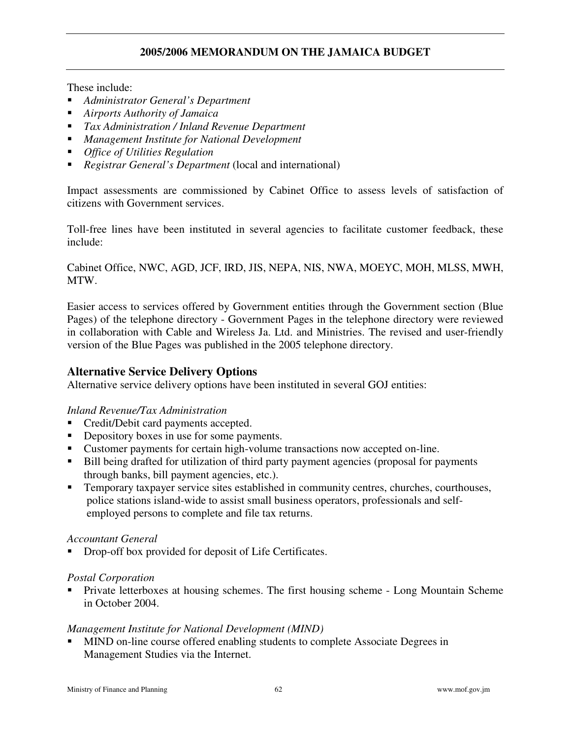These include:

- *Administrator General's Department*
- *Airports Authority of Jamaica*
- *Tax Administration / Inland Revenue Department*
- *Management Institute for National Development*
- *Office of Utilities Regulation*
- *Registrar General's Department* (local and international)

Impact assessments are commissioned by Cabinet Office to assess levels of satisfaction of citizens with Government services.

Toll-free lines have been instituted in several agencies to facilitate customer feedback, these include:

Cabinet Office, NWC, AGD, JCF, IRD, JIS, NEPA, NIS, NWA, MOEYC, MOH, MLSS, MWH, MTW.

Easier access to services offered by Government entities through the Government section (Blue Pages) of the telephone directory - Government Pages in the telephone directory were reviewed in collaboration with Cable and Wireless Ja. Ltd. and Ministries. The revised and user-friendly version of the Blue Pages was published in the 2005 telephone directory.

#### **Alternative Service Delivery Options**

Alternative service delivery options have been instituted in several GOJ entities:

#### *Inland Revenue/Tax Administration*

- Credit/Debit card payments accepted.
- Depository boxes in use for some payments.
- Customer payments for certain high-volume transactions now accepted on-line.
- Bill being drafted for utilization of third party payment agencies (proposal for payments through banks, bill payment agencies, etc.).
- Temporary taxpayer service sites established in community centres, churches, courthouses, police stations island-wide to assist small business operators, professionals and selfemployed persons to complete and file tax returns.

#### *Accountant General*

Drop-off box provided for deposit of Life Certificates.

#### *Postal Corporation*

 Private letterboxes at housing schemes. The first housing scheme - Long Mountain Scheme in October 2004.

#### *Management Institute for National Development (MIND)*

 MIND on-line course offered enabling students to complete Associate Degrees in Management Studies via the Internet.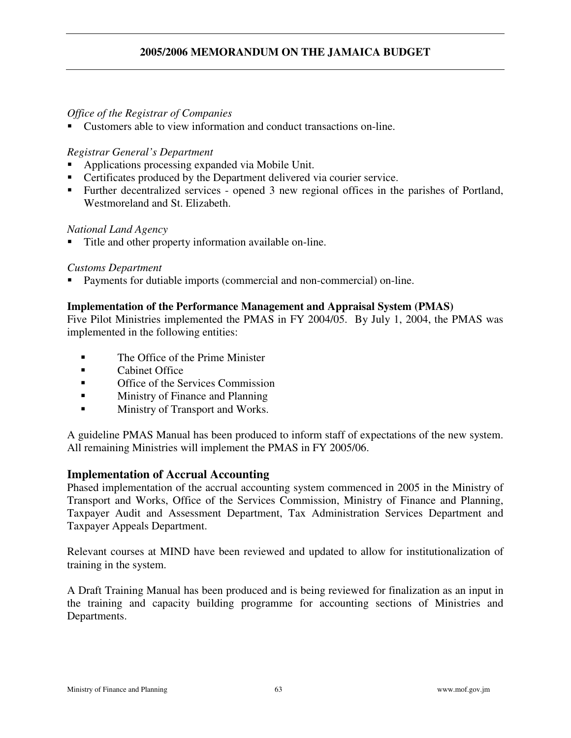#### *Office of the Registrar of Companies*

Customers able to view information and conduct transactions on-line.

#### *Registrar General's Department*

- Applications processing expanded via Mobile Unit.
- Certificates produced by the Department delivered via courier service.
- Further decentralized services opened 3 new regional offices in the parishes of Portland, Westmoreland and St. Elizabeth.

#### *National Land Agency*

Title and other property information available on-line.

#### *Customs Department*

Payments for dutiable imports (commercial and non-commercial) on-line.

#### **Implementation of the Performance Management and Appraisal System (PMAS)**

Five Pilot Ministries implemented the PMAS in FY 2004/05. By July 1, 2004, the PMAS was implemented in the following entities:

- **The Office of the Prime Minister**
- **Exercise** Cabinet Office
- **•** Office of the Services Commission
- **Example 3** Ministry of Finance and Planning
- **Ministry of Transport and Works.**

A guideline PMAS Manual has been produced to inform staff of expectations of the new system. All remaining Ministries will implement the PMAS in FY 2005/06.

#### **Implementation of Accrual Accounting**

Phased implementation of the accrual accounting system commenced in 2005 in the Ministry of Transport and Works, Office of the Services Commission, Ministry of Finance and Planning, Taxpayer Audit and Assessment Department, Tax Administration Services Department and Taxpayer Appeals Department.

Relevant courses at MIND have been reviewed and updated to allow for institutionalization of training in the system.

A Draft Training Manual has been produced and is being reviewed for finalization as an input in the training and capacity building programme for accounting sections of Ministries and Departments.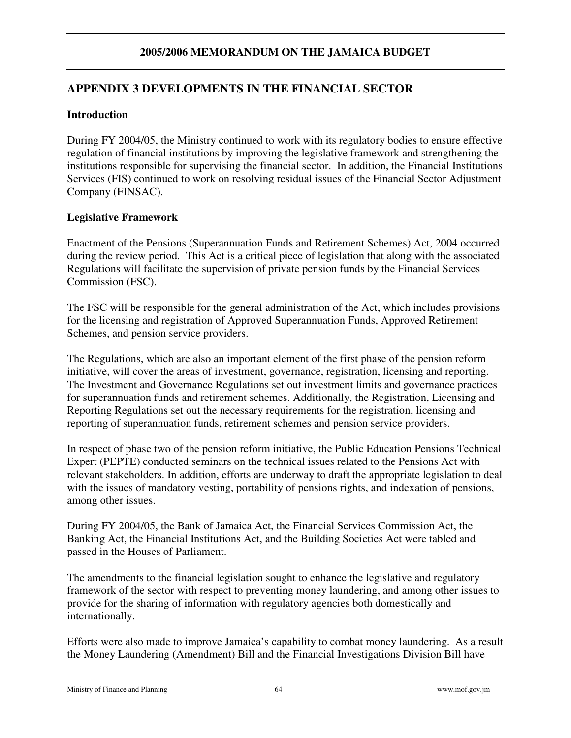## **APPENDIX 3 DEVELOPMENTS IN THE FINANCIAL SECTOR**

### **Introduction**

During FY 2004/05, the Ministry continued to work with its regulatory bodies to ensure effective regulation of financial institutions by improving the legislative framework and strengthening the institutions responsible for supervising the financial sector. In addition, the Financial Institutions Services (FIS) continued to work on resolving residual issues of the Financial Sector Adjustment Company (FINSAC).

### **Legislative Framework**

Enactment of the Pensions (Superannuation Funds and Retirement Schemes) Act, 2004 occurred during the review period. This Act is a critical piece of legislation that along with the associated Regulations will facilitate the supervision of private pension funds by the Financial Services Commission (FSC).

The FSC will be responsible for the general administration of the Act, which includes provisions for the licensing and registration of Approved Superannuation Funds, Approved Retirement Schemes, and pension service providers.

The Regulations, which are also an important element of the first phase of the pension reform initiative, will cover the areas of investment, governance, registration, licensing and reporting. The Investment and Governance Regulations set out investment limits and governance practices for superannuation funds and retirement schemes. Additionally, the Registration, Licensing and Reporting Regulations set out the necessary requirements for the registration, licensing and reporting of superannuation funds, retirement schemes and pension service providers.

In respect of phase two of the pension reform initiative, the Public Education Pensions Technical Expert (PEPTE) conducted seminars on the technical issues related to the Pensions Act with relevant stakeholders. In addition, efforts are underway to draft the appropriate legislation to deal with the issues of mandatory vesting, portability of pensions rights, and indexation of pensions, among other issues.

During FY 2004/05, the Bank of Jamaica Act, the Financial Services Commission Act, the Banking Act, the Financial Institutions Act, and the Building Societies Act were tabled and passed in the Houses of Parliament.

The amendments to the financial legislation sought to enhance the legislative and regulatory framework of the sector with respect to preventing money laundering, and among other issues to provide for the sharing of information with regulatory agencies both domestically and internationally.

Efforts were also made to improve Jamaica's capability to combat money laundering. As a result the Money Laundering (Amendment) Bill and the Financial Investigations Division Bill have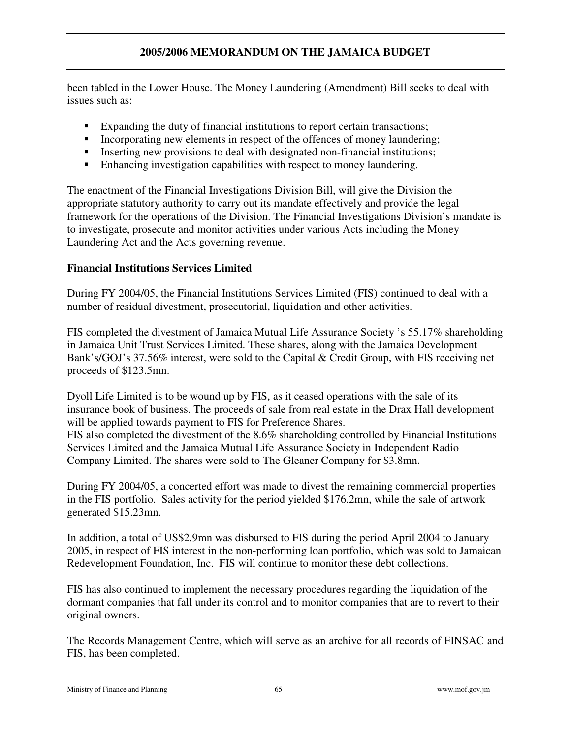been tabled in the Lower House. The Money Laundering (Amendment) Bill seeks to deal with issues such as:

- Expanding the duty of financial institutions to report certain transactions;
- Incorporating new elements in respect of the offences of money laundering;
- Inserting new provisions to deal with designated non-financial institutions;
- Enhancing investigation capabilities with respect to money laundering.

The enactment of the Financial Investigations Division Bill, will give the Division the appropriate statutory authority to carry out its mandate effectively and provide the legal framework for the operations of the Division. The Financial Investigations Division's mandate is to investigate, prosecute and monitor activities under various Acts including the Money Laundering Act and the Acts governing revenue.

#### **Financial Institutions Services Limited**

During FY 2004/05, the Financial Institutions Services Limited (FIS) continued to deal with a number of residual divestment, prosecutorial, liquidation and other activities.

FIS completed the divestment of Jamaica Mutual Life Assurance Society 's 55.17% shareholding in Jamaica Unit Trust Services Limited. These shares, along with the Jamaica Development Bank's/GOJ's 37.56% interest, were sold to the Capital & Credit Group, with FIS receiving net proceeds of \$123.5mn.

Dyoll Life Limited is to be wound up by FIS, as it ceased operations with the sale of its insurance book of business. The proceeds of sale from real estate in the Drax Hall development will be applied towards payment to FIS for Preference Shares. FIS also completed the divestment of the 8.6% shareholding controlled by Financial Institutions Services Limited and the Jamaica Mutual Life Assurance Society in Independent Radio Company Limited. The shares were sold to The Gleaner Company for \$3.8mn.

During FY 2004/05, a concerted effort was made to divest the remaining commercial properties in the FIS portfolio. Sales activity for the period yielded \$176.2mn, while the sale of artwork generated \$15.23mn.

In addition, a total of US\$2.9mn was disbursed to FIS during the period April 2004 to January 2005, in respect of FIS interest in the non-performing loan portfolio, which was sold to Jamaican Redevelopment Foundation, Inc. FIS will continue to monitor these debt collections.

FIS has also continued to implement the necessary procedures regarding the liquidation of the dormant companies that fall under its control and to monitor companies that are to revert to their original owners.

The Records Management Centre, which will serve as an archive for all records of FINSAC and FIS, has been completed.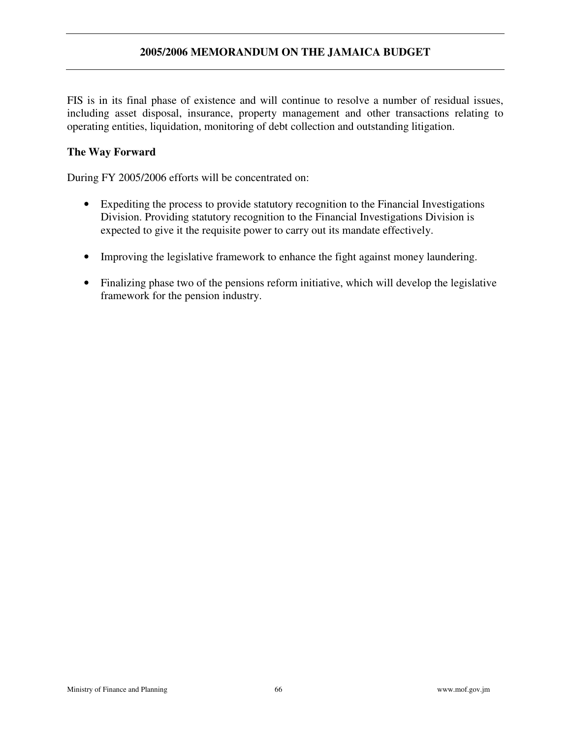FIS is in its final phase of existence and will continue to resolve a number of residual issues, including asset disposal, insurance, property management and other transactions relating to operating entities, liquidation, monitoring of debt collection and outstanding litigation.

#### **The Way Forward**

During FY 2005/2006 efforts will be concentrated on:

- Expediting the process to provide statutory recognition to the Financial Investigations Division. Providing statutory recognition to the Financial Investigations Division is expected to give it the requisite power to carry out its mandate effectively.
- Improving the legislative framework to enhance the fight against money laundering.
- Finalizing phase two of the pensions reform initiative, which will develop the legislative framework for the pension industry.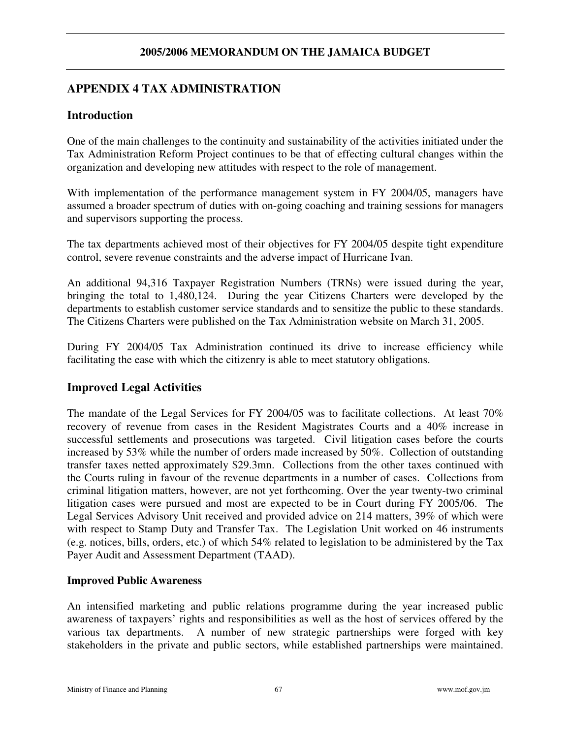## **APPENDIX 4 TAX ADMINISTRATION**

### **Introduction**

One of the main challenges to the continuity and sustainability of the activities initiated under the Tax Administration Reform Project continues to be that of effecting cultural changes within the organization and developing new attitudes with respect to the role of management.

With implementation of the performance management system in FY 2004/05, managers have assumed a broader spectrum of duties with on-going coaching and training sessions for managers and supervisors supporting the process.

The tax departments achieved most of their objectives for FY 2004/05 despite tight expenditure control, severe revenue constraints and the adverse impact of Hurricane Ivan.

An additional 94,316 Taxpayer Registration Numbers (TRNs) were issued during the year, bringing the total to 1,480,124. During the year Citizens Charters were developed by the departments to establish customer service standards and to sensitize the public to these standards. The Citizens Charters were published on the Tax Administration website on March 31, 2005.

During FY 2004/05 Tax Administration continued its drive to increase efficiency while facilitating the ease with which the citizenry is able to meet statutory obligations.

## **Improved Legal Activities**

The mandate of the Legal Services for FY 2004/05 was to facilitate collections. At least 70% recovery of revenue from cases in the Resident Magistrates Courts and a 40% increase in successful settlements and prosecutions was targeted. Civil litigation cases before the courts increased by 53% while the number of orders made increased by 50%. Collection of outstanding transfer taxes netted approximately \$29.3mn. Collections from the other taxes continued with the Courts ruling in favour of the revenue departments in a number of cases. Collections from criminal litigation matters, however, are not yet forthcoming. Over the year twenty-two criminal litigation cases were pursued and most are expected to be in Court during FY 2005/06. The Legal Services Advisory Unit received and provided advice on 214 matters, 39% of which were with respect to Stamp Duty and Transfer Tax. The Legislation Unit worked on 46 instruments (e.g. notices, bills, orders, etc.) of which 54% related to legislation to be administered by the Tax Payer Audit and Assessment Department (TAAD).

#### **Improved Public Awareness**

An intensified marketing and public relations programme during the year increased public awareness of taxpayers' rights and responsibilities as well as the host of services offered by the various tax departments. A number of new strategic partnerships were forged with key stakeholders in the private and public sectors, while established partnerships were maintained.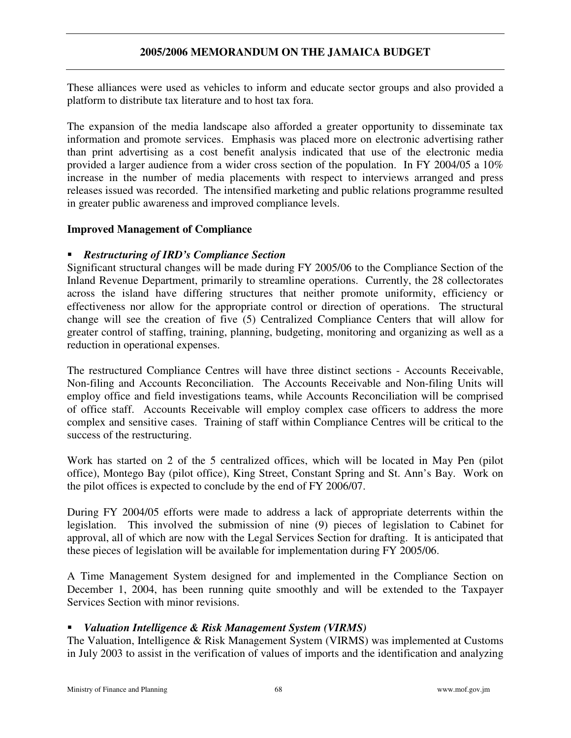These alliances were used as vehicles to inform and educate sector groups and also provided a platform to distribute tax literature and to host tax fora.

The expansion of the media landscape also afforded a greater opportunity to disseminate tax information and promote services. Emphasis was placed more on electronic advertising rather than print advertising as a cost benefit analysis indicated that use of the electronic media provided a larger audience from a wider cross section of the population. In FY 2004/05 a 10% increase in the number of media placements with respect to interviews arranged and press releases issued was recorded. The intensified marketing and public relations programme resulted in greater public awareness and improved compliance levels.

#### **Improved Management of Compliance**

### *Restructuring of IRD's Compliance Section*

Significant structural changes will be made during FY 2005/06 to the Compliance Section of the Inland Revenue Department, primarily to streamline operations. Currently, the 28 collectorates across the island have differing structures that neither promote uniformity, efficiency or effectiveness nor allow for the appropriate control or direction of operations. The structural change will see the creation of five (5) Centralized Compliance Centers that will allow for greater control of staffing, training, planning, budgeting, monitoring and organizing as well as a reduction in operational expenses.

The restructured Compliance Centres will have three distinct sections - Accounts Receivable, Non-filing and Accounts Reconciliation. The Accounts Receivable and Non-filing Units will employ office and field investigations teams, while Accounts Reconciliation will be comprised of office staff. Accounts Receivable will employ complex case officers to address the more complex and sensitive cases. Training of staff within Compliance Centres will be critical to the success of the restructuring.

Work has started on 2 of the 5 centralized offices, which will be located in May Pen (pilot office), Montego Bay (pilot office), King Street, Constant Spring and St. Ann's Bay. Work on the pilot offices is expected to conclude by the end of FY 2006/07.

During FY 2004/05 efforts were made to address a lack of appropriate deterrents within the legislation. This involved the submission of nine (9) pieces of legislation to Cabinet for approval, all of which are now with the Legal Services Section for drafting. It is anticipated that these pieces of legislation will be available for implementation during FY 2005/06.

A Time Management System designed for and implemented in the Compliance Section on December 1, 2004, has been running quite smoothly and will be extended to the Taxpayer Services Section with minor revisions.

#### *Valuation Intelligence & Risk Management System (VIRMS)*

The Valuation, Intelligence & Risk Management System (VIRMS) was implemented at Customs in July 2003 to assist in the verification of values of imports and the identification and analyzing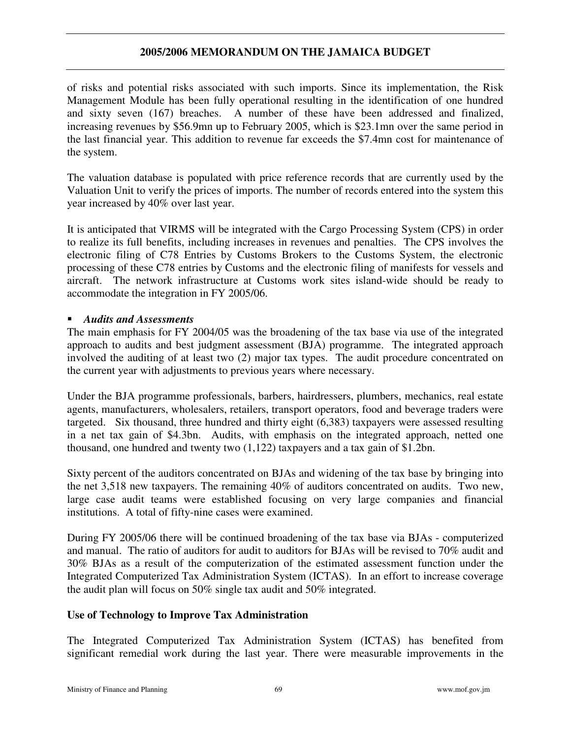of risks and potential risks associated with such imports. Since its implementation, the Risk Management Module has been fully operational resulting in the identification of one hundred and sixty seven (167) breaches. A number of these have been addressed and finalized, increasing revenues by \$56.9mn up to February 2005, which is \$23.1mn over the same period in the last financial year. This addition to revenue far exceeds the \$7.4mn cost for maintenance of the system.

The valuation database is populated with price reference records that are currently used by the Valuation Unit to verify the prices of imports. The number of records entered into the system this year increased by 40% over last year.

It is anticipated that VIRMS will be integrated with the Cargo Processing System (CPS) in order to realize its full benefits, including increases in revenues and penalties. The CPS involves the electronic filing of C78 Entries by Customs Brokers to the Customs System, the electronic processing of these C78 entries by Customs and the electronic filing of manifests for vessels and aircraft. The network infrastructure at Customs work sites island-wide should be ready to accommodate the integration in FY 2005/06.

#### *Audits and Assessments*

The main emphasis for FY 2004/05 was the broadening of the tax base via use of the integrated approach to audits and best judgment assessment (BJA) programme. The integrated approach involved the auditing of at least two (2) major tax types. The audit procedure concentrated on the current year with adjustments to previous years where necessary.

Under the BJA programme professionals, barbers, hairdressers, plumbers, mechanics, real estate agents, manufacturers, wholesalers, retailers, transport operators, food and beverage traders were targeted. Six thousand, three hundred and thirty eight (6,383) taxpayers were assessed resulting in a net tax gain of \$4.3bn. Audits, with emphasis on the integrated approach, netted one thousand, one hundred and twenty two (1,122) taxpayers and a tax gain of \$1.2bn.

Sixty percent of the auditors concentrated on BJAs and widening of the tax base by bringing into the net 3,518 new taxpayers. The remaining 40% of auditors concentrated on audits. Two new, large case audit teams were established focusing on very large companies and financial institutions. A total of fifty-nine cases were examined.

During FY 2005/06 there will be continued broadening of the tax base via BJAs - computerized and manual. The ratio of auditors for audit to auditors for BJAs will be revised to 70% audit and 30% BJAs as a result of the computerization of the estimated assessment function under the Integrated Computerized Tax Administration System (ICTAS). In an effort to increase coverage the audit plan will focus on 50% single tax audit and 50% integrated.

#### **Use of Technology to Improve Tax Administration**

The Integrated Computerized Tax Administration System (ICTAS) has benefited from significant remedial work during the last year. There were measurable improvements in the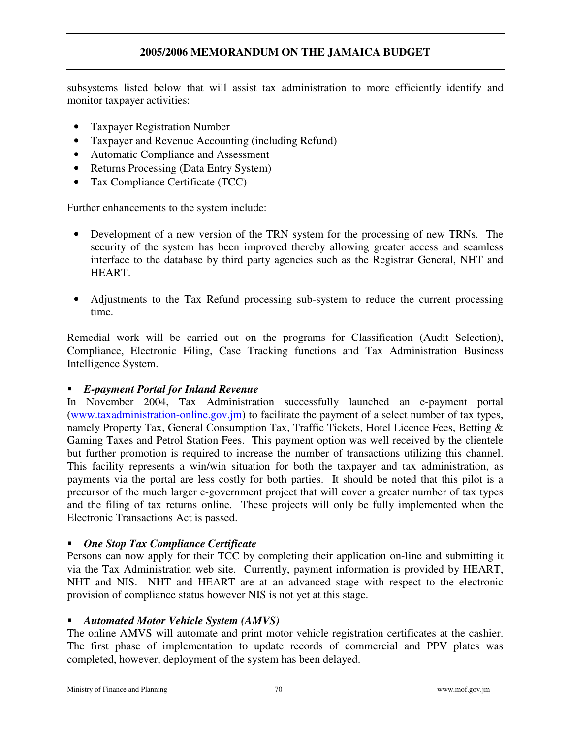subsystems listed below that will assist tax administration to more efficiently identify and monitor taxpayer activities:

- Taxpayer Registration Number
- Taxpayer and Revenue Accounting (including Refund)
- Automatic Compliance and Assessment
- Returns Processing (Data Entry System)
- Tax Compliance Certificate (TCC)

Further enhancements to the system include:

- Development of a new version of the TRN system for the processing of new TRNs. The security of the system has been improved thereby allowing greater access and seamless interface to the database by third party agencies such as the Registrar General, NHT and HEART.
- Adjustments to the Tax Refund processing sub-system to reduce the current processing time.

Remedial work will be carried out on the programs for Classification (Audit Selection), Compliance, Electronic Filing, Case Tracking functions and Tax Administration Business Intelligence System.

#### *E-payment Portal for Inland Revenue*

In November 2004, Tax Administration successfully launched an e-payment portal (www.taxadministration-online.gov.jm) to facilitate the payment of a select number of tax types, namely Property Tax, General Consumption Tax, Traffic Tickets, Hotel Licence Fees, Betting & Gaming Taxes and Petrol Station Fees. This payment option was well received by the clientele but further promotion is required to increase the number of transactions utilizing this channel. This facility represents a win/win situation for both the taxpayer and tax administration, as payments via the portal are less costly for both parties. It should be noted that this pilot is a precursor of the much larger e-government project that will cover a greater number of tax types and the filing of tax returns online. These projects will only be fully implemented when the Electronic Transactions Act is passed.

#### *One Stop Tax Compliance Certificate*

Persons can now apply for their TCC by completing their application on-line and submitting it via the Tax Administration web site. Currently, payment information is provided by HEART, NHT and NIS. NHT and HEART are at an advanced stage with respect to the electronic provision of compliance status however NIS is not yet at this stage.

#### *Automated Motor Vehicle System (AMVS)*

The online AMVS will automate and print motor vehicle registration certificates at the cashier. The first phase of implementation to update records of commercial and PPV plates was completed, however, deployment of the system has been delayed.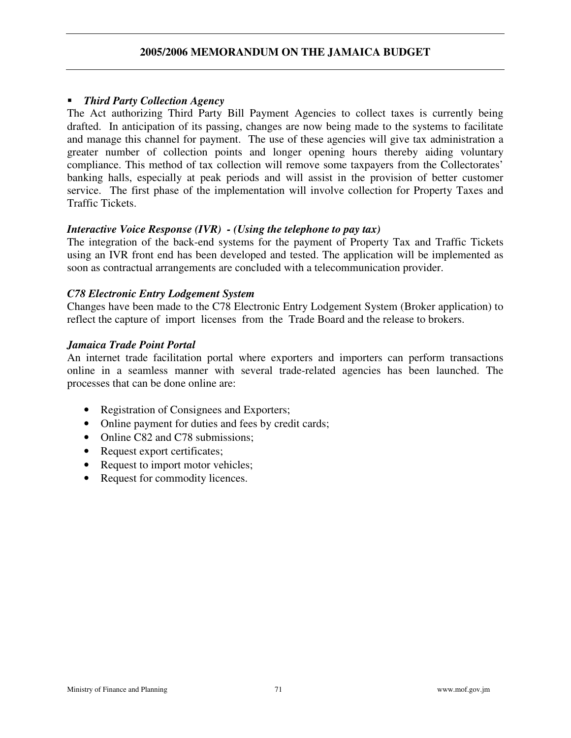#### *Third Party Collection Agency*

The Act authorizing Third Party Bill Payment Agencies to collect taxes is currently being drafted. In anticipation of its passing, changes are now being made to the systems to facilitate and manage this channel for payment. The use of these agencies will give tax administration a greater number of collection points and longer opening hours thereby aiding voluntary compliance. This method of tax collection will remove some taxpayers from the Collectorates' banking halls, especially at peak periods and will assist in the provision of better customer service. The first phase of the implementation will involve collection for Property Taxes and Traffic Tickets.

#### *Interactive Voice Response (IVR) - (Using the telephone to pay tax)*

The integration of the back-end systems for the payment of Property Tax and Traffic Tickets using an IVR front end has been developed and tested. The application will be implemented as soon as contractual arrangements are concluded with a telecommunication provider.

#### *C78 Electronic Entry Lodgement System*

Changes have been made to the C78 Electronic Entry Lodgement System (Broker application) to reflect the capture of import licenses from the Trade Board and the release to brokers.

#### *Jamaica Trade Point Portal*

An internet trade facilitation portal where exporters and importers can perform transactions online in a seamless manner with several trade-related agencies has been launched. The processes that can be done online are:

- Registration of Consignees and Exporters;
- Online payment for duties and fees by credit cards;
- Online C82 and C78 submissions:
- Request export certificates;
- Request to import motor vehicles;
- Request for commodity licences.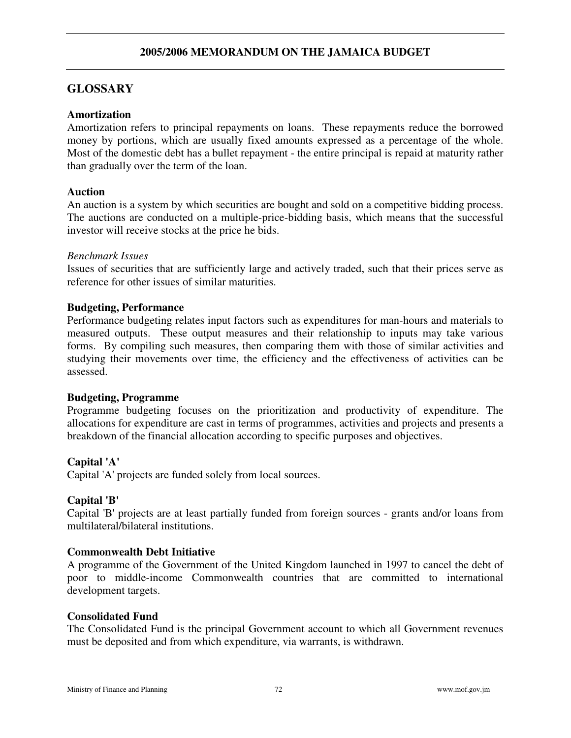# **GLOSSARY**

#### **Amortization**

Amortization refers to principal repayments on loans. These repayments reduce the borrowed money by portions, which are usually fixed amounts expressed as a percentage of the whole. Most of the domestic debt has a bullet repayment - the entire principal is repaid at maturity rather than gradually over the term of the loan.

### **Auction**

An auction is a system by which securities are bought and sold on a competitive bidding process. The auctions are conducted on a multiple-price-bidding basis, which means that the successful investor will receive stocks at the price he bids.

#### *Benchmark Issues*

Issues of securities that are sufficiently large and actively traded, such that their prices serve as reference for other issues of similar maturities.

### **Budgeting, Performance**

Performance budgeting relates input factors such as expenditures for man-hours and materials to measured outputs. These output measures and their relationship to inputs may take various forms. By compiling such measures, then comparing them with those of similar activities and studying their movements over time, the efficiency and the effectiveness of activities can be assessed.

#### **Budgeting, Programme**

Programme budgeting focuses on the prioritization and productivity of expenditure. The allocations for expenditure are cast in terms of programmes, activities and projects and presents a breakdown of the financial allocation according to specific purposes and objectives.

#### **Capital 'A'**

Capital 'A'projects are funded solely from local sources.

#### **Capital 'B'**

Capital 'B'projects are at least partially funded from foreign sources - grants and/or loans from multilateral/bilateral institutions.

#### **Commonwealth Debt Initiative**

A programme of the Government of the United Kingdom launched in 1997 to cancel the debt of poor to middle-income Commonwealth countries that are committed to international development targets.

#### **Consolidated Fund**

The Consolidated Fund is the principal Government account to which all Government revenues must be deposited and from which expenditure, via warrants, is withdrawn.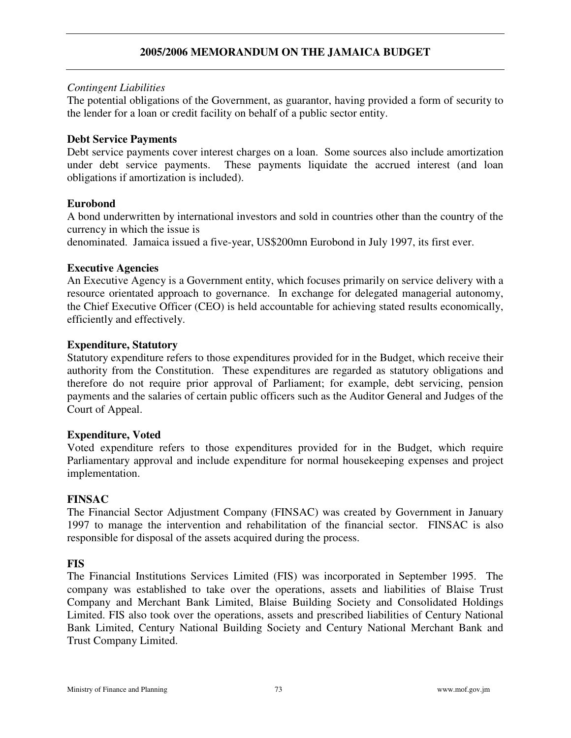# **2005/2006 MEMORANDUM ON THE JAMAICA BUDGET**

### *Contingent Liabilities*

The potential obligations of the Government, as guarantor, having provided a form of security to the lender for a loan or credit facility on behalf of a public sector entity.

### **Debt Service Payments**

Debt service payments cover interest charges on a loan. Some sources also include amortization under debt service payments. These payments liquidate the accrued interest (and loan obligations if amortization is included).

### **Eurobond**

A bond underwritten by international investors and sold in countries other than the country of the currency in which the issue is

denominated. Jamaica issued a five-year, US\$200mn Eurobond in July 1997, its first ever.

### **Executive Agencies**

An Executive Agency is a Government entity, which focuses primarily on service delivery with a resource orientated approach to governance. In exchange for delegated managerial autonomy, the Chief Executive Officer (CEO) is held accountable for achieving stated results economically, efficiently and effectively.

### **Expenditure, Statutory**

Statutory expenditure refers to those expenditures provided for in the Budget, which receive their authority from the Constitution. These expenditures are regarded as statutory obligations and therefore do not require prior approval of Parliament; for example, debt servicing, pension payments and the salaries of certain public officers such as the Auditor General and Judges of the Court of Appeal.

#### **Expenditure, Voted**

Voted expenditure refers to those expenditures provided for in the Budget, which require Parliamentary approval and include expenditure for normal housekeeping expenses and project implementation.

#### **FINSAC**

The Financial Sector Adjustment Company (FINSAC) was created by Government in January 1997 to manage the intervention and rehabilitation of the financial sector. FINSAC is also responsible for disposal of the assets acquired during the process.

# **FIS**

The Financial Institutions Services Limited (FIS) was incorporated in September 1995. The company was established to take over the operations, assets and liabilities of Blaise Trust Company and Merchant Bank Limited, Blaise Building Society and Consolidated Holdings Limited. FIS also took over the operations, assets and prescribed liabilities of Century National Bank Limited, Century National Building Society and Century National Merchant Bank and Trust Company Limited.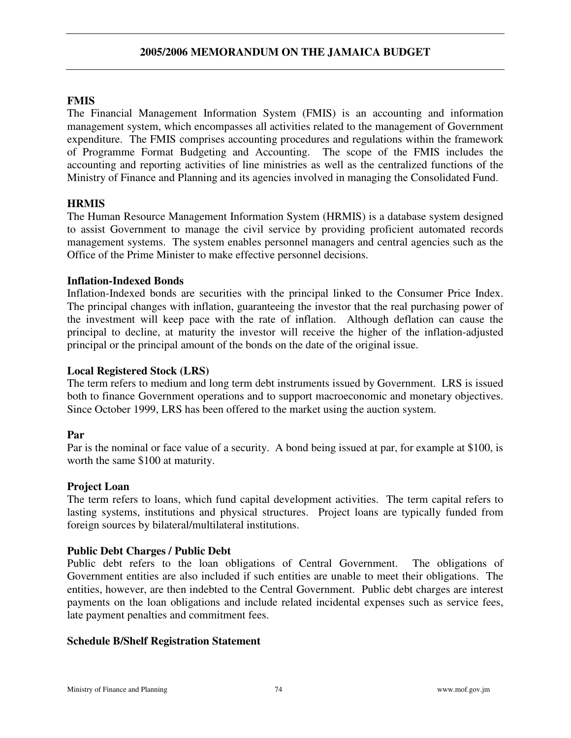# **FMIS**

The Financial Management Information System (FMIS) is an accounting and information management system, which encompasses all activities related to the management of Government expenditure. The FMIS comprises accounting procedures and regulations within the framework of Programme Format Budgeting and Accounting. The scope of the FMIS includes the accounting and reporting activities of line ministries as well as the centralized functions of the Ministry of Finance and Planning and its agencies involved in managing the Consolidated Fund.

# **HRMIS**

The Human Resource Management Information System (HRMIS) is a database system designed to assist Government to manage the civil service by providing proficient automated records management systems. The system enables personnel managers and central agencies such as the Office of the Prime Minister to make effective personnel decisions.

# **Inflation-Indexed Bonds**

Inflation-Indexed bonds are securities with the principal linked to the Consumer Price Index. The principal changes with inflation, guaranteeing the investor that the real purchasing power of the investment will keep pace with the rate of inflation. Although deflation can cause the principal to decline, at maturity the investor will receive the higher of the inflation-adjusted principal or the principal amount of the bonds on the date of the original issue.

# **Local Registered Stock (LRS)**

The term refers to medium and long term debt instruments issued by Government. LRS is issued both to finance Government operations and to support macroeconomic and monetary objectives. Since October 1999, LRS has been offered to the market using the auction system.

# **Par**

Par is the nominal or face value of a security. A bond being issued at par, for example at \$100, is worth the same \$100 at maturity.

# **Project Loan**

The term refers to loans, which fund capital development activities. The term capital refers to lasting systems, institutions and physical structures. Project loans are typically funded from foreign sources by bilateral/multilateral institutions.

# **Public Debt Charges / Public Debt**

Public debt refers to the loan obligations of Central Government. The obligations of Government entities are also included if such entities are unable to meet their obligations. The entities, however, are then indebted to the Central Government. Public debt charges are interest payments on the loan obligations and include related incidental expenses such as service fees, late payment penalties and commitment fees.

# **Schedule B/Shelf Registration Statement**